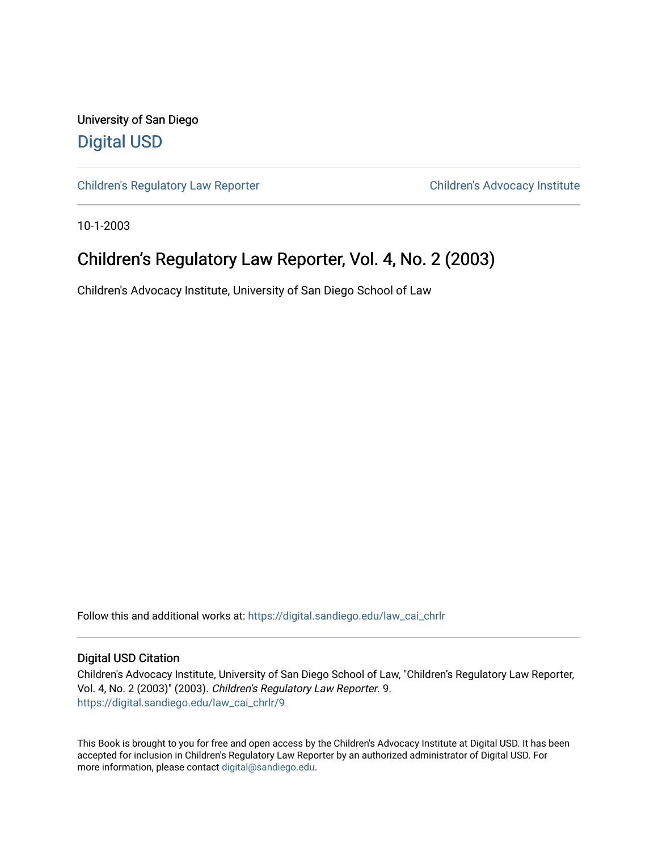University of San Diego [Digital USD](https://digital.sandiego.edu/)

[Children's Regulatory Law Reporter](https://digital.sandiego.edu/law_cai_chrlr) Children's Advocacy Institute

10-1-2003

## Children's Regulatory Law Reporter, Vol. 4, No. 2 (2003)

Children's Advocacy Institute, University of San Diego School of Law

Follow this and additional works at: [https://digital.sandiego.edu/law\\_cai\\_chrlr](https://digital.sandiego.edu/law_cai_chrlr?utm_source=digital.sandiego.edu%2Flaw_cai_chrlr%2F9&utm_medium=PDF&utm_campaign=PDFCoverPages) 

#### Digital USD Citation

Children's Advocacy Institute, University of San Diego School of Law, "Children's Regulatory Law Reporter, Vol. 4, No. 2 (2003)" (2003). Children's Regulatory Law Reporter. 9. [https://digital.sandiego.edu/law\\_cai\\_chrlr/9](https://digital.sandiego.edu/law_cai_chrlr/9?utm_source=digital.sandiego.edu%2Flaw_cai_chrlr%2F9&utm_medium=PDF&utm_campaign=PDFCoverPages)

This Book is brought to you for free and open access by the Children's Advocacy Institute at Digital USD. It has been accepted for inclusion in Children's Regulatory Law Reporter by an authorized administrator of Digital USD. For more information, please contact [digital@sandiego.edu.](mailto:digital@sandiego.edu)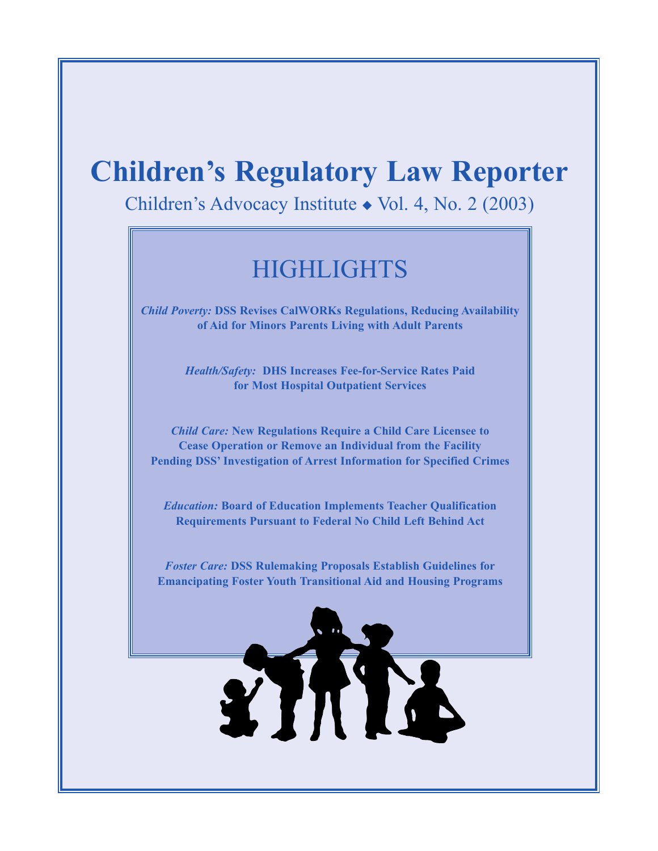# **Children's Regulatory Law Reporter**

Children's Advocacy Institute ◆ Vol. 4, No. 2 (2003)

## **HIGHLIGHTS**

*Child Poverty:* **DSS Revises CalWORKs Regulations, Reducing Availability of Aid for Minors Parents Living with Adult Parents**

> *Health/Safety:* **DHS Increases Fee-for-Service Rates Paid for Most Hospital Outpatient Services**

*Child Care:* **New Regulations Require a Child Care Licensee to Cease Operation or Remove an Individual from the Facility Pending DSS' Investigation of Arrest Information for Specified Crimes** 

*Education:* **Board of Education Implements Teacher Qualification Requirements Pursuant to Federal No Child Left Behind Act**

*Foster Care:* **DSS Rulemaking Proposals Establish Guidelines for Emancipating Foster Youth Transitional Aid and Housing Programs**

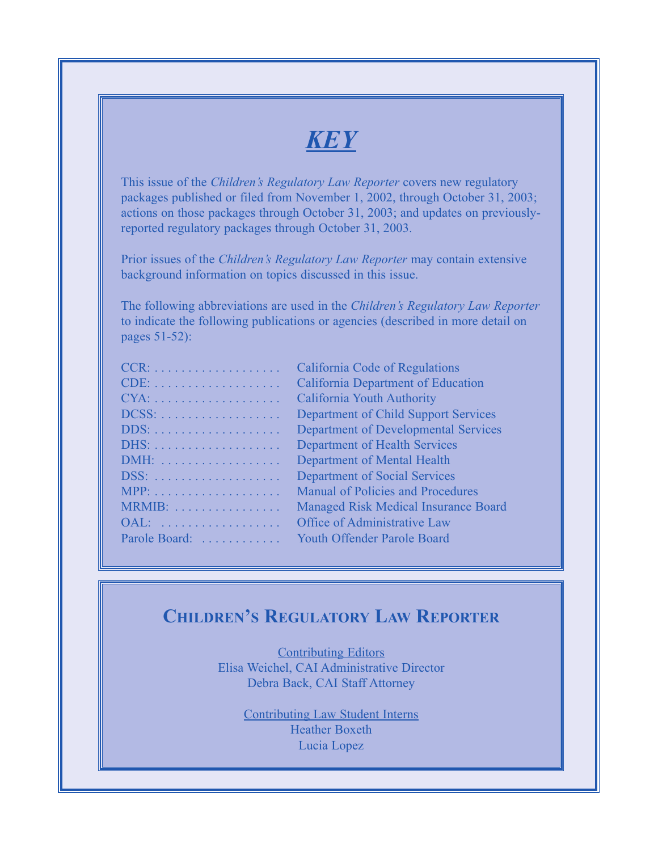## *KEY*

This issue of the *Children's Regulatory Law Reporter* covers new regulatory packages published or filed from November 1, 2002, through October 31, 2003; actions on those packages through October 31, 2003; and updates on previouslyreported regulatory packages through October 31, 2003.

Prior issues of the *Children's Regulatory Law Reporter* may contain extensive background information on topics discussed in this issue.

The following abbreviations are used in the *Children's Regulatory Law Reporter* to indicate the following publications or agencies (described in more detail on pages 51-52):

| $CCR: \ldots \ldots \ldots \ldots \ldots \ldots$ |  |  |  |  |  |  |  |  |
|--------------------------------------------------|--|--|--|--|--|--|--|--|
|                                                  |  |  |  |  |  |  |  |  |
| $CYA: \ldots \ldots \ldots \ldots \ldots \ldots$ |  |  |  |  |  |  |  |  |
| $DCSS: \ldots \ldots \ldots \ldots \ldots$       |  |  |  |  |  |  |  |  |
|                                                  |  |  |  |  |  |  |  |  |
|                                                  |  |  |  |  |  |  |  |  |
|                                                  |  |  |  |  |  |  |  |  |
| DSS:                                             |  |  |  |  |  |  |  |  |
|                                                  |  |  |  |  |  |  |  |  |
| MRMIB:                                           |  |  |  |  |  |  |  |  |
| OAL:                                             |  |  |  |  |  |  |  |  |
| Parole Board:                                    |  |  |  |  |  |  |  |  |
|                                                  |  |  |  |  |  |  |  |  |

California Code of Regulations California Department of Education California Youth Authority Department of Child Support Services Department of Developmental Services Department of Health Services Department of Mental Health Department of Social Services Manual of Policies and Procedures Managed Risk Medical Insurance Board Office of Administrative Law Youth Offender Parole Board

## **CHILDREN'S REGULATORY LAW REPORTER**

Contributing Editors Elisa Weichel, CAI Administrative Director Debra Back, CAI Staff Attorney

> Contributing Law Student Interns Heather Boxeth Lucia Lopez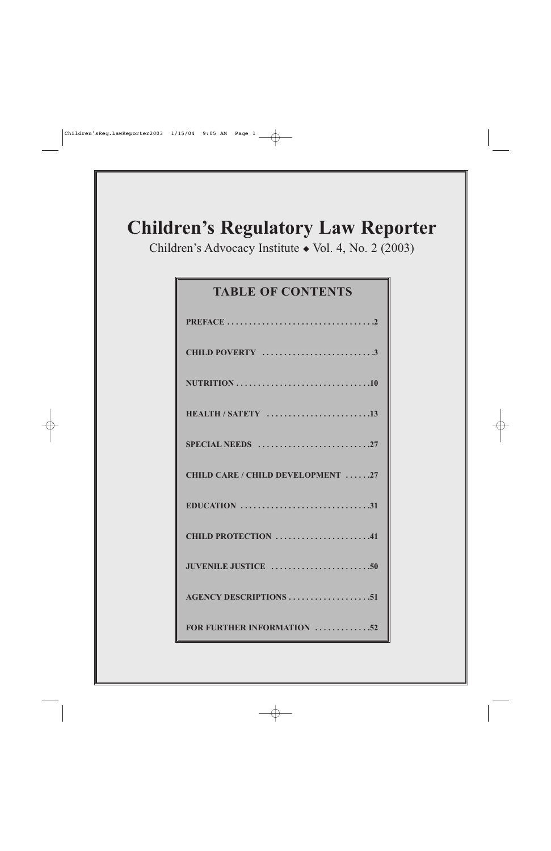# **Children's Regulatory Law Reporter**

Children's Advocacy Institute ◆ Vol. 4, No. 2 (2003)

## **TABLE OF CONTENTS**

| CHILD POVERTY 3                                                                   |
|-----------------------------------------------------------------------------------|
|                                                                                   |
| HEALTH / SATETY 13                                                                |
| SPECIAL NEEDS $\dots\dots\dots\dots\dots\dots\dots\dots27$                        |
| <b>CHILD CARE / CHILD DEVELOPMENT 27</b>                                          |
| EDUCATION $\ldots \ldots \ldots \ldots \ldots \ldots \ldots \ldots \ldots \ldots$ |
| CHILD PROTECTION 41                                                               |
|                                                                                   |
| <b>AGENCY DESCRIPTIONS 51</b>                                                     |
| FOR FURTHER INFORMATION 52                                                        |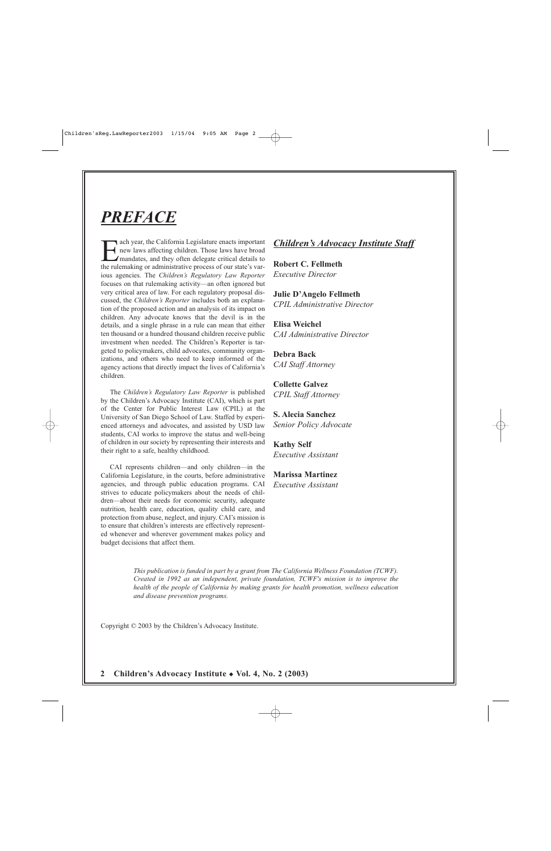## *PREFACE*

ach year, the California Legislature enacts important new laws affecting children. Those laws have broad mandates, and they often delegate critical details to the rulemaking or administrative process of our state's various agencies. The *Children's Regulatory Law Reporter* focuses on that rulemaking activity—an often ignored but very critical area of law. For each regulatory proposal discussed, the *Children's Reporter* includes both an explanation of the proposed action and an analysis of its impact on children. Any advocate knows that the devil is in the details, and a single phrase in a rule can mean that either ten thousand or a hundred thousand children receive public investment when needed. The Children's Reporter is targeted to policymakers, child advocates, community organizations, and others who need to keep informed of the agency actions that directly impact the lives of California's children.

The *Children's Regulatory Law Reporter* is published by the Children's Advocacy Institute (CAI), which is part of the Center for Public Interest Law (CPIL) at the University of San Diego School of Law. Staffed by experienced attorneys and advocates, and assisted by USD law students, CAI works to improve the status and well-being of children in our society by representing their interests and their right to a safe, healthy childhood.

CAI represents children—and only children—in the California Legislature, in the courts, before administrative agencies, and through public education programs. CAI strives to educate policymakers about the needs of children—about their needs for economic security, adequate nutrition, health care, education, quality child care, and protection from abuse, neglect, and injury. CAI's mission is to ensure that children's interests are effectively represented whenever and wherever government makes policy and budget decisions that affect them.

## *Children's Advocacy Institute Staff*

**Robert C. Fellmeth** *Executive Director*

**Julie D'Angelo Fellmeth** *CPIL Administrative Director*

**Elisa Weichel** *CAI Administrative Director*

**Debra Back** *CAI Staff Attorney*

**Collette Galvez** *CPIL Staff Attorney*

**S. Alecia Sanchez** *Senior Policy Advocate* 

**Kathy Self** *Executive Assistant*

**Marissa Martinez** *Executive Assistant*

*This publication is funded in part by a grant from The California Wellness Foundation (TCWF). Created in 1992 as an independent, private foundation, TCWF's mission is to improve the health of the people of California by making grants for health promotion, wellness education and disease prevention programs.*

Copyright © 2003 by the Children's Advocacy Institute.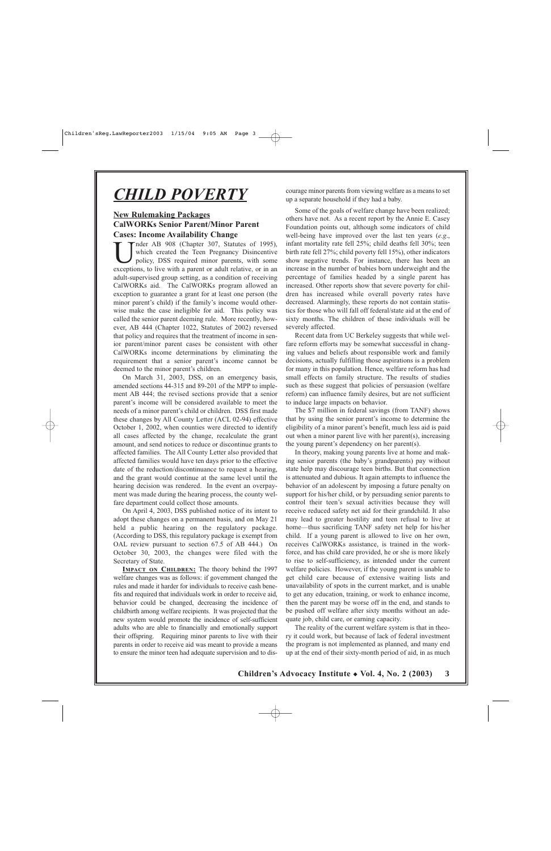## *CHILD POVERTY*

## **New Rulemaking Packages CalWORKs Senior Parent/Minor Parent Cases: Income Availability Change**

nder AB 908 (Chapter 307, Statutes of 1995), which created the Teen Pregnancy Disincentive policy, DSS required minor parents, with some exceptions, to live with a parent or adult relative, or in an adult-supervised group setting, as a condition of receiving CalWORKs aid. The CalWORKs program allowed an exception to guarantee a grant for at least one person (the minor parent's child) if the family's income would otherwise make the case ineligible for aid. This policy was called the senior parent deeming rule. More recently, however, AB 444 (Chapter 1022, Statutes of 2002) reversed that policy and requires that the treatment of income in senior parent/minor parent cases be consistent with other CalWORKs income determinations by eliminating the requirement that a senior parent's income cannot be deemed to the minor parent's children.

On March 31, 2003, DSS, on an emergency basis, amended sections 44-315 and 89-201 of the MPP to implement AB 444; the revised sections provide that a senior parent's income will be considered available to meet the needs of a minor parent's child or children. DSS first made these changes by All County Letter (ACL 02-94) effective October 1, 2002, when counties were directed to identify all cases affected by the change, recalculate the grant amount, and send notices to reduce or discontinue grants to affected families. The All County Letter also provided that affected families would have ten days prior to the effective date of the reduction/discontinuance to request a hearing, and the grant would continue at the same level until the hearing decision was rendered. In the event an overpayment was made during the hearing process, the county welfare department could collect those amounts.

On April 4, 2003, DSS published notice of its intent to adopt these changes on a permanent basis, and on May 21 held a public hearing on the regulatory package. (According to DSS, this regulatory package is exempt from OAL review pursuant to section 67.5 of AB 444.) On October 30, 2003, the changes were filed with the Secretary of State.

**IMPACT ON CHILDREN:** The theory behind the 1997 welfare changes was as follows: if government changed the rules and made it harder for individuals to receive cash benefits and required that individuals work in order to receive aid, behavior could be changed, decreasing the incidence of childbirth among welfare recipients. It was projected that the new system would promote the incidence of self-sufficient adults who are able to financially and emotionally support their offspring. Requiring minor parents to live with their parents in order to receive aid was meant to provide a means to ensure the minor teen had adequate supervision and to discourage minor parents from viewing welfare as a means to set up a separate household if they had a baby.

Some of the goals of welfare change have been realized; others have not. As a recent report by the Annie E. Casey Foundation points out, although some indicators of child well-being have improved over the last ten years (*e.g*., infant mortality rate fell 25%; child deaths fell 30%; teen birth rate fell 27%; child poverty fell 15%), other indicators show negative trends. For instance, there has been an increase in the number of babies born underweight and the percentage of families headed by a single parent has increased. Other reports show that severe poverty for children has increased while overall poverty rates have decreased. Alarmingly, these reports do not contain statistics for those who will fall off federal/state aid at the end of sixty months. The children of these individuals will be severely affected.

Recent data from UC Berkeley suggests that while welfare reform efforts may be somewhat successful in changing values and beliefs about responsible work and family decisions, actually fulfilling those aspirations is a problem for many in this population. Hence, welfare reform has had small effects on family structure. The results of studies such as these suggest that policies of persuasion (welfare reform) can influence family desires, but are not sufficient to induce large impacts on behavior.

The \$7 million in federal savings (from TANF) shows that by using the senior parent's income to determine the eligibility of a minor parent's benefit, much less aid is paid out when a minor parent live with her parent(s), increasing the young parent's dependency on her parent(s).

In theory, making young parents live at home and making senior parents (the baby's grandparents) pay without state help may discourage teen births. But that connection is attenuated and dubious. It again attempts to influence the behavior of an adolescent by imposing a future penalty on support for his/her child, or by persuading senior parents to control their teen's sexual activities because they will receive reduced safety net aid for their grandchild. It also may lead to greater hostility and teen refusal to live at home—thus sacrificing TANF safety net help for his/her child. If a young parent is allowed to live on her own, receives CalWORKs assistance, is trained in the workforce, and has child care provided, he or she is more likely to rise to self-sufficiency, as intended under the current welfare policies. However, if the young parent is unable to get child care because of extensive waiting lists and unavailability of spots in the current market, and is unable to get any education, training, or work to enhance income, then the parent may be worse off in the end, and stands to be pushed off welfare after sixty months without an adequate job, child care, or earning capacity.

The reality of the current welfare system is that in theory it could work, but because of lack of federal investment the program is not implemented as planned, and many end up at the end of their sixty-month period of aid, in as much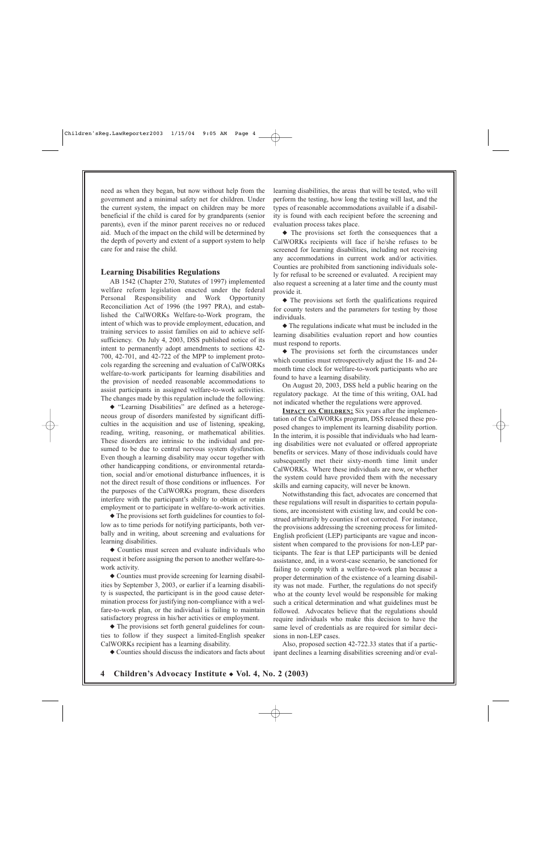need as when they began, but now without help from the government and a minimal safety net for children. Under the current system, the impact on children may be more beneficial if the child is cared for by grandparents (senior parents), even if the minor parent receives no or reduced aid. Much of the impact on the child will be determined by the depth of poverty and extent of a support system to help care for and raise the child.

#### **Learning Disabilities Regulations**

AB 1542 (Chapter 270, Statutes of 1997) implemented welfare reform legislation enacted under the federal Personal Responsibility and Work Opportunity Reconciliation Act of 1996 (the 1997 PRA), and established the CalWORKs Welfare-to-Work program, the intent of which was to provide employment, education, and training services to assist families on aid to achieve selfsufficiency. On July 4, 2003, DSS published notice of its intent to permanently adopt amendments to sections 42- 700, 42-701, and 42-722 of the MPP to implement protocols regarding the screening and evaluation of CalWORKs welfare-to-work participants for learning disabilities and the provision of needed reasonable accommodations to assist participants in assigned welfare-to-work activities. The changes made by this regulation include the following:

◆ "Learning Disabilities" are defined as a heterogeneous group of disorders manifested by significant difficulties in the acquisition and use of listening, speaking, reading, writing, reasoning, or mathematical abilities. These disorders are intrinsic to the individual and presumed to be due to central nervous system dysfunction. Even though a learning disability may occur together with other handicapping conditions, or environmental retardation, social and/or emotional disturbance influences, it is not the direct result of those conditions or influences. For the purposes of the CalWORKs program, these disorders interfere with the participant's ability to obtain or retain employment or to participate in welfare-to-work activities.

◆ The provisions set forth guidelines for counties to follow as to time periods for notifying participants, both verbally and in writing, about screening and evaluations for learning disabilities.

◆ Counties must screen and evaluate individuals who request it before assigning the person to another welfare-towork activity.

◆ Counties must provide screening for learning disabilities by September 3, 2003, or earlier if a learning disability is suspected, the participant is in the good cause determination process for justifying non-compliance with a welfare-to-work plan, or the individual is failing to maintain satisfactory progress in his/her activities or employment.

◆ The provisions set forth general guidelines for counties to follow if they suspect a limited-English speaker CalWORKs recipient has a learning disability.

◆ Counties should discuss the indicators and facts about

learning disabilities, the areas that will be tested, who will perform the testing, how long the testing will last, and the types of reasonable accommodations available if a disability is found with each recipient before the screening and evaluation process takes place.

◆ The provisions set forth the consequences that a CalWORKs recipients will face if he/she refuses to be screened for learning disabilities, including not receiving any accommodations in current work and/or activities. Counties are prohibited from sanctioning individuals solely for refusal to be screened or evaluated. A recipient may also request a screening at a later time and the county must provide it.

◆ The provisions set forth the qualifications required for county testers and the parameters for testing by those individuals.

◆ The regulations indicate what must be included in the learning disabilities evaluation report and how counties must respond to reports.

◆ The provisions set forth the circumstances under which counties must retrospectively adjust the 18- and 24 month time clock for welfare-to-work participants who are found to have a learning disability.

On August 20, 2003, DSS held a public hearing on the regulatory package. At the time of this writing, OAL had not indicated whether the regulations were approved.

**IMPACT ON CHILDREN:** Six years after the implementation of the CalWORKs program, DSS released these proposed changes to implement its learning disability portion. In the interim, it is possible that individuals who had learning disabilities were not evaluated or offered appropriate benefits or services. Many of those individuals could have subsequently met their sixty-month time limit under CalWORKs. Where these individuals are now, or whether the system could have provided them with the necessary skills and earning capacity, will never be known.

Notwithstanding this fact, advocates are concerned that these regulations will result in disparities to certain populations, are inconsistent with existing law, and could be construed arbitrarily by counties if not corrected. For instance, the provisions addressing the screening process for limited-English proficient (LEP) participants are vague and inconsistent when compared to the provisions for non-LEP participants. The fear is that LEP participants will be denied assistance, and, in a worst-case scenario, be sanctioned for failing to comply with a welfare-to-work plan because a proper determination of the existence of a learning disability was not made. Further, the regulations do not specify who at the county level would be responsible for making such a critical determination and what guidelines must be followed. Advocates believe that the regulations should require individuals who make this decision to have the same level of credentials as are required for similar decisions in non-LEP cases.

Also, proposed section 42-722.33 states that if a participant declines a learning disabilities screening and/or eval-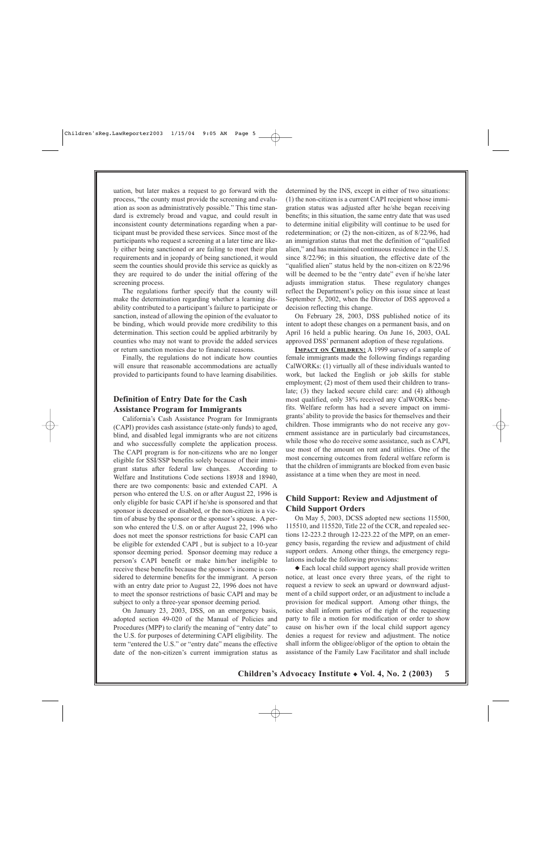uation, but later makes a request to go forward with the process, "the county must provide the screening and evaluation as soon as administratively possible." This time standard is extremely broad and vague, and could result in inconsistent county determinations regarding when a participant must be provided these services. Since most of the participants who request a screening at a later time are likely either being sanctioned or are failing to meet their plan requirements and in jeopardy of being sanctioned, it would seem the counties should provide this service as quickly as they are required to do under the initial offering of the screening process.

The regulations further specify that the county will make the determination regarding whether a learning disability contributed to a participant's failure to participate or sanction, instead of allowing the opinion of the evaluator to be binding, which would provide more credibility to this determination. This section could be applied arbitrarily by counties who may not want to provide the added services or return sanction monies due to financial reasons.

Finally, the regulations do not indicate how counties will ensure that reasonable accommodations are actually provided to participants found to have learning disabilities.

## **Definition of Entry Date for the Cash Assistance Program for Immigrants**

California's Cash Assistance Program for Immigrants (CAPI) provides cash assistance (state-only funds) to aged, blind, and disabled legal immigrants who are not citizens and who successfully complete the application process. The CAPI program is for non-citizens who are no longer eligible for SSI/SSP benefits solely because of their immigrant status after federal law changes. According to Welfare and Institutions Code sections 18938 and 18940, there are two components: basic and extended CAPI. A person who entered the U.S. on or after August 22, 1996 is only eligible for basic CAPI if he/she is sponsored and that sponsor is deceased or disabled, or the non-citizen is a victim of abuse by the sponsor or the sponsor's spouse. A person who entered the U.S. on or after August 22, 1996 who does not meet the sponsor restrictions for basic CAPI can be eligible for extended CAPI , but is subject to a 10-year sponsor deeming period. Sponsor deeming may reduce a person's CAPI benefit or make him/her ineligible to receive these benefits because the sponsor's income is considered to determine benefits for the immigrant. A person with an entry date prior to August 22, 1996 does not have to meet the sponsor restrictions of basic CAPI and may be subject to only a three-year sponsor deeming period.

On January 23, 2003, DSS, on an emergency basis, adopted section 49-020 of the Manual of Policies and Procedures (MPP) to clarify the meaning of "entry date" to the U.S. for purposes of determining CAPI eligibility. The term "entered the U.S." or "entry date" means the effective date of the non-citizen's current immigration status as

determined by the INS, except in either of two situations: (1) the non-citizen is a current CAPI recipient whose immigration status was adjusted after he/she began receiving benefits; in this situation, the same entry date that was used to determine initial eligibility will continue to be used for redetermination; or (2) the non-citizen, as of 8/22/96, had an immigration status that met the definition of "qualified alien," and has maintained continuous residence in the U.S. since 8/22/96; in this situation, the effective date of the "qualified alien" status held by the non-citizen on 8/22/96 will be deemed to be the "entry date" even if he/she later adjusts immigration status. These regulatory changes reflect the Department's policy on this issue since at least September 5, 2002, when the Director of DSS approved a decision reflecting this change.

On February 28, 2003, DSS published notice of its intent to adopt these changes on a permanent basis, and on April 16 held a public hearing. On June 16, 2003, OAL approved DSS' permanent adoption of these regulations.

**IMPACT ON CHILDREN:** A 1999 survey of a sample of female immigrants made the following findings regarding CalWORKs: (1) virtually all of these individuals wanted to work, but lacked the English or job skills for stable employment; (2) most of them used their children to translate; (3) they lacked secure child care: and (4) although most qualified, only 38% received any CalWORKs benefits. Welfare reform has had a severe impact on immigrants' ability to provide the basics for themselves and their children. Those immigrants who do not receive any government assistance are in particularly bad circumstances, while those who do receive some assistance, such as CAPI, use most of the amount on rent and utilities. One of the most concerning outcomes from federal welfare reform is that the children of immigrants are blocked from even basic assistance at a time when they are most in need.

## **Child Support: Review and Adjustment of Child Support Orders**

On May 5, 2003, DCSS adopted new sections 115500, 115510, and 115520, Title 22 of the CCR, and repealed sections 12-223.2 through 12-223.22 of the MPP, on an emergency basis, regarding the review and adjustment of child support orders. Among other things, the emergency regulations include the following provisions:

◆ Each local child support agency shall provide written notice, at least once every three years, of the right to request a review to seek an upward or downward adjustment of a child support order, or an adjustment to include a provision for medical support. Among other things, the notice shall inform parties of the right of the requesting party to file a motion for modification or order to show cause on his/her own if the local child support agency denies a request for review and adjustment. The notice shall inform the obligee/obligor of the option to obtain the assistance of the Family Law Facilitator and shall include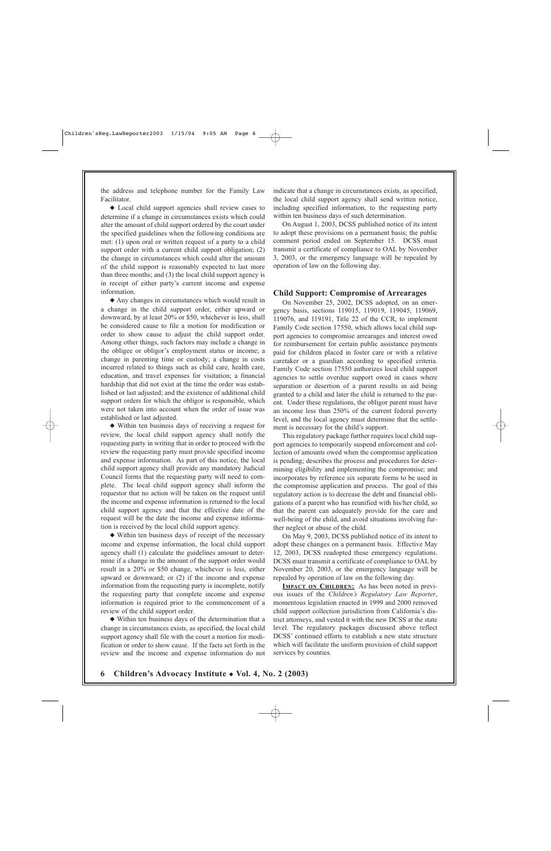the address and telephone number for the Family Law Facilitator.

◆ Local child support agencies shall review cases to determine if a change in circumstances exists which could alter the amount of child support ordered by the court under the specified guidelines when the following conditions are met: (1) upon oral or written request of a party to a child support order with a current child support obligation; (2) the change in circumstances which could alter the amount of the child support is reasonably expected to last more than three months; and (3) the local child support agency is in receipt of either party's current income and expense information.

◆ Any changes in circumstances which would result in a change in the child support order, either upward or downward, by at least 20% or \$50, whichever is less, shall be considered cause to file a motion for modification or order to show cause to adjust the child support order. Among other things, such factors may include a change in the obligee or obligor's employment status or income; a change in parenting time or custody; a change in costs incurred related to things such as child care, health care, education, and travel expenses for visitation; a financial hardship that did not exist at the time the order was established or last adjusted; and the existence of additional child support orders for which the obligor is responsible, which were not taken into account when the order of issue was established or last adjusted.

◆ Within ten business days of receiving a request for review, the local child support agency shall notify the requesting party in writing that in order to proceed with the review the requesting party must provide specified income and expense information. As part of this notice, the local child support agency shall provide any mandatory Judicial Council forms that the requesting party will need to complete. The local child support agency shall inform the requestor that no action will be taken on the request until the income and expense information is returned to the local child support agency and that the effective date of the request will be the date the income and expense information is received by the local child support agency.

◆ Within ten business days of receipt of the necessary income and expense information, the local child support agency shall (1) calculate the guidelines amount to determine if a change in the amount of the support order would result in a 20% or \$50 change, whichever is less, either upward or downward; or (2) if the income and expense information from the requesting party is incomplete, notify the requesting party that complete income and expense information is required prior to the commencement of a review of the child support order.

◆ Within ten business days of the determination that a change in circumstances exists, as specified, the local child support agency shall file with the court a motion for modification or order to show cause. If the facts set forth in the review and the income and expense information do not indicate that a change in circumstances exists, as specified, the local child support agency shall send written notice, including specified information, to the requesting party within ten business days of such determination.

On August 1, 2003, DCSS published notice of its intent to adopt these provisions on a permanent basis; the public comment period ended on September 15. DCSS must transmit a certificate of compliance to OAL by November 3, 2003, or the emergency language will be repealed by operation of law on the following day.

#### **Child Support: Compromise of Arrearages**

On November 25, 2002, DCSS adopted, on an emergency basis, sections 119015, 119019, 119045, 119069, 119076, and 119191, Title 22 of the CCR, to implement Family Code section 17550, which allows local child support agencies to compromise arrearages and interest owed for reimbursement for certain public assistance payments paid for children placed in foster care or with a relative caretaker or a guardian according to specified criteria. Family Code section 17550 authorizes local child support agencies to settle overdue support owed in cases where separation or desertion of a parent results in aid being granted to a child and later the child is returned to the parent. Under these regulations, the obligor parent must have an income less than 250% of the current federal poverty level, and the local agency must determine that the settlement is necessary for the child's support.

This regulatory package further requires local child support agencies to temporarily suspend enforcement and collection of amounts owed when the compromise application is pending; describes the process and procedures for determining eligibility and implementing the compromise; and incorporates by reference six separate forms to be used in the compromise application and process. The goal of this regulatory action is to decrease the debt and financial obligations of a parent who has reunified with his/her child, so that the parent can adequately provide for the care and well-being of the child, and avoid situations involving further neglect or abuse of the child.

On May 9, 2003, DCSS published notice of its intent to adopt these changes on a permanent basis. Effective May 12, 2003, DCSS readopted these emergency regulations. DCSS must transmit a certificate of compliance to OAL by November 20, 2003, or the emergency language will be repealed by operation of law on the following day.

**IMPACT ON CHILDREN:** As has been noted in previous issues of the *Children's Regulatory Law Reporter*, momentous legislation enacted in 1999 and 2000 removed child support collection jurisdiction from California's district attorneys, and vested it with the new DCSS at the state level. The regulatory packages discussed above reflect DCSS' continued efforts to establish a new state structure which will facilitate the uniform provision of child support services by counties.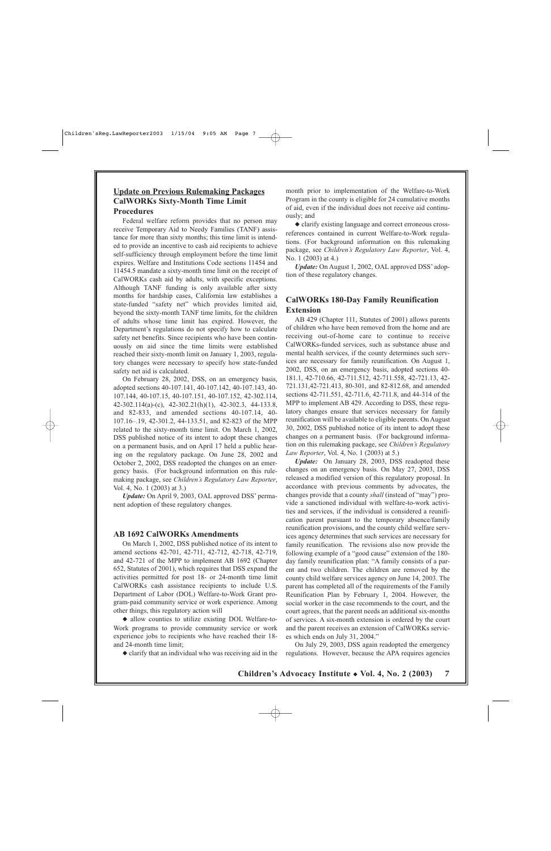## **Update on Previous Rulemaking Packages CalWORKs Sixty-Month Time Limit Procedures**

Federal welfare reform provides that no person may receive Temporary Aid to Needy Families (TANF) assistance for more than sixty months; this time limit is intended to provide an incentive to cash aid recipients to achieve self-sufficiency through employment before the time limit expires. Welfare and Institutions Code sections 11454 and 11454.5 mandate a sixty-month time limit on the receipt of CalWORKs cash aid by adults, with specific exceptions. Although TANF funding is only available after sixty months for hardship cases, California law establishes a state-funded "safety net" which provides limited aid, beyond the sixty-month TANF time limits, for the children of adults whose time limit has expired. However, the Department's regulations do not specify how to calculate safety net benefits. Since recipients who have been continuously on aid since the time limits were established reached their sixty-month limit on January 1, 2003, regulatory changes were necessary to specify how state-funded safety net aid is calculated.

On February 28, 2002, DSS, on an emergency basis, adopted sections 40-107.141, 40-107.142, 40-107.143, 40- 107.144, 40-107.15, 40-107.151, 40-107.152, 42-302.114, 42-302.114(a)-(c), 42-302.21(h)(1), 42-302.3, 44-133.8, and 82-833, and amended sections 40-107.14, 40- 107.16–.19, 42-301.2, 44-133.51, and 82-823 of the MPP related to the sixty-month time limit. On March 1, 2002, DSS published notice of its intent to adopt these changes on a permanent basis, and on April 17 held a public hearing on the regulatory package. On June 28, 2002 and October 2, 2002, DSS readopted the changes on an emergency basis. (For background information on this rulemaking package, see *Children's Regulatory Law Reporter*, Vol. 4, No. 1 (2003) at 3.)

*Update:* On April 9, 2003, OAL approved DSS' permanent adoption of these regulatory changes.

#### **AB 1692 CalWORKs Amendments**

On March 1, 2002, DSS published notice of its intent to amend sections 42-701, 42-711, 42-712, 42-718, 42-719, and 42-721 of the MPP to implement AB 1692 (Chapter 652, Statutes of 2001), which requires that DSS expand the activities permitted for post 18- or 24-month time limit CalWORKs cash assistance recipients to include U.S. Department of Labor (DOL) Welfare-to-Work Grant program-paid community service or work experience. Among other things, this regulatory action will

◆ allow counties to utilize existing DOL Welfare-to-Work programs to provide community service or work experience jobs to recipients who have reached their 18 and 24-month time limit;

◆ clarify that an individual who was receiving aid in the

month prior to implementation of the Welfare-to-Work Program in the county is eligible for 24 cumulative months of aid, even if the individual does not receive aid continuously; and

◆ clarify existing language and correct erroneous crossreferences contained in current Welfare-to-Work regulations. (For background information on this rulemaking package, see *Children's Regulatory Law Reporter*, Vol. 4, No. 1 (2003) at 4.)

*Update:* On August 1, 2002, OAL approved DSS' adoption of these regulatory changes.

## **CalWORKs 180-Day Family Reunification Extension**

AB 429 (Chapter 111, Statutes of 2001) allows parents of children who have been removed from the home and are receiving out-of-home care to continue to receive CalWORKs-funded services, such as substance abuse and mental health services, if the county determines such services are necessary for family reunification. On August 1, 2002, DSS, on an emergency basis, adopted sections 40- 181.1, 42-710.66, 42-711.512, 42-711.558, 42-721.13, 42- 721.131,42-721.413, 80-301, and 82-812.68, and amended sections 42-711.551, 42-711.6, 42-711.8, and 44-314 of the MPP to implement AB 429. According to DSS, these regulatory changes ensure that services necessary for family reunification will be available to eligible parents. On August 30, 2002, DSS published notice of its intent to adopt these changes on a permanent basis. (For background information on this rulemaking package, see *Children's Regulatory Law Reporter*, Vol. 4, No. 1 (2003) at 5.)

*Update:* On January 28, 2003, DSS readopted these changes on an emergency basis. On May 27, 2003, DSS released a modified version of this regulatory proposal. In accordance with previous comments by advocates, the changes provide that a county *shall* (instead of "may") provide a sanctioned individual with welfare-to-work activities and services, if the individual is considered a reunification parent pursuant to the temporary absence/family reunification provisions, and the county child welfare services agency determines that such services are necessary for family reunification. The revisions also now provide the following example of a "good cause" extension of the 180 day family reunification plan: "A family consists of a parent and two children. The children are removed by the county child welfare services agency on June 14, 2003. The parent has completed all of the requirements of the Family Reunification Plan by February 1, 2004. However, the social worker in the case recommends to the court, and the court agrees, that the parent needs an additional six-months of services. A six-month extension is ordered by the court and the parent receives an extension of CalWORKs services which ends on July 31, 2004."

On July 29, 2003, DSS again readopted the emergency regulations. However, because the APA requires agencies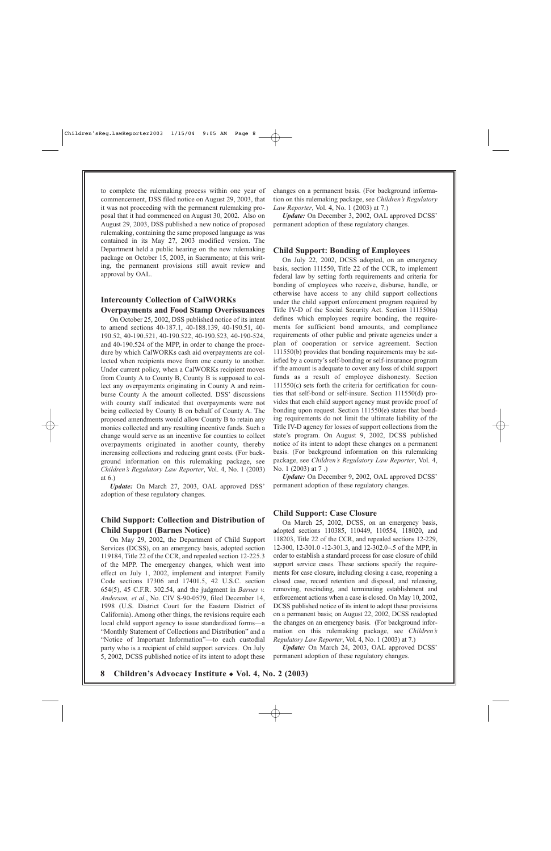to complete the rulemaking process within one year of commencement, DSS filed notice on August 29, 2003, that it was not proceeding with the permanent rulemaking proposal that it had commenced on August 30, 2002. Also on August 29, 2003, DSS published a new notice of proposed rulemaking, containing the same proposed language as was contained in its May 27, 2003 modified version. The Department held a public hearing on the new rulemaking package on October 15, 2003, in Sacramento; at this writing, the permanent provisions still await review and approval by OAL.

## **Intercounty Collection of CalWORKs Overpayments and Food Stamp Overissuances**

On October 25, 2002, DSS published notice of its intent to amend sections 40-187.1, 40-188.139, 40-190.51, 40- 190.52, 40-190.521, 40-190.522, 40-190.523, 40-190-524, and 40-190.524 of the MPP, in order to change the procedure by which CalWORKs cash aid overpayments are collected when recipients move from one county to another. Under current policy, when a CalWORKs recipient moves from County A to County B, County B is supposed to collect any overpayments originating in County A and reimburse County A the amount collected. DSS' discussions with county staff indicated that overpayments were not being collected by County B on behalf of County A. The proposed amendments would allow County B to retain any monies collected and any resulting incentive funds. Such a change would serve as an incentive for counties to collect overpayments originated in another county, thereby increasing collections and reducing grant costs. (For background information on this rulemaking package, see *Children's Regulatory Law Reporter*, Vol. 4, No. 1 (2003) at 6.)

*Update:* On March 27, 2003, OAL approved DSS' adoption of these regulatory changes.

## **Child Support: Collection and Distribution of Child Support (Barnes Notice)**

On May 29, 2002, the Department of Child Support Services (DCSS), on an emergency basis, adopted section 119184, Title 22 of the CCR, and repealed section 12-225.3 of the MPP. The emergency changes, which went into effect on July 1, 2002, implement and interpret Family Code sections 17306 and 17401.5, 42 U.S.C. section 654(5), 45 C.F.R. 302.54, and the judgment in *Barnes v. Anderson, et al.*, No. CIV S-90-0579, filed December 14, 1998 (U.S. District Court for the Eastern District of California). Among other things, the revisions require each local child support agency to issue standardized forms—a "Monthly Statement of Collections and Distribution" and a "Notice of Important Information"—to each custodial party who is a recipient of child support services. On July 5, 2002, DCSS published notice of its intent to adopt these

changes on a permanent basis. (For background information on this rulemaking package, see *Children's Regulatory Law Reporter*, Vol. 4, No. 1 (2003) at 7.)

*Update:* On December 3, 2002, OAL approved DCSS' permanent adoption of these regulatory changes.

#### **Child Support: Bonding of Employees**

On July 22, 2002, DCSS adopted, on an emergency basis, section 111550, Title 22 of the CCR, to implement federal law by setting forth requirements and criteria for bonding of employees who receive, disburse, handle, or otherwise have access to any child support collections under the child support enforcement program required by Title IV-D of the Social Security Act. Section 111550(a) defines which employees require bonding, the requirements for sufficient bond amounts, and compliance requirements of other public and private agencies under a plan of cooperation or service agreement. Section 111550(b) provides that bonding requirements may be satisfied by a county's self-bonding or self-insurance program if the amount is adequate to cover any loss of child support funds as a result of employee dishonesty. Section 111550(c) sets forth the criteria for certification for counties that self-bond or self-insure. Section 111550(d) provides that each child support agency must provide proof of bonding upon request. Section 111550(e) states that bonding requirements do not limit the ultimate liability of the Title IV-D agency for losses of support collections from the state's program. On August 9, 2002, DCSS published notice of its intent to adopt these changes on a permanent basis. (For background information on this rulemaking package, see *Children's Regulatory Law Reporter*, Vol. 4, No. 1 (2003) at 7 .)

*Update:* On December 9, 2002, OAL approved DCSS' permanent adoption of these regulatory changes.

#### **Child Support: Case Closure**

On March 25, 2002, DCSS, on an emergency basis, adopted sections 110385, 110449, 110554, 118020, and 118203, Title 22 of the CCR, and repealed sections 12-229, 12-300, 12-301.0 -12-301.3, and 12-302.0–.5 of the MPP, in order to establish a standard process for case closure of child support service cases. These sections specify the requirements for case closure, including closing a case, reopening a closed case, record retention and disposal, and releasing, removing, rescinding, and terminating establishment and enforcement actions when a case is closed. On May 10, 2002, DCSS published notice of its intent to adopt these provisions on a permanent basis; on August 22, 2002, DCSS readopted the changes on an emergency basis. (For background information on this rulemaking package, see *Children's Regulatory Law Reporter*, Vol. 4, No. 1 (2003) at 7.)

*Update:* On March 24, 2003, OAL approved DCSS' permanent adoption of these regulatory changes.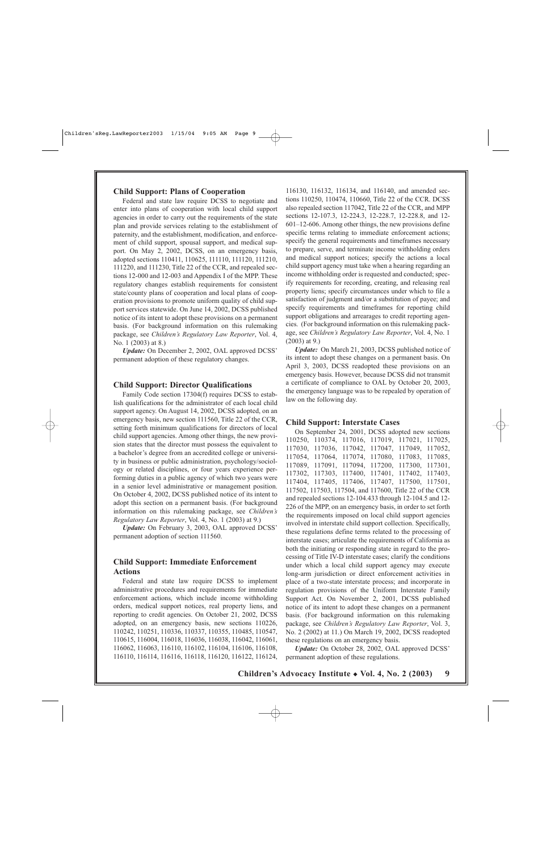#### **Child Support: Plans of Cooperation**

Federal and state law require DCSS to negotiate and enter into plans of cooperation with local child support agencies in order to carry out the requirements of the state plan and provide services relating to the establishment of paternity, and the establishment, modification, and enforcement of child support, spousal support, and medical support. On May 2, 2002, DCSS, on an emergency basis, adopted sections 110411, 110625, 111110, 111120, 111210, 111220, and 111230, Title 22 of the CCR, and repealed sections 12-000 and 12-003 and Appendix I of the MPP. These regulatory changes establish requirements for consistent state/county plans of cooperation and local plans of cooperation provisions to promote uniform quality of child support services statewide. On June 14, 2002, DCSS published notice of its intent to adopt these provisions on a permanent basis. (For background information on this rulemaking package, see *Children's Regulatory Law Reporter*, Vol. 4, No. 1 (2003) at 8.)

*Update:* On December 2, 2002, OAL approved DCSS' permanent adoption of these regulatory changes.

#### **Child Support: Director Qualifications**

Family Code section 17304(f) requires DCSS to establish qualifications for the administrator of each local child support agency. On August 14, 2002, DCSS adopted, on an emergency basis, new section 111560, Title 22 of the CCR, setting forth minimum qualifications for directors of local child support agencies. Among other things, the new provision states that the director must possess the equivalent to a bachelor's degree from an accredited college or university in business or public administration, psychology/sociology or related disciplines, or four years experience performing duties in a public agency of which two years were in a senior level administrative or management position. On October 4, 2002, DCSS published notice of its intent to adopt this section on a permanent basis. (For background information on this rulemaking package, see *Children's Regulatory Law Reporter*, Vol. 4, No. 1 (2003) at 9.)

*Update:* On February 3, 2003, OAL approved DCSS' permanent adoption of section 111560.

### **Child Support: Immediate Enforcement Actions**

Federal and state law require DCSS to implement administrative procedures and requirements for immediate enforcement actions, which include income withholding orders, medical support notices, real property liens, and reporting to credit agencies. On October 21, 2002, DCSS adopted, on an emergency basis, new sections 110226, 110242, 110251, 110336, 110337, 110355, 110485, 110547, 110615, 116004, 116018, 116036, 116038, 116042, 116061, 116062, 116063, 116110, 116102, 116104, 116106, 116108, 116110, 116114, 116116, 116118, 116120, 116122, 116124,

116130, 116132, 116134, and 116140, and amended sections 110250, 110474, 110660, Title 22 of the CCR. DCSS also repealed section 117042, Title 22 of the CCR, and MPP sections 12-107.3, 12-224.3, 12-228.7, 12-228.8, and 12- 601–12-606. Among other things, the new provisions define specific terms relating to immediate enforcement actions; specify the general requirements and timeframes necessary to prepare, serve, and terminate income withholding orders and medical support notices; specify the actions a local child support agency must take when a hearing regarding an income withholding order is requested and conducted; specify requirements for recording, creating, and releasing real property liens; specify circumstances under which to file a satisfaction of judgment and/or a substitution of payee; and specify requirements and timeframes for reporting child support obligations and arrearages to credit reporting agencies. (For background information on this rulemaking package, see *Children's Regulatory Law Reporter*, Vol. 4, No. 1 (2003) at 9.)

*Update:* On March 21, 2003, DCSS published notice of its intent to adopt these changes on a permanent basis. On April 3, 2003, DCSS readopted these provisions on an emergency basis. However, because DCSS did not transmit a certificate of compliance to OAL by October 20, 2003, the emergency language was to be repealed by operation of law on the following day.

#### **Child Support: Interstate Cases**

On September 24, 2001, DCSS adopted new sections 110250, 110374, 117016, 117019, 117021, 117025, 117030, 117036, 117042, 117047, 117049, 117052, 117054, 117064, 117074, 117080, 117083, 117085, 117089, 117091, 117094, 117200, 117300, 117301, 117302, 117303, 117400, 117401, 117402, 117403, 117404, 117405, 117406, 117407, 117500, 117501, 117502, 117503, 117504, and 117600, Title 22 of the CCR and repealed sections 12-104.433 through 12-104.5 and 12- 226 of the MPP, on an emergency basis, in order to set forth the requirements imposed on local child support agencies involved in interstate child support collection. Specifically, these regulations define terms related to the processing of interstate cases; articulate the requirements of California as both the initiating or responding state in regard to the processing of Title IV-D interstate cases; clarify the conditions under which a local child support agency may execute long-arm jurisdiction or direct enforcement activities in place of a two-state interstate process; and incorporate in regulation provisions of the Uniform Interstate Family Support Act. On November 2, 2001, DCSS published notice of its intent to adopt these changes on a permanent basis. (For background information on this rulemaking package, see *Children's Regulatory Law Reporter*, Vol. 3, No. 2 (2002) at 11.) On March 19, 2002, DCSS readopted these regulations on an emergency basis.

*Update:* On October 28, 2002, OAL approved DCSS' permanent adoption of these regulations.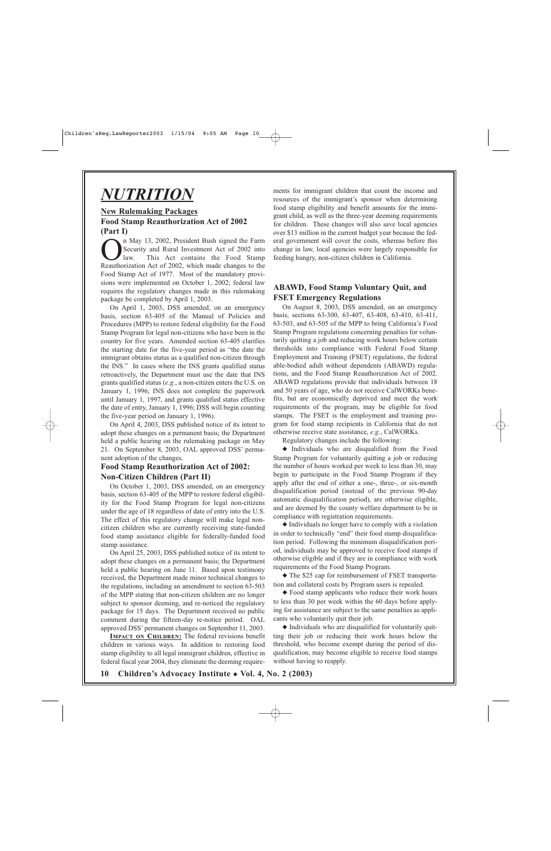## *NUTRITION*

## **New Rulemaking Packages Food Stamp Reauthorization Act of 2002 (Part I)**

**On** May 13, 2002, President Bush signed the Farm<br>Security and Rural Investment Act of 2002 into<br>law. This Act contains the Food Stamp<br>Reauthorization Act of 2002, which made changes to the Security and Rural Investment Act of 2002 into law. This Act contains the Food Stamp Reauthorization Act of 2002, which made changes to the Food Stamp Act of 1977. Most of the mandatory provisions were implemented on October 1, 2002; federal law requires the regulatory changes made in this rulemaking package be completed by April 1, 2003.

On April 1, 2003, DSS amended, on an emergency basis, section 63-405 of the Manual of Policies and Procedures (MPP) to restore federal eligibility for the Food Stamp Program for legal non-citizens who have been in the country for five years. Amended section 63-405 clarifies the starting date for the five-year period as "the date the immigrant obtains status as a qualified non-citizen through the INS." In cases where the INS grants qualified status retroactively, the Department must use the date that INS grants qualified status (*e.g.*, a non-citizen enters the U.S. on January 1, 1996; INS does not complete the paperwork until January 1, 1997, and grants qualified status effective the date of entry, January 1, 1996; DSS will begin counting the five-year period on January 1, 1996).

On April 4, 2003, DSS published notice of its intent to adopt these changes on a permanent basis; the Department held a public hearing on the rulemaking package on May 21. On September 8, 2003, OAL approved DSS' permanent adoption of the changes.

## **Food Stamp Reauthorization Act of 2002: Non-Citizen Children (Part II)**

On October 1, 2003, DSS amended, on an emergency basis, section 63-405 of the MPP to restore federal eligibility for the Food Stamp Program for legal non-citizens under the age of 18 regardless of date of entry into the U.S. The effect of this regulatory change will make legal noncitizen children who are currently receiving state-funded food stamp assistance eligible for federally-funded food stamp assistance.

On April 25, 2003, DSS published notice of its intent to adopt these changes on a permanent basis; the Department held a public hearing on June 11. Based upon testimony received, the Department made minor technical changes to the regulations, including an amendment to section 63-503 of the MPP stating that non-citizen children are no longer subject to sponsor deeming, and re-noticed the regulatory package for 15 days. The Department received no public comment during the fifteen-day re-notice period. OAL approved DSS' permanent changes on September 11, 2003.

**IMPACT ON CHILDREN:** The federal revisions benefit children in various ways. In addition to restoring food stamp eligibility to all legal immigrant children, effective in federal fiscal year 2004, they eliminate the deeming requirements for immigrant children that count the income and resources of the immigrant's sponsor when determining food stamp eligibility and benefit amounts for the immigrant child, as well as the three-year deeming requirements for children. These changes will also save local agencies over \$13 million in the current budget year because the federal government will cover the costs, whereas before this change in law, local agencies were largely responsible for feeding hungry, non-citizen children in California.

## **ABAWD, Food Stamp Voluntary Quit, and FSET Emergency Regulations**

On August 8, 2003, DSS amended, on an emergency basis, sections 63-300, 63-407, 63-408, 63-410, 63-411, 63-503, and 63-505 of the MPP to bring California's Food Stamp Program regulations concerning penalties for voluntarily quitting a job and reducing work hours below certain thresholds into compliance with Federal Food Stamp Employment and Training (FSET) regulations, the federal able-bodied adult without dependents (ABAWD) regulations, and the Food Stamp Reauthorization Act of 2002. ABAWD regulations provide that individuals between 18 and 50 years of age, who do not receive CalWORKs benefits, but are economically deprived and meet the work requirements of the program, may be eligible for food stamps. The FSET is the employment and training program for food stamp recipients in California that do not otherwise receive state assistance, *e.g.*, CalWORKs.

Regulatory changes include the following:

◆ Individuals who are disqualified from the Food Stamp Program for voluntarily quitting a job or reducing the number of hours worked per week to less than 30, may begin to participate in the Food Stamp Program if they apply after the end of either a one-, three-, or six-month disqualification period (instead of the previous 90-day automatic disqualification period), are otherwise eligible, and are deemed by the county welfare department to be in compliance with registration requirements.

◆ Individuals no longer have to comply with a violation in order to technically "end" their food stamp disqualification period. Following the minimum disqualification period, individuals may be approved to receive food stamps if otherwise eligible and if they are in compliance with work requirements of the Food Stamp Program.

◆ The \$25 cap for reimbursement of FSET transportation and collateral costs by Program users is repealed.

◆ Food stamp applicants who reduce their work hours to less than 30 per week within the 60 days before applying for assistance are subject to the same penalties as applicants who voluntarily quit their job.

◆ Individuals who are disqualified for voluntarily quitting their job or reducing their work hours below the threshold, who become exempt during the period of disqualification, may become eligible to receive food stamps without having to reapply.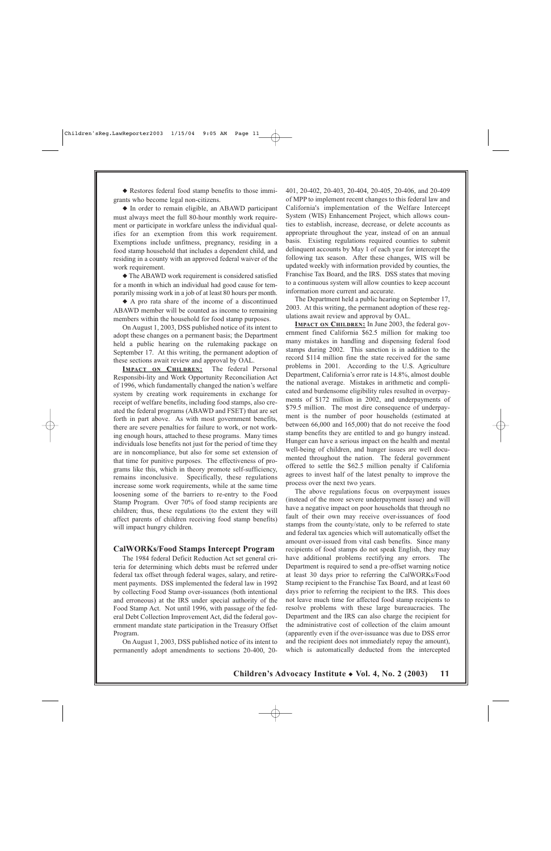◆ Restores federal food stamp benefits to those immigrants who become legal non-citizens.

◆ In order to remain eligible, an ABAWD participant must always meet the full 80-hour monthly work requirement or participate in workfare unless the individual qualifies for an exemption from this work requirement. Exemptions include unfitness, pregnancy, residing in a food stamp household that includes a dependent child, and residing in a county with an approved federal waiver of the work requirement.

◆ The ABAWD work requirement is considered satisfied for a month in which an individual had good cause for temporarily missing work in a job of at least 80 hours per month.

◆ A pro rata share of the income of a discontinued ABAWD member will be counted as income to remaining members within the household for food stamp purposes.

On August 1, 2003, DSS published notice of its intent to adopt these changes on a permanent basis; the Department held a public hearing on the rulemaking package on September 17. At this writing, the permanent adoption of these sections await review and approval by OAL.

**I MPACT ON CHILDREN:** The federal Personal Responsibi-lity and Work Opportunity Reconciliation Act of 1996, which fundamentally changed the nation's welfare system by creating work requirements in exchange for receipt of welfare benefits, including food stamps, also created the federal programs (ABAWD and FSET) that are set forth in part above. As with most government benefits, there are severe penalties for failure to work, or not working enough hours, attached to these programs. Many times individuals lose benefits not just for the period of time they are in noncompliance, but also for some set extension of that time for punitive purposes. The effectiveness of programs like this, which in theory promote self-sufficiency, remains inconclusive. Specifically, these regulations increase some work requirements, while at the same time loosening some of the barriers to re-entry to the Food Stamp Program. Over 70% of food stamp recipients are children; thus, these regulations (to the extent they will affect parents of children receiving food stamp benefits) will impact hungry children.

#### **CalWORKs/Food Stamps Intercept Program**

The 1984 federal Deficit Reduction Act set general criteria for determining which debts must be referred under federal tax offset through federal wages, salary, and retirement payments. DSS implemented the federal law in 1992 by collecting Food Stamp over-issuances (both intentional and erroneous) at the IRS under special authority of the Food Stamp Act. Not until 1996, with passage of the federal Debt Collection Improvement Act, did the federal government mandate state participation in the Treasury Offset Program.

On August 1, 2003, DSS published notice of its intent to permanently adopt amendments to sections 20-400, 20401, 20-402, 20-403, 20-404, 20-405, 20-406, and 20-409 of MPP to implement recent changes to this federal law and California's implementation of the Welfare Intercept System (WIS) Enhancement Project, which allows counties to establish, increase, decrease, or delete accounts as appropriate throughout the year, instead of on an annual basis. Existing regulations required counties to submit delinquent accounts by May 1 of each year for intercept the following tax season. After these changes, WIS will be updated weekly with information provided by counties, the Franchise Tax Board, and the IRS. DSS states that moving to a continuous system will allow counties to keep account information more current and accurate.

The Department held a public hearing on September 17, 2003. At this writing, the permanent adoption of these regulations await review and approval by OAL.

**IMPACT ON CHILDREN:** In June 2003, the federal government fined California \$62.5 million for making too many mistakes in handling and dispensing federal food stamps during 2002. This sanction is in addition to the record \$114 million fine the state received for the same problems in 2001. According to the U.S. Agriculture Department, California's error rate is 14.8%, almost double the national average. Mistakes in arithmetic and complicated and burdensome eligibility rules resulted in overpayments of \$172 million in 2002, and underpayments of \$79.5 million. The most dire consequence of underpayment is the number of poor households (estimated at between 66,000 and 165,000) that do not receive the food stamp benefits they are entitled to and go hungry instead. Hunger can have a serious impact on the health and mental well-being of children, and hunger issues are well documented throughout the nation. The federal government offered to settle the \$62.5 million penalty if California agrees to invest half of the latest penalty to improve the process over the next two years.

The above regulations focus on overpayment issues (instead of the more severe underpayment issue) and will have a negative impact on poor households that through no fault of their own may receive over-issuances of food stamps from the county/state, only to be referred to state and federal tax agencies which will automatically offset the amount over-issued from vital cash benefits. Since many recipients of food stamps do not speak English, they may have additional problems rectifying any errors. The Department is required to send a pre-offset warning notice at least 30 days prior to referring the CalWORKs/Food Stamp recipient to the Franchise Tax Board, and at least 60 days prior to referring the recipient to the IRS. This does not leave much time for affected food stamp recipients to resolve problems with these large bureaucracies. The Department and the IRS can also charge the recipient for the administrative cost of collection of the claim amount (apparently even if the over-issuance was due to DSS error and the recipient does not immediately repay the amount), which is automatically deducted from the intercepted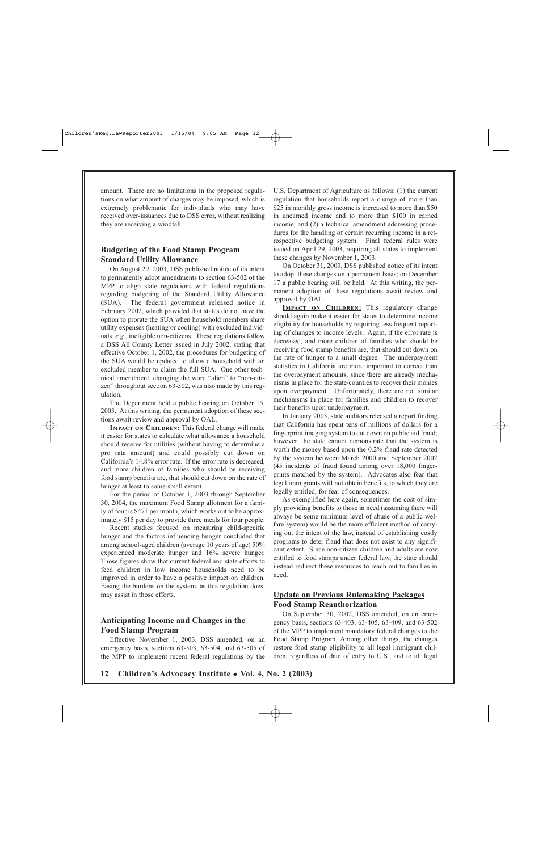amount. There are no limitations in the proposed regulations on what amount of charges may be imposed, which is extremely problematic for individuals who may have received over-issuances due to DSS error, without realizing they are receiving a windfall.

## **Budgeting of the Food Stamp Program Standard Utility Allowance**

On August 29, 2003, DSS published notice of its intent to permanently adopt amendments to section 63-502 of the MPP to align state regulations with federal regulations regarding budgeting of the Standard Utility Allowance (SUA). The federal government released notice in February 2002, which provided that states do not have the option to prorate the SUA when household members share utility expenses (heating or cooling) with excluded individuals, *e.g.*, ineligible non-citizens. These regulations follow a DSS All County Letter issued in July 2002, stating that effective October 1, 2002, the procedures for budgeting of the SUA would be updated to allow a household with an excluded member to claim the full SUA. One other technical amendment, changing the word "alien" to "non-citizen" throughout section 63-502, was also made by this regulation.

The Department held a public hearing on October 15, 2003. At this writing, the permanent adoption of these sections await review and approval by OAL.

**IMPACT ON CHILDREN:** This federal change will make it easier for states to calculate what allowance a household should receive for utilities (without having to determine a pro rata amount) and could possibly cut down on California's 14.8% error rate. If the error rate is decreased, and more children of families who should be receiving food stamp benefits are, that should cut down on the rate of hunger at least to some small extent.

For the period of October 1, 2003 through September 30, 2004, the maximum Food Stamp allotment for a family of four is \$471 per month, which works out to be approximately \$15 per day to provide three meals for four people.

Recent studies focused on measuring child-specific hunger and the factors influencing hunger concluded that among school-aged children (average 10 years of age) 50% experienced moderate hunger and 16% severe hunger. Those figures show that current federal and state efforts to feed children in low income households need to be improved in order to have a positive impact on children. Easing the burdens on the system, as this regulation does, may assist in those efforts.

## **Anticipating Income and Changes in the Food Stamp Program**

Effective November 1, 2003, DSS amended, on an emergency basis, sections 63-503, 63-504, and 63-505 of the MPP to implement recent federal regulations by the U.S. Department of Agriculture as follows: (1) the current regulation that households report a change of more than \$25 in monthly gross income is increased to more than \$50 in unearned income and to more than \$100 in earned income; and (2) a technical amendment addressing procedures for the handling of certain recurring income in a retrospective budgeting system. Final federal rules were issued on April 29, 2003, requiring all states to implement these changes by November 1, 2003.

On October 31, 2003, DSS published notice of its intent to adopt these changes on a permanent basis; on December 17 a public hearing will be held. At this writing, the permanent adoption of these regulations await review and approval by OAL.

**IMPACT ON CHILDREN:** This regulatory change should again make it easier for states to determine income eligibility for households by requiring less frequent reporting of changes to income levels. Again, if the error rate is decreased, and more children of families who should be receiving food stamp benefits are, that should cut down on the rate of hunger to a small degree. The underpayment statistics in California are more important to correct than the overpayment amounts, since there are already mechanisms in place for the state/counties to recover their monies upon overpayment. Unfortunately, there are not similar mechanisms in place for families and children to recover their benefits upon underpayment.

In January 2003, state auditors released a report finding that California has spent tens of millions of dollars for a fingerprint imaging system to cut down on public aid fraud; however, the state cannot demonstrate that the system is worth the money based upon the 0.2% fraud rate detected by the system between March 2000 and September 2002 (45 incidents of fraud found among over 18,000 fingerprints matched by the system). Advocates also fear that legal immigrants will not obtain benefits, to which they are legally entitled, for fear of consequences.

As exemplified here again, sometimes the cost of simply providing benefits to those in need (assuming there will always be some minimum level of abuse of a public welfare system) would be the more efficient method of carrying out the intent of the law, instead of establishing costly programs to deter fraud that does not exist to any significant extent. Since non-citizen children and adults are now entitled to food stamps under federal law, the state should instead redirect these resources to reach out to families in need.

## **Update on Previous Rulemaking Packages Food Stamp Reauthorization**

On September 30, 2002, DSS amended, on an emergency basis, sections 63-403, 63-405, 63-409, and 63-502 of the MPP to implement mandatory federal changes to the Food Stamp Program. Among other things, the changes restore food stamp eligibility to all legal immigrant children, regardless of date of entry to U.S., and to all legal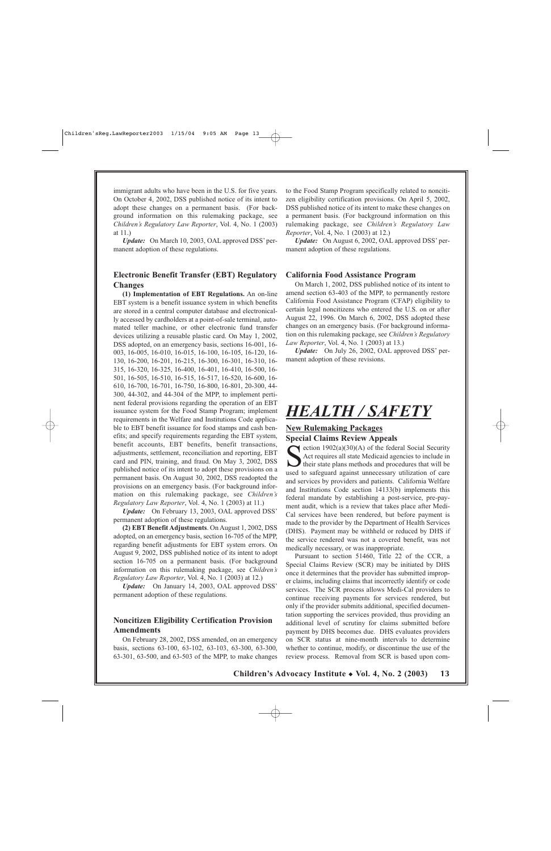immigrant adults who have been in the U.S. for five years. On October 4, 2002, DSS published notice of its intent to adopt these changes on a permanent basis. (For background information on this rulemaking package, see *Children's Regulatory Law Reporter*, Vol. 4, No. 1 (2003) at 11.)

*Update:* On March 10, 2003, OAL approved DSS' permanent adoption of these regulations.

### **Electronic Benefit Transfer (EBT) Regulatory Changes**

**(1) Implementation of EBT Regulations.** An on-line EBT system is a benefit issuance system in which benefits are stored in a central computer database and electronically accessed by cardholders at a point-of-sale terminal, automated teller machine, or other electronic fund transfer devices utilizing a reusable plastic card. On May 1, 2002, DSS adopted, on an emergency basis, sections 16-001, 16- 003, 16-005, 16-010, 16-015, 16-100, 16-105, 16-120, 16- 130, 16-200, 16-201, 16-215, 16-300, 16-301, 16-310, 16- 315, 16-320, 16-325, 16-400, 16-401, 16-410, 16-500, 16- 501, 16-505, 16-510, 16-515, 16-517, 16-520, 16-600, 16- 610, 16-700, 16-701, 16-750, 16-800, 16-801, 20-300, 44- 300, 44-302, and 44-304 of the MPP, to implement pertinent federal provisions regarding the operation of an EBT issuance system for the Food Stamp Program; implement requirements in the Welfare and Institutions Code applicable to EBT benefit issuance for food stamps and cash benefits; and specify requirements regarding the EBT system, benefit accounts, EBT benefits, benefit transactions, adjustments, settlement, reconciliation and reporting, EBT card and PIN, training, and fraud. On May 3, 2002, DSS published notice of its intent to adopt these provisions on a permanent basis. On August 30, 2002, DSS readopted the provisions on an emergency basis. (For background information on this rulemaking package, see *Children's Regulatory Law Reporter*, Vol. 4, No. 1 (2003) at 11.)

*Update:* On February 13, 2003, OAL approved DSS' permanent adoption of these regulations.

**(2) EBT Benefit Adjustments**. On August 1, 2002, DSS adopted, on an emergency basis, section 16-705 of the MPP, regarding benefit adjustments for EBT system errors. On August 9, 2002, DSS published notice of its intent to adopt section 16-705 on a permanent basis. (For background information on this rulemaking package, see *Children's Regulatory Law Reporter*, Vol. 4, No. 1 (2003) at 12.)

*Update:* On January 14, 2003, OAL approved DSS' permanent adoption of these regulations.

## **Noncitizen Eligibility Certification Provision Amendments**

On February 28, 2002, DSS amended, on an emergency basis, sections 63-100, 63-102, 63-103, 63-300, 63-300, 63-301, 63-500, and 63-503 of the MPP, to make changes

to the Food Stamp Program specifically related to noncitizen eligibility certification provisions. On April 5, 2002, DSS published notice of its intent to make these changes on a permanent basis. (For background information on this rulemaking package, see *Children's Regulatory Law Reporter*, Vol. 4, No. 1 (2003) at 12.)

*Update:* On August 6, 2002, OAL approved DSS' permanent adoption of these regulations.

#### **California Food Assistance Program**

On March 1, 2002, DSS published notice of its intent to amend section 63-403 of the MPP, to permanently restore California Food Assistance Program (CFAP) eligibility to certain legal noncitizens who entered the U.S. on or after August 22, 1996. On March 6, 2002, DSS adopted these changes on an emergency basis. (For background information on this rulemaking package, see *Children's Regulatory Law Reporter*, Vol. 4, No. 1 (2003) at 13.)

*Update:* On July 26, 2002, OAL approved DSS' permanent adoption of these revisions.

## *HEALTH / SAFETY*

## **New Rulemaking Packages Special Claims Review Appeals**

 $\blacktriangleright$  ection 1902(a)(30)(A) of the federal Social Security Act requires all state Medicaid agencies to include in their state plans methods and procedures that will be used to safeguard against unnecessary utilization of care and services by providers and patients. California Welfare and Institutions Code section 14133(b) implements this federal mandate by establishing a post-service, pre-payment audit, which is a review that takes place after Medi-Cal services have been rendered, but before payment is made to the provider by the Department of Health Services (DHS). Payment may be withheld or reduced by DHS if the service rendered was not a covered benefit, was not medically necessary, or was inappropriate.

Pursuant to section 51460, Title 22 of the CCR, a Special Claims Review (SCR) may be initiated by DHS once it determines that the provider has submitted improper claims, including claims that incorrectly identify or code services. The SCR process allows Medi-Cal providers to continue receiving payments for services rendered, but only if the provider submits additional, specified documentation supporting the services provided, thus providing an additional level of scrutiny for claims submitted before payment by DHS becomes due. DHS evaluates providers on SCR status at nine-month intervals to determine whether to continue, modify, or discontinue the use of the review process. Removal from SCR is based upon com-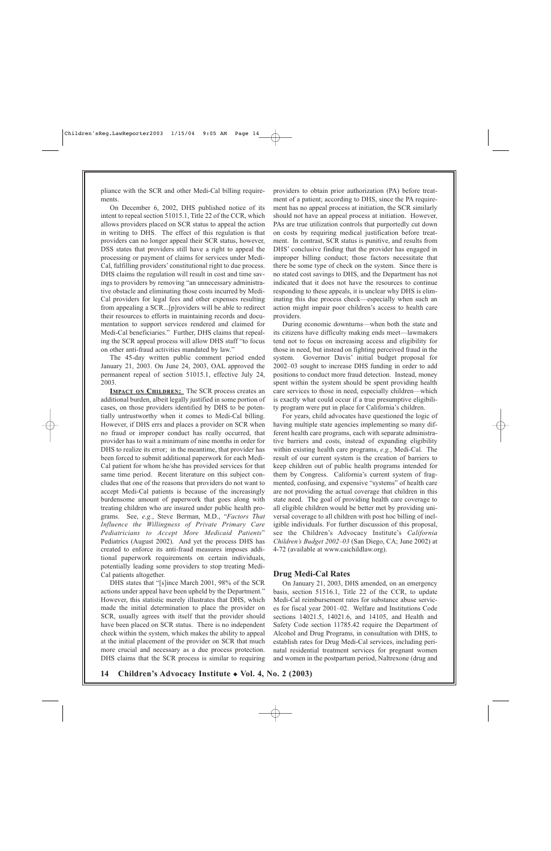pliance with the SCR and other Medi-Cal billing requirements.

On December 6, 2002, DHS published notice of its intent to repeal section 51015.1, Title 22 of the CCR, which allows providers placed on SCR status to appeal the action in writing to DHS. The effect of this regulation is that providers can no longer appeal their SCR status, however, DSS states that providers still have a right to appeal the processing or payment of claims for services under Medi-Cal, fulfilling providers' constitutional right to due process. DHS claims the regulation will result in cost and time savings to providers by removing "an unnecessary administrative obstacle and eliminating those costs incurred by Medi-Cal providers for legal fees and other expenses resulting from appealing a SCR...[p]roviders will be able to redirect their resources to efforts in maintaining records and documentation to support services rendered and claimed for Medi-Cal beneficiaries." Further, DHS claims that repealing the SCR appeal process will allow DHS staff "to focus on other anti-fraud activities mandated by law."

The 45-day written public comment period ended January 21, 2003. On June 24, 2003, OAL approved the permanent repeal of section 51015.1, effective July 24, 2003.

**IMPACT ON CHILDREN:** The SCR process creates an additional burden, albeit legally justified in some portion of cases, on those providers identified by DHS to be potentially untrustworthy when it comes to Medi-Cal billing. However, if DHS errs and places a provider on SCR when no fraud or improper conduct has really occurred, that provider has to wait a minimum of nine months in order for DHS to realize its error; in the meantime, that provider has been forced to submit additional paperwork for each Medi-Cal patient for whom he/she has provided services for that same time period. Recent literature on this subject concludes that one of the reasons that providers do not want to accept Medi-Cal patients is because of the increasingly burdensome amount of paperwork that goes along with treating children who are insured under public health programs. See, *e.g.*, Steve Berman, M.D., "*Factors That Influence the Willingness of Private Primary Care Pediatricians to Accept More Medicaid Patients*" Pediatrics (August 2002). And yet the process DHS has created to enforce its anti-fraud measures imposes additional paperwork requirements on certain individuals, potentially leading some providers to stop treating Medi-Cal patients altogether.

DHS states that "[s]ince March 2001, 98% of the SCR actions under appeal have been upheld by the Department." However, this statistic merely illustrates that DHS, which made the initial determination to place the provider on SCR, usually agrees with itself that the provider should have been placed on SCR status. There is no independent check within the system, which makes the ability to appeal at the initial placement of the provider on SCR that much more crucial and necessary as a due process protection. DHS claims that the SCR process is similar to requiring providers to obtain prior authorization (PA) before treatment of a patient; according to DHS, since the PA requirement has no appeal process at initiation, the SCR similarly should not have an appeal process at initiation. However, PAs are true utilization controls that purportedly cut down on costs by requiring medical justification before treatment. In contrast, SCR status is punitive, and results from DHS' conclusive finding that the provider has engaged in improper billing conduct; those factors necessitate that there be some type of check on the system. Since there is no stated cost savings to DHS, and the Department has not indicated that it does not have the resources to continue responding to these appeals, it is unclear why DHS is eliminating this due process check—especially when such an action might impair poor children's access to health care providers.

During economic downturns—when both the state and its citizens have difficulty making ends meet—lawmakers tend not to focus on increasing access and eligibility for those in need, but instead on fighting perceived fraud in the system. Governor Davis' initial budget proposal for 2002–03 sought to increase DHS funding in order to add positions to conduct more fraud detection. Instead, money spent within the system should be spent providing health care services to those in need, especially children—which is exactly what could occur if a true presumptive eligibility program were put in place for California's children.

For years, child advocates have questioned the logic of having multiple state agencies implementing so many different health care programs, each with separate administrative barriers and costs, instead of expanding eligibility within existing health care programs, *e.g.*, Medi-Cal. The result of our current system is the creation of barriers to keep children out of public health programs intended for them by Congress. California's current system of fragmented, confusing, and expensive "systems" of health care are not providing the actual coverage that children in this state need. The goal of providing health care coverage to all eligible children would be better met by providing universal coverage to all children with post hoc billing of ineligible individuals. For further discussion of this proposal, see the Children's Advocacy Institute's *California Children's Budget 2002–03* (San Diego, CA; June 2002) at 4-72 (available at www.caichildlaw.org).

#### **Drug Medi-Cal Rates**

On January 21, 2003, DHS amended, on an emergency basis, section 51516.1, Title 22 of the CCR, to update Medi-Cal reimbursement rates for substance abuse services for fiscal year 2001–02. Welfare and Institutions Code sections 14021.5, 14021.6, and 14105, and Health and Safety Code section 11785.42 require the Department of Alcohol and Drug Programs, in consultation with DHS, to establish rates for Drug Medi-Cal services, including perinatal residential treatment services for pregnant women and women in the postpartum period, Naltrexone (drug and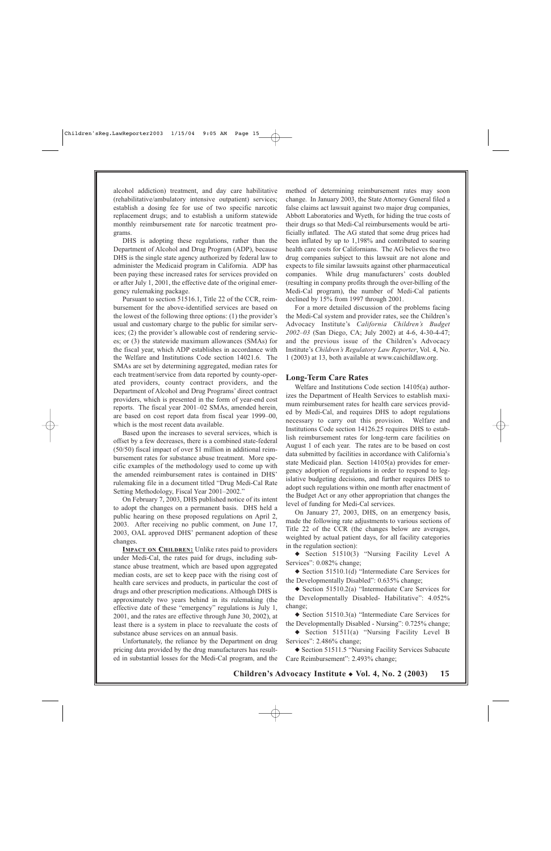alcohol addiction) treatment, and day care habilitative (rehabilitative/ambulatory intensive outpatient) services; establish a dosing fee for use of two specific narcotic replacement drugs; and to establish a uniform statewide monthly reimbursement rate for narcotic treatment programs.

DHS is adopting these regulations, rather than the Department of Alcohol and Drug Program (ADP), because DHS is the single state agency authorized by federal law to administer the Medicaid program in California. ADP has been paying these increased rates for services provided on or after July 1, 2001, the effective date of the original emergency rulemaking package.

Pursuant to section 51516.1, Title 22 of the CCR, reimbursement for the above-identified services are based on the lowest of the following three options: (1) the provider's usual and customary charge to the public for similar services; (2) the provider's allowable cost of rendering services; or (3) the statewide maximum allowances (SMAs) for the fiscal year, which ADP establishes in accordance with the Welfare and Institutions Code section 14021.6. The SMAs are set by determining aggregated, median rates for each treatment/service from data reported by county-operated providers, county contract providers, and the Department of Alcohol and Drug Programs' direct contract providers, which is presented in the form of year-end cost reports. The fiscal year 2001–02 SMAs, amended herein, are based on cost report data from fiscal year 1999–00, which is the most recent data available.

Based upon the increases to several services, which is offset by a few decreases, there is a combined state-federal (50/50) fiscal impact of over \$1 million in additional reimbursement rates for substance abuse treatment. More specific examples of the methodology used to come up with the amended reimbursement rates is contained in DHS' rulemaking file in a document titled "Drug Medi-Cal Rate Setting Methodology, Fiscal Year 2001–2002."

On February 7, 2003, DHS published notice of its intent to adopt the changes on a permanent basis. DHS held a public hearing on these proposed regulations on April 2, 2003. After receiving no public comment, on June 17, 2003, OAL approved DHS' permanent adoption of these changes.

**IMPACT ON CHILDREN:** Unlike rates paid to providers under Medi-Cal, the rates paid for drugs, including substance abuse treatment, which are based upon aggregated median costs, are set to keep pace with the rising cost of health care services and products, in particular the cost of drugs and other prescription medications. Although DHS is approximately two years behind in its rulemaking (the effective date of these "emergency" regulations is July 1, 2001, and the rates are effective through June 30, 2002), at least there is a system in place to reevaluate the costs of substance abuse services on an annual basis.

Unfortunately, the reliance by the Department on drug pricing data provided by the drug manufacturers has resulted in substantial losses for the Medi-Cal program, and the method of determining reimbursement rates may soon change. In January 2003, the State Attorney General filed a false claims act lawsuit against two major drug companies, Abbott Laboratories and Wyeth, for hiding the true costs of their drugs so that Medi-Cal reimbursements would be artificially inflated. The AG stated that some drug prices had been inflated by up to 1,198% and contributed to soaring health care costs for Californians. The AG believes the two drug companies subject to this lawsuit are not alone and expects to file similar lawsuits against other pharmaceutical companies. While drug manufacturers' costs doubled (resulting in company profits through the over-billing of the Medi-Cal program), the number of Medi-Cal patients declined by 15% from 1997 through 2001.

For a more detailed discussion of the problems facing the Medi-Cal system and provider rates, see the Children's Advocacy Institute's *California Children's Budget 2002–03* (San Diego, CA; July 2002) at 4-6, 4-30-4-47; and the previous issue of the Children's Advocacy Institute's *Children's Regulatory Law Reporter*, Vol. 4, No. 1 (2003) at 13, both available at www.caichildlaw.org.

#### **Long-Term Care Rates**

Welfare and Institutions Code section 14105(a) authorizes the Department of Health Services to establish maximum reimbursement rates for health care services provided by Medi-Cal, and requires DHS to adopt regulations necessary to carry out this provision. Welfare and Institutions Code section 14126.25 requires DHS to establish reimbursement rates for long-term care facilities on August 1 of each year. The rates are to be based on cost data submitted by facilities in accordance with California's state Medicaid plan. Section 14105(a) provides for emergency adoption of regulations in order to respond to legislative budgeting decisions, and further requires DHS to adopt such regulations within one month after enactment of the Budget Act or any other appropriation that changes the level of funding for Medi-Cal services.

On January 27, 2003, DHS, on an emergency basis, made the following rate adjustments to various sections of Title 22 of the CCR (the changes below are averages, weighted by actual patient days, for all facility categories in the regulation section):

◆ Section 51510(3) "Nursing Facility Level A Services": 0.082% change;

◆ Section 51510.1(d) "Intermediate Care Services for the Developmentally Disabled": 0.635% change;

◆ Section 51510.2(a) "Intermediate Care Services for the Developmentally Disabled- Habilitative": 4.052% change;

◆ Section 51510.3(a) "Intermediate Care Services for the Developmentally Disabled - Nursing": 0.725% change;

◆ Section 51511(a) "Nursing Facility Level B Services": 2.486% change;

◆ Section 51511.5 "Nursing Facility Services Subacute Care Reimbursement": 2.493% change;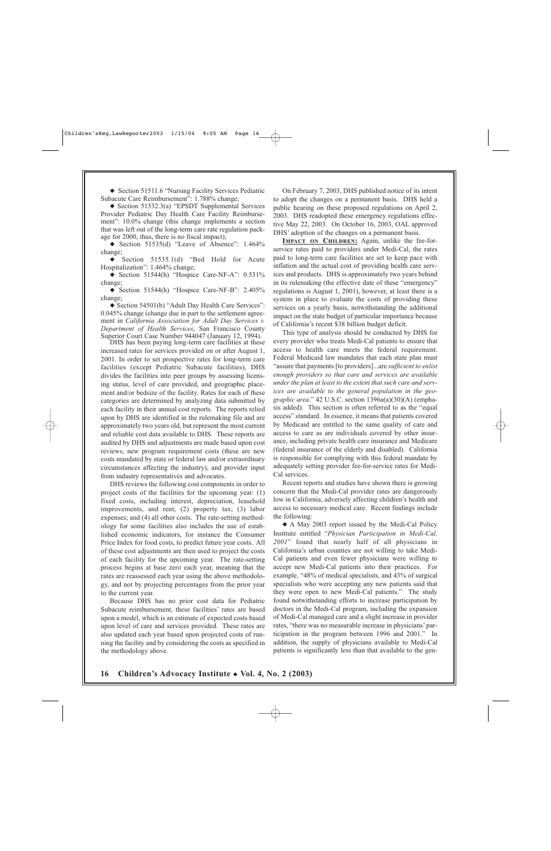◆ Section 51511.6 "Nursing Facility Services Pediatric Subacute Care Reimbursement": 1.788% change;

◆ Section 51532.3(a) "EPSDT Supplemental Services Provider Pediatric Day Health Care Facility Reimbursement": 10.0% change (this change implements a section that was left out of the long-term care rate regulation package for 2000, thus, there is no fiscal impact);

 $\blacklozenge$  Section 51535(d) "Leave of Absence": 1.464% change;

◆ Section 51535.1(d) "Bed Hold for Acute Hospitalization": 1.464% change;

◆ Section 51544(h) "Hospice Care-NF-A": 0.531% change;

◆ Section 51544(h) "Hospice Care-NF-B": 2.405% change;

◆ Section 54501(b) "Adult Day Health Care Services": 0.045% change (change due in part to the settlement agreement in *California Association for Adult Day Services v. Department of Health Services*, San Francisco County Superior Court Case Number 944047 (January 12, 1994).

DHS has been paying long-term care facilities at these increased rates for services provided on or after August 1, 2001. In order to set prospective rates for long-term care facilities (except Pediatric Subacute facilities), DHS divides the facilities into peer groups by assessing licensing status, level of care provided, and geographic placement and/or bedsize of the facility. Rates for each of these categories are determined by analyzing data submitted by each facility in their annual cost reports. The reports relied upon by DHS are identified in the rulemaking file and are approximately two years old, but represent the most current and reliable cost data available to DHS. These reports are audited by DHS and adjustments are made based upon cost reviews, new program requirement costs (these are new costs mandated by state or federal law and/or extraordinary circumstances affecting the industry), and provider input from industry representatives and advocates.

DHS reviews the following cost components in order to project costs of the facilities for the upcoming year: (1) fixed costs, including interest, depreciation, leasehold improvements, and rent; (2) property tax; (3) labor expenses; and (4) all other costs. The rate-setting methodology for some facilities also includes the use of established economic indicators, for instance the Consumer Price Index for food costs, to predict future year costs. All of these cost adjustments are then used to project the costs of each facility for the upcoming year. The rate-setting process begins at base zero each year, meaning that the rates are reassessed each year using the above methodology, and not by projecting percentages from the prior year to the current year.

Because DHS has no prior cost data for Pediatric Subacute reimbursement, these facilities' rates are based upon a model, which is an estimate of expected costs based upon level of care and services provided. These rates are also updated each year based upon projected costs of running the facility and by considering the costs as specified in the methodology above.

On February 7, 2003, DHS published notice of its intent to adopt the changes on a permanent basis. DHS held a public hearing on these proposed regulations on April 2, 2003. DHS readopted these emergency regulations effective May 22, 2003. On October 16, 2003, OAL approved DHS' adoption of the changes on a permanent basis.

**IMPACT ON CHILDREN:** Again, unlike the fee-forservice rates paid to providers under Medi-Cal, the rates paid to long-term care facilities are set to keep pace with inflation and the actual cost of providing health care services and products. DHS is approximately two years behind in its rulemaking (the effective date of these "emergency" regulations is August 1, 2001), however, at least there is a system in place to evaluate the costs of providing these services on a yearly basis, notwithstanding the additional impact on the state budget of particular importance because of California's recent \$38 billion budget deficit.

This type of analysis should be conducted by DHS for every provider who treats Medi-Cal patients to ensure that access to health care meets the federal requirement. Federal Medicaid law mandates that each state plan must "assure that payments [to providers]...are *sufficient to enlist enough providers so that care and services are available under the plan at least to the extent that such care and services are available to the general population in the geographic area*." 42 U.S.C. section 1396a(a)(30)(A) (emphasis added). This section is often referred to as the "equal access" standard. In essence, it means that patients covered by Medicaid are entitled to the same quality of care and access to care as are individuals covered by other insurance, including private health care insurance and Medicare (federal insurance of the elderly and disabled). California is responsible for complying with this federal mandate by adequately setting provider fee-for-service rates for Medi-Cal services.

Recent reports and studies have shown there is growing concern that the Medi-Cal provider rates are dangerously low in California, adversely affecting children's health and access to necessary medical care. Recent findings include the following:

◆ A May 2003 report issued by the Medi-Cal Policy Institute entitled "*Physician Participation in Medi-Cal, 2001*" found that nearly half of all physicians in California's urban counties are not willing to take Medi-Cal patients and even fewer physicians were willing to accept new Medi-Cal patients into their practices. For example, "48% of medical specialists, and 43% of surgical specialists who were accepting any new patients said that they were open to new Medi-Cal patients." The study found notwithstanding efforts to increase participation by doctors in the Medi-Cal program, including the expansion of Medi-Cal managed care and a slight increase in provider rates, "there was no measurable increase in physicians' participation in the program between 1996 and 2001." In addition, the supply of physicians available to Medi-Cal patients is significantly less than that available to the gen-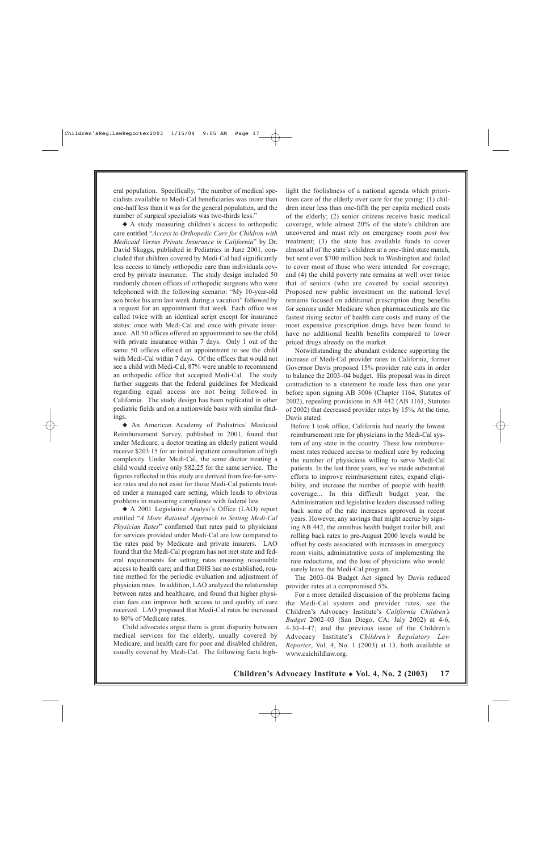eral population. Specifically, "the number of medical specialists available to Medi-Cal beneficiaries was more than one-half less than it was for the general population, and the number of surgical specialists was two-thirds less."

◆ A study measuring children's access to orthopedic care entitled "*Access to Orthopedic Care for Children with Medicaid Versus Private Insurance in California*" by Dr. David Skaggs, published in Pediatrics in June 2001, concluded that children covered by Medi-Cal had significantly less access to timely orthopedic care than individuals covered by private insurance. The study design included 50 randomly chosen offices of orthopedic surgeons who were telephoned with the following scenario: "My 10-year-old son broke his arm last week during a vacation" followed by a request for an appointment that week. Each office was called twice with an identical script except for insurance status: once with Medi-Cal and once with private insurance. All 50 offices offered an appointment to see the child with private insurance within 7 days. Only 1 out of the same 50 offices offered an appointment to see the child with Medi-Cal within 7 days. Of the offices that would not see a child with Medi-Cal, 87% were unable to recommend an orthopedic office that accepted Medi-Cal. The study further suggests that the federal guidelines for Medicaid regarding equal access are not being followed in California. The study design has been replicated in other pediatric fields and on a nationwide basis with similar findings.

◆ An American Academy of Pediatrics' Medicaid Reimbursement Survey, published in 2001, found that under Medicare, a doctor treating an elderly patient would receive \$203.15 for an initial inpatient consultation of high complexity. Under Medi-Cal, the same doctor treating a child would receive only \$82.25 for the same service. The figures reflected in this study are derived from fee-for-service rates and do not exist for those Medi-Cal patients treated under a managed care setting, which leads to obvious problems in measuring compliance with federal law.

◆ A 2001 Legislative Analyst's Office (LAO) report entitled "*A More Rational Approach to Setting Medi-Cal Physician Rates*" confirmed that rates paid to physicians for services provided under Medi-Cal are low compared to the rates paid by Medicare and private insurers. LAO found that the Medi-Cal program has not met state and federal requirements for setting rates ensuring reasonable access to health care; and that DHS has no established, routine method for the periodic evaluation and adjustment of physician rates. In addition, LAO analyzed the relationship between rates and healthcare, and found that higher physician fees can improve both access to and quality of care received. LAO proposed that Medi-Cal rates be increased to 80% of Medicare rates.

Child advocates argue there is great disparity between medical services for the elderly, usually covered by Medicare, and health care for poor and disabled children, usually covered by Medi-Cal. The following facts highlight the foolishness of a national agenda which prioritizes care of the elderly over care for the young: (1) children incur less than one-fifth the per capita medical costs of the elderly; (2) senior citizens receive basic medical coverage, while almost 20% of the state's children are uncovered and must rely on emergency room *post hoc* treatment; (3) the state has available funds to cover almost all of the state's children at a one-third state match, but sent over \$700 million back to Washington and failed to cover most of those who were intended for coverage; and (4) the child poverty rate remains at well over twice that of seniors (who are covered by social security). Proposed new public investment on the national level remains focused on additional prescription drug benefits for seniors under Medicare when pharmaceuticals are the fastest rising sector of health care costs and many of the most expensive prescription drugs have been found to have no additional health benefits compared to lower priced drugs already on the market.

Notwithstanding the abundant evidence supporting the increase of Medi-Cal provider rates in California, former Governor Davis proposed 15% provider rate cuts in order to balance the 2003–04 budget. His proposal was in direct contradiction to a statement he made less than one year before upon signing AB 3006 (Chapter 1164, Statutes of 2002), repealing provisions in AB 442 (AB 1161, Statutes of 2002) that decreased provider rates by 15%. At the time, Davis stated:

Before I took office, California had nearly the lowest reimbursement rate for physicians in the Medi-Cal system of any state in the country. These low reimbursement rates reduced access to medical care by reducing the number of physicians willing to serve Medi-Cal patients. In the last three years, we've made substantial efforts to improve reimbursement rates, expand eligibility, and increase the number of people with health coverage... In this difficult budget year, the Administration and legislative leaders discussed rolling back some of the rate increases approved in recent years. However, any savings that might accrue by signing AB 442, the omnibus health budget trailer bill, and rolling back rates to pre-August 2000 levels would be offset by costs associated with increases in emergency room visits, administrative costs of implementing the rate reductions, and the loss of physicians who would surely leave the Medi-Cal program.

The 2003–04 Budget Act signed by Davis reduced provider rates at a compromised 5%.

For a more detailed discussion of the problems facing the Medi-Cal system and provider rates, see the Children's Advocacy Institute's *California Children's Budget* 2002–03 (San Diego, CA; July 2002) at 4-6, 4-30-4-47; and the previous issue of the Children's Advocacy Institute's *Children's Regulatory Law Reporter*, Vol. 4, No. 1 (2003) at 13, both available at www.caichildlaw.org.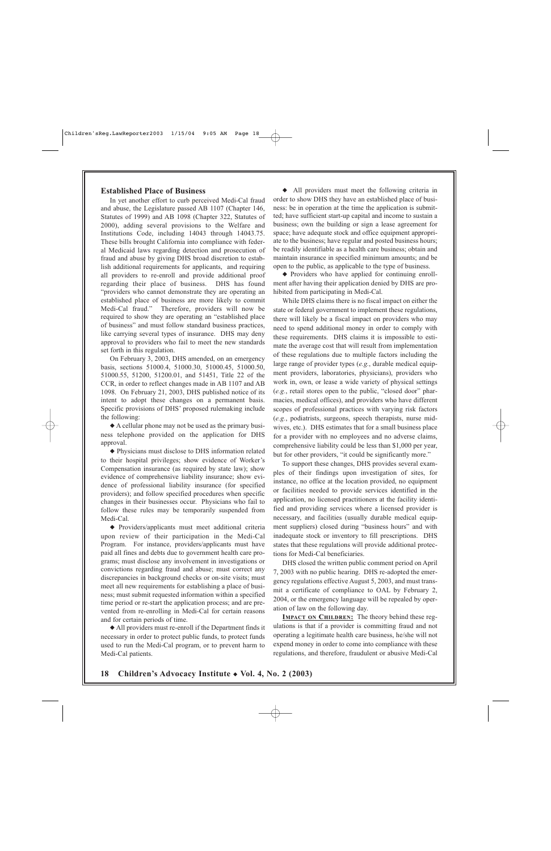#### **Established Place of Business**

In yet another effort to curb perceived Medi-Cal fraud and abuse, the Legislature passed AB 1107 (Chapter 146, Statutes of 1999) and AB 1098 (Chapter 322, Statutes of 2000), adding several provisions to the Welfare and Institutions Code, including 14043 through 14043.75. These bills brought California into compliance with federal Medicaid laws regarding detection and prosecution of fraud and abuse by giving DHS broad discretion to establish additional requirements for applicants, and requiring all providers to re-enroll and provide additional proof regarding their place of business. DHS has found "providers who cannot demonstrate they are operating an established place of business are more likely to commit Medi-Cal fraud." Therefore, providers will now be required to show they are operating an "established place of business" and must follow standard business practices, like carrying several types of insurance. DHS may deny approval to providers who fail to meet the new standards set forth in this regulation.

On February 3, 2003, DHS amended, on an emergency basis, sections 51000.4, 51000.30, 51000.45, 51000.50, 51000.55, 51200, 51200.01, and 51451, Title 22 of the CCR, in order to reflect changes made in AB 1107 and AB 1098. On February 21, 2003, DHS published notice of its intent to adopt these changes on a permanent basis. Specific provisions of DHS' proposed rulemaking include the following:

◆ A cellular phone may not be used as the primary business telephone provided on the application for DHS approval.

◆ Physicians must disclose to DHS information related to their hospital privileges; show evidence of Worker's Compensation insurance (as required by state law); show evidence of comprehensive liability insurance; show evidence of professional liability insurance (for specified providers); and follow specified procedures when specific changes in their businesses occur. Physicians who fail to follow these rules may be temporarily suspended from Medi-Cal.

◆ Providers/applicants must meet additional criteria upon review of their participation in the Medi-Cal Program. For instance, providers/applicants must have paid all fines and debts due to government health care programs; must disclose any involvement in investigations or convictions regarding fraud and abuse; must correct any discrepancies in background checks or on-site visits; must meet all new requirements for establishing a place of business; must submit requested information within a specified time period or re-start the application process; and are prevented from re-enrolling in Medi-Cal for certain reasons and for certain periods of time.

◆ All providers must re-enroll if the Department finds it necessary in order to protect public funds, to protect funds used to run the Medi-Cal program, or to prevent harm to Medi-Cal patients.

◆ All providers must meet the following criteria in order to show DHS they have an established place of business: be in operation at the time the application is submitted; have sufficient start-up capital and income to sustain a business; own the building or sign a lease agreement for space; have adequate stock and office equipment appropriate to the business; have regular and posted business hours; be readily identifiable as a health care business; obtain and maintain insurance in specified minimum amounts; and be open to the public, as applicable to the type of business.

◆ Providers who have applied for continuing enrollment after having their application denied by DHS are prohibited from participating in Medi-Cal.

While DHS claims there is no fiscal impact on either the state or federal government to implement these regulations, there will likely be a fiscal impact on providers who may need to spend additional money in order to comply with these requirements. DHS claims it is impossible to estimate the average cost that will result from implementation of these regulations due to multiple factors including the large range of provider types (*e.g.*, durable medical equipment providers, laboratories, physicians), providers who work in, own, or lease a wide variety of physical settings (*e.g.*, retail stores open to the public, "closed door" pharmacies, medical offices), and providers who have different scopes of professional practices with varying risk factors (*e.g.*, podiatrists, surgeons, speech therapists, nurse midwives, etc.). DHS estimates that for a small business place for a provider with no employees and no adverse claims, comprehensive liability could be less than \$1,000 per year, but for other providers, "it could be significantly more."

To support these changes, DHS provides several examples of their findings upon investigation of sites, for instance, no office at the location provided, no equipment or facilities needed to provide services identified in the application, no licensed practitioners at the facility identified and providing services where a licensed provider is necessary, and facilities (usually durable medical equipment suppliers) closed during "business hours" and with inadequate stock or inventory to fill prescriptions. DHS states that these regulations will provide additional protections for Medi-Cal beneficiaries.

DHS closed the written public comment period on April 7, 2003 with no public hearing. DHS re-adopted the emergency regulations effective August 5, 2003, and must transmit a certificate of compliance to OAL by February 2, 2004, or the emergency language will be repealed by operation of law on the following day.

**IMPACT ON CHILDREN:** The theory behind these regulations is that if a provider is committing fraud and not operating a legitimate health care business, he/she will not expend money in order to come into compliance with these regulations, and therefore, fraudulent or abusive Medi-Cal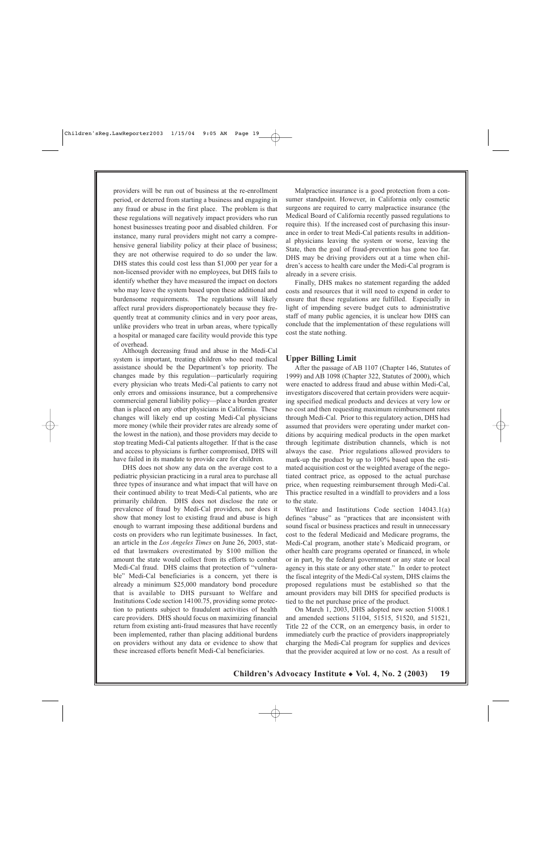providers will be run out of business at the re-enrollment period, or deterred from starting a business and engaging in any fraud or abuse in the first place. The problem is that these regulations will negatively impact providers who run honest businesses treating poor and disabled children. For instance, many rural providers might not carry a comprehensive general liability policy at their place of business; they are not otherwise required to do so under the law. DHS states this could cost less than \$1,000 per year for a non-licensed provider with no employees, but DHS fails to identify whether they have measured the impact on doctors who may leave the system based upon these additional and burdensome requirements. The regulations will likely affect rural providers disproportionately because they frequently treat at community clinics and in very poor areas, unlike providers who treat in urban areas, where typically a hospital or managed care facility would provide this type of overhead.

Although decreasing fraud and abuse in the Medi-Cal system is important, treating children who need medical assistance should be the Department's top priority. The changes made by this regulation—particularly requiring every physician who treats Medi-Cal patients to carry not only errors and omissions insurance, but a comprehensive commercial general liability policy—place a burden greater than is placed on any other physicians in California. These changes will likely end up costing Medi-Cal physicians more money (while their provider rates are already some of the lowest in the nation), and those providers may decide to stop treating Medi-Cal patients altogether. If that is the case and access to physicians is further compromised, DHS will have failed in its mandate to provide care for children.

DHS does not show any data on the average cost to a pediatric physician practicing in a rural area to purchase all three types of insurance and what impact that will have on their continued ability to treat Medi-Cal patients, who are primarily children. DHS does not disclose the rate or prevalence of fraud by Medi-Cal providers, nor does it show that money lost to existing fraud and abuse is high enough to warrant imposing these additional burdens and costs on providers who run legitimate businesses. In fact, an article in the *Los Angeles Times* on June 26, 2003, stated that lawmakers overestimated by \$100 million the amount the state would collect from its efforts to combat Medi-Cal fraud. DHS claims that protection of "vulnerable" Medi-Cal beneficiaries is a concern, yet there is already a minimum \$25,000 mandatory bond procedure that is available to DHS pursuant to Welfare and Institutions Code section 14100.75, providing some protection to patients subject to fraudulent activities of health care providers. DHS should focus on maximizing financial return from existing anti-fraud measures that have recently been implemented, rather than placing additional burdens on providers without any data or evidence to show that these increased efforts benefit Medi-Cal beneficiaries.

Malpractice insurance is a good protection from a consumer standpoint. However, in California only cosmetic surgeons are required to carry malpractice insurance (the Medical Board of California recently passed regulations to require this). If the increased cost of purchasing this insurance in order to treat Medi-Cal patients results in additional physicians leaving the system or worse, leaving the State, then the goal of fraud-prevention has gone too far. DHS may be driving providers out at a time when children's access to health care under the Medi-Cal program is already in a severe crisis.

Finally, DHS makes no statement regarding the added costs and resources that it will need to expend in order to ensure that these regulations are fulfilled. Especially in light of impending severe budget cuts to administrative staff of many public agencies, it is unclear how DHS can conclude that the implementation of these regulations will cost the state nothing.

#### **Upper Billing Limit**

After the passage of AB 1107 (Chapter 146, Statutes of 1999) and AB 1098 (Chapter 322, Statutes of 2000), which were enacted to address fraud and abuse within Medi-Cal, investigators discovered that certain providers were acquiring specified medical products and devices at very low or no cost and then requesting maximum reimbursement rates through Medi-Cal. Prior to this regulatory action, DHS had assumed that providers were operating under market conditions by acquiring medical products in the open market through legitimate distribution channels, which is not always the case. Prior regulations allowed providers to mark-up the product by up to 100% based upon the estimated acquisition cost or the weighted average of the negotiated contract price, as opposed to the actual purchase price, when requesting reimbursement through Medi-Cal. This practice resulted in a windfall to providers and a loss to the state.

Welfare and Institutions Code section 14043.1(a) defines "abuse" as "practices that are inconsistent with sound fiscal or business practices and result in unnecessary cost to the federal Medicaid and Medicare programs, the Medi-Cal program, another state's Medicaid program, or other health care programs operated or financed, in whole or in part, by the federal government or any state or local agency in this state or any other state." In order to protect the fiscal integrity of the Medi-Cal system, DHS claims the proposed regulations must be established so that the amount providers may bill DHS for specified products is tied to the net purchase price of the product.

On March 1, 2003, DHS adopted new section 51008.1 and amended sections 51104, 51515, 51520, and 51521, Title 22 of the CCR, on an emergency basis, in order to immediately curb the practice of providers inappropriately charging the Medi-Cal program for supplies and devices that the provider acquired at low or no cost. As a result of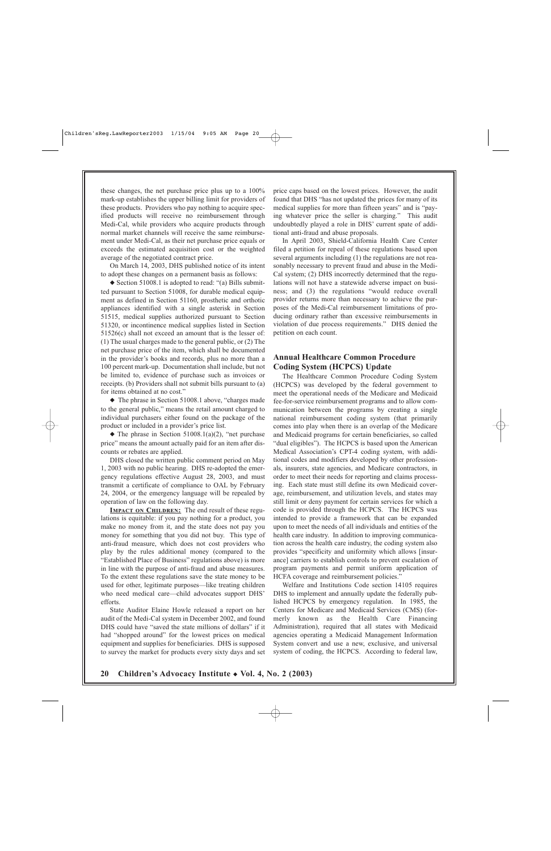these changes, the net purchase price plus up to a 100% mark-up establishes the upper billing limit for providers of these products. Providers who pay nothing to acquire specified products will receive no reimbursement through Medi-Cal, while providers who acquire products through normal market channels will receive the same reimbursement under Medi-Cal, as their net purchase price equals or exceeds the estimated acquisition cost or the weighted average of the negotiated contract price.

On March 14, 2003, DHS published notice of its intent to adopt these changes on a permanent basis as follows:

◆ Section 51008.1 is adopted to read: "(a) Bills submitted pursuant to Section 51008, for durable medical equipment as defined in Section 51160, prosthetic and orthotic appliances identified with a single asterisk in Section 51515, medical supplies authorized pursuant to Section 51320, or incontinence medical supplies listed in Section 51526(c) shall not exceed an amount that is the lesser of: (1) The usual charges made to the general public, or (2) The net purchase price of the item, which shall be documented in the provider's books and records, plus no more than a 100 percent mark-up. Documentation shall include, but not be limited to, evidence of purchase such as invoices or receipts. (b) Providers shall not submit bills pursuant to (a) for items obtained at no cost."

◆ The phrase in Section 51008.1 above, "charges made to the general public," means the retail amount charged to individual purchasers either found on the package of the product or included in a provider's price list.

 $\blacklozenge$  The phrase in Section 51008.1(a)(2), "net purchase price" means the amount actually paid for an item after discounts or rebates are applied.

DHS closed the written public comment period on May 1, 2003 with no public hearing. DHS re-adopted the emergency regulations effective August 28, 2003, and must transmit a certificate of compliance to OAL by February 24, 2004, or the emergency language will be repealed by operation of law on the following day.

**IMPACT ON CHILDREN:** The end result of these regulations is equitable: if you pay nothing for a product, you make no money from it, and the state does not pay you money for something that you did not buy. This type of anti-fraud measure, which does not cost providers who play by the rules additional money (compared to the "Established Place of Business" regulations above) is more in line with the purpose of anti-fraud and abuse measures. To the extent these regulations save the state money to be used for other, legitimate purposes—like treating children who need medical care—child advocates support DHS' efforts.

State Auditor Elaine Howle released a report on her audit of the Medi-Cal system in December 2002, and found DHS could have "saved the state millions of dollars" if it had "shopped around" for the lowest prices on medical equipment and supplies for beneficiaries. DHS is supposed to survey the market for products every sixty days and set price caps based on the lowest prices. However, the audit found that DHS "has not updated the prices for many of its medical supplies for more than fifteen years" and is "paying whatever price the seller is charging." This audit undoubtedly played a role in DHS' current spate of additional anti-fraud and abuse proposals.

In April 2003, Shield-California Health Care Center filed a petition for repeal of these regulations based upon several arguments including (1) the regulations are not reasonably necessary to prevent fraud and abuse in the Medi-Cal system; (2) DHS incorrectly determined that the regulations will not have a statewide adverse impact on business; and (3) the regulations "would reduce overall provider returns more than necessary to achieve the purposes of the Medi-Cal reimbursement limitations of producing ordinary rather than excessive reimbursements in violation of due process requirements." DHS denied the petition on each count.

### **Annual Healthcare Common Procedure Coding System (HCPCS) Update**

The Healthcare Common Procedure Coding System (HCPCS) was developed by the federal government to meet the operational needs of the Medicare and Medicaid fee-for-service reimbursement programs and to allow communication between the programs by creating a single national reimbursement coding system (that primarily comes into play when there is an overlap of the Medicare and Medicaid programs for certain beneficiaries, so called "dual eligibles"). The HCPCS is based upon the American Medical Association's CPT-4 coding system, with additional codes and modifiers developed by other professionals, insurers, state agencies, and Medicare contractors, in order to meet their needs for reporting and claims processing. Each state must still define its own Medicaid coverage, reimbursement, and utilization levels, and states may still limit or deny payment for certain services for which a code is provided through the HCPCS. The HCPCS was intended to provide a framework that can be expanded upon to meet the needs of all individuals and entities of the health care industry. In addition to improving communication across the health care industry, the coding system also provides "specificity and uniformity which allows [insurance] carriers to establish controls to prevent escalation of program payments and permit uniform application of HCFA coverage and reimbursement policies."

Welfare and Institutions Code section 14105 requires DHS to implement and annually update the federally published HCPCS by emergency regulation. In 1985, the Centers for Medicare and Medicaid Services (CMS) (formerly known as the Health Care Financing Administration), required that all states with Medicaid agencies operating a Medicaid Management Information System convert and use a new, exclusive, and universal system of coding, the HCPCS. According to federal law,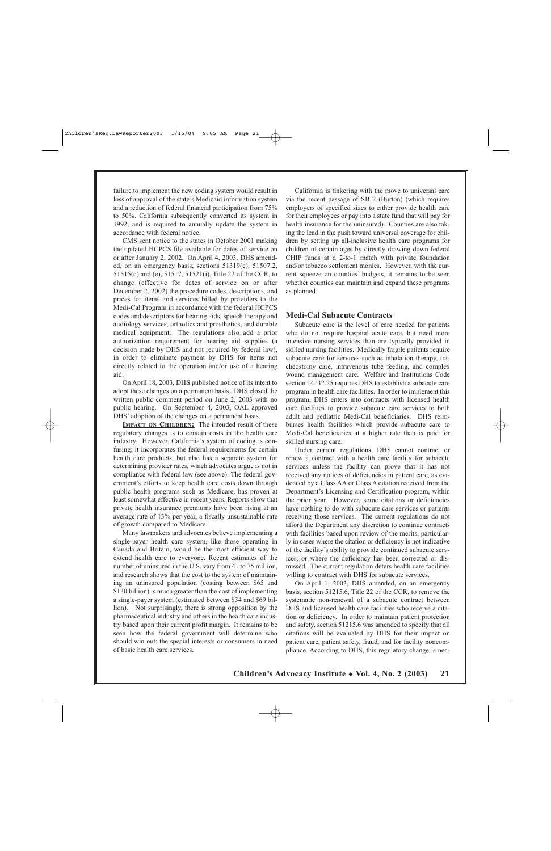failure to implement the new coding system would result in loss of approval of the state's Medicaid information system and a reduction of federal financial participation from 75% to 50%. California subsequently converted its system in 1992, and is required to annually update the system in accordance with federal notice.

CMS sent notice to the states in October 2001 making the updated HCPCS file available for dates of service on or after January 2, 2002. On April 4, 2003, DHS amended, on an emergency basis, sections 51319(c), 51507.2, 51515(c) and (e), 51517, 51521(i), Title 22 of the CCR, to change (effective for dates of service on or after December 2, 2002) the procedure codes, descriptions, and prices for items and services billed by providers to the Medi-Cal Program in accordance with the federal HCPCS codes and descriptors for hearing aids, speech therapy and audiology services, orthotics and prosthetics, and durable medical equipment. The regulations also add a prior authorization requirement for hearing aid supplies (a decision made by DHS and not required by federal law), in order to eliminate payment by DHS for items not directly related to the operation and/or use of a hearing aid.

On April 18, 2003, DHS published notice of its intent to adopt these changes on a permanent basis. DHS closed the written public comment period on June 2, 2003 with no public hearing. On September 4, 2003, OAL approved DHS' adoption of the changes on a permanent basis.

**IMPACT ON CHILDREN:** The intended result of these regulatory changes is to contain costs in the health care industry. However, California's system of coding is confusing: it incorporates the federal requirements for certain health care products, but also has a separate system for determining provider rates, which advocates argue is not in compliance with federal law (see above). The federal government's efforts to keep health care costs down through public health programs such as Medicare, has proven at least somewhat effective in recent years. Reports show that private health insurance premiums have been rising at an average rate of 13% per year, a fiscally unsustainable rate of growth compared to Medicare.

Many lawmakers and advocates believe implementing a single-payer health care system, like those operating in Canada and Britain, would be the most efficient way to extend health care to everyone. Recent estimates of the number of uninsured in the U.S. vary from 41 to 75 million, and research shows that the cost to the system of maintaining an uninsured population (costing between \$65 and \$130 billion) is much greater than the cost of implementing a single-payer system (estimated between \$34 and \$69 billion). Not surprisingly, there is strong opposition by the pharmaceutical industry and others in the health care industry based upon their current profit margin. It remains to be seen how the federal government will determine who should win out: the special interests or consumers in need of basic health care services.

California is tinkering with the move to universal care via the recent passage of SB 2 (Burton) (which requires employers of specified sizes to either provide health care for their employees or pay into a state fund that will pay for health insurance for the uninsured). Counties are also taking the lead in the push toward universal coverage for children by setting up all-inclusive health care programs for children of certain ages by directly drawing down federal CHIP funds at a 2-to-1 match with private foundation and/or tobacco settlement monies. However, with the current squeeze on counties' budgets, it remains to be seen whether counties can maintain and expand these programs as planned.

#### **Medi-Cal Subacute Contracts**

Subacute care is the level of care needed for patients who do not require hospital acute care, but need more intensive nursing services than are typically provided in skilled nursing facilities. Medically fragile patients require subacute care for services such as inhalation therapy, tracheostomy care, intravenous tube feeding, and complex wound management care. Welfare and Institutions Code section 14132.25 requires DHS to establish a subacute care program in health care facilities. In order to implement this program, DHS enters into contracts with licensed health care facilities to provide subacute care services to both adult and pediatric Medi-Cal beneficiaries. DHS reimburses health facilities which provide subacute care to Medi-Cal beneficiaries at a higher rate than is paid for skilled nursing care.

Under current regulations, DHS cannot contract or renew a contract with a health care facility for subacute services unless the facility can prove that it has not received any notices of deficiencies in patient care, as evidenced by a Class AA or Class A citation received from the Department's Licensing and Certification program, within the prior year. However, some citations or deficiencies have nothing to do with subacute care services or patients receiving those services. The current regulations do not afford the Department any discretion to continue contracts with facilities based upon review of the merits, particularly in cases where the citation or deficiency is not indicative of the facility's ability to provide continued subacute services, or where the deficiency has been corrected or dismissed. The current regulation deters health care facilities willing to contract with DHS for subacute services.

On April 1, 2003, DHS amended, on an emergency basis, section 51215.6, Title 22 of the CCR, to remove the systematic non-renewal of a subacute contract between DHS and licensed health care facilities who receive a citation or deficiency. In order to maintain patient protection and safety, section 51215.6 was amended to specify that all citations will be evaluated by DHS for their impact on patient care, patient safety, fraud, and for facility noncompliance. According to DHS, this regulatory change is nec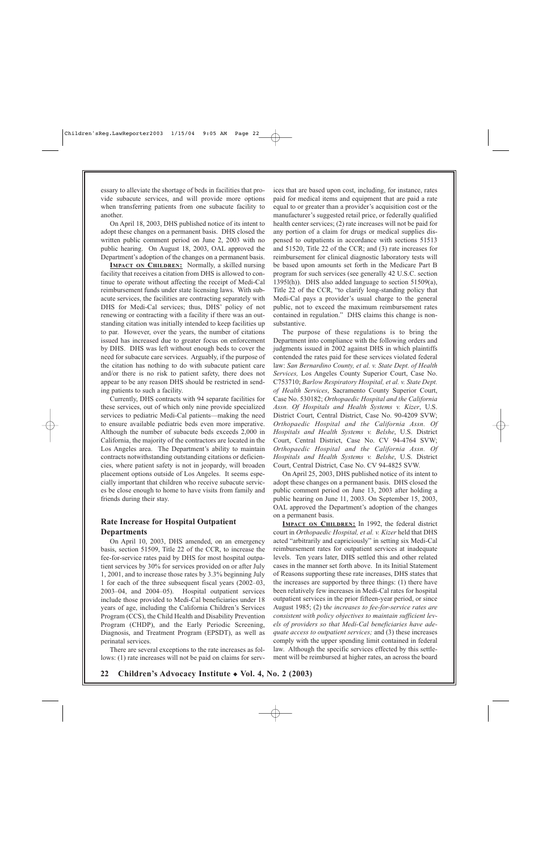essary to alleviate the shortage of beds in facilities that provide subacute services, and will provide more options when transferring patients from one subacute facility to another.

On April 18, 2003, DHS published notice of its intent to adopt these changes on a permanent basis. DHS closed the written public comment period on June 2, 2003 with no public hearing. On August 18, 2003, OAL approved the Department's adoption of the changes on a permanent basis.

**IMPACT ON CHILDREN:** Normally, a skilled nursing facility that receives a citation from DHS is allowed to continue to operate without affecting the receipt of Medi-Cal reimbursement funds under state licensing laws. With subacute services, the facilities are contracting separately with DHS for Medi-Cal services; thus, DHS' policy of not renewing or contracting with a facility if there was an outstanding citation was initially intended to keep facilities up to par. However, over the years, the number of citations issued has increased due to greater focus on enforcement by DHS. DHS was left without enough beds to cover the need for subacute care services. Arguably, if the purpose of the citation has nothing to do with subacute patient care and/or there is no risk to patient safety, there does not appear to be any reason DHS should be restricted in sending patients to such a facility.

Currently, DHS contracts with 94 separate facilities for these services, out of which only nine provide specialized services to pediatric Medi-Cal patients—making the need to ensure available pediatric beds even more imperative. Although the number of subacute beds exceeds 2,000 in California, the majority of the contractors are located in the Los Angeles area. The Department's ability to maintain contracts notwithstanding outstanding citations or deficiencies, where patient safety is not in jeopardy, will broaden placement options outside of Los Angeles. It seems especially important that children who receive subacute services be close enough to home to have visits from family and friends during their stay.

## **Rate Increase for Hospital Outpatient Departments**

On April 10, 2003, DHS amended, on an emergency basis, section 51509, Title 22 of the CCR, to increase the fee-for-service rates paid by DHS for most hospital outpatient services by 30% for services provided on or after July 1, 2001, and to increase those rates by 3.3% beginning July 1 for each of the three subsequent fiscal years (2002–03, 2003–04, and 2004–05). Hospital outpatient services include those provided to Medi-Cal beneficiaries under 18 years of age, including the California Children's Services Program (CCS), the Child Health and Disability Prevention Program (CHDP), and the Early Periodic Screening, Diagnosis, and Treatment Program (EPSDT), as well as perinatal services.

There are several exceptions to the rate increases as follows: (1) rate increases will not be paid on claims for services that are based upon cost, including, for instance, rates paid for medical items and equipment that are paid a rate equal to or greater than a provider's acquisition cost or the manufacturer's suggested retail price, or federally qualified health center services; (2) rate increases will not be paid for any portion of a claim for drugs or medical supplies dispensed to outpatients in accordance with sections 51513 and 51520, Title 22 of the CCR; and (3) rate increases for reimbursement for clinical diagnostic laboratory tests will be based upon amounts set forth in the Medicare Part B program for such services (see generally 42 U.S.C. section 1395l(h)). DHS also added language to section 51509(a), Title 22 of the CCR, "to clarify long-standing policy that Medi-Cal pays a provider's usual charge to the general public, not to exceed the maximum reimbursement rates contained in regulation." DHS claims this change is nonsubstantive.

The purpose of these regulations is to bring the Department into compliance with the following orders and judgments issued in 2002 against DHS in which plaintiffs contended the rates paid for these services violated federal law: *San Bernardino County, et al. v. State Dept. of Health Services,* Los Angeles County Superior Court, Case No. C753710; *Barlow Respiratory Hospital, et al. v. State Dept. of Health Services*, Sacramento County Superior Court, Case No. 530182; *Orthopaedic Hospital and the California Assn. Of Hospitals and Health Systems v. Kizer*, U.S. District Court, Central District, Case No. 90-4209 SVW; *Orthopaedic Hospital and the California Assn. Of Hospitals and Health Systems v. Belshe*, U.S. District Court, Central District, Case No. CV 94-4764 SVW; *Orthopaedic Hospital and the California Assn. Of Hospitals and Health Systems v. Belshe*, U.S. District Court, Central District, Case No. CV 94-4825 SVW.

On April 25, 2003, DHS published notice of its intent to adopt these changes on a permanent basis. DHS closed the public comment period on June 13, 2003 after holding a public hearing on June 11, 2003. On September 15, 2003, OAL approved the Department's adoption of the changes on a permanent basis.

**IMPACT ON CHILDREN:** In 1992, the federal district court in *Orthopaedic Hospital, et al. v. Kizer* held that DHS acted "arbitrarily and capriciously" in setting six Medi-Cal reimbursement rates for outpatient services at inadequate levels. Ten years later, DHS settled this and other related cases in the manner set forth above. In its Initial Statement of Reasons supporting these rate increases, DHS states that the increases are supported by three things: (1) there have been relatively few increases in Medi-Cal rates for hospital outpatient services in the prior fifteen-year period, or since August 1985; (2) t*he increases to fee-for-service rates are consistent with policy objectives to maintain sufficient levels of providers so that Medi-Cal beneficiaries have adequate access to outpatient services;* and (3) these increases comply with the upper spending limit contained in federal law. Although the specific services effected by this settlement will be reimbursed at higher rates, an across the board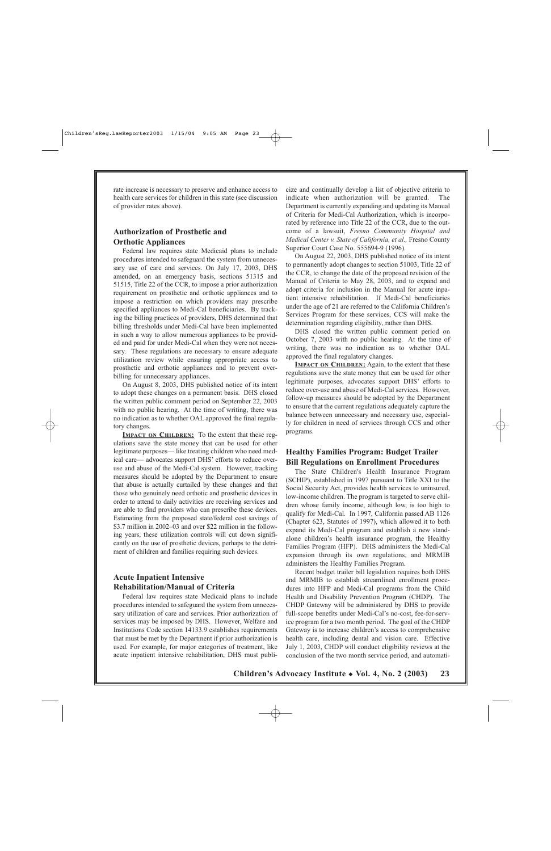rate increase is necessary to preserve and enhance access to health care services for children in this state (see discussion of provider rates above).

## **Authorization of Prosthetic and Orthotic Appliances**

Federal law requires state Medicaid plans to include procedures intended to safeguard the system from unnecessary use of care and services. On July 17, 2003, DHS amended, on an emergency basis, sections 51315 and 51515, Title 22 of the CCR, to impose a prior authorization requirement on prosthetic and orthotic appliances and to impose a restriction on which providers may prescribe specified appliances to Medi-Cal beneficiaries. By tracking the billing practices of providers, DHS determined that billing thresholds under Medi-Cal have been implemented in such a way to allow numerous appliances to be provided and paid for under Medi-Cal when they were not necessary. These regulations are necessary to ensure adequate utilization review while ensuring appropriate access to prosthetic and orthotic appliances and to prevent overbilling for unnecessary appliances.

On August 8, 2003, DHS published notice of its intent to adopt these changes on a permanent basis. DHS closed the written public comment period on September 22, 2003 with no public hearing. At the time of writing, there was no indication as to whether OAL approved the final regulatory changes.

**IMPACT ON CHILDREN:** To the extent that these regulations save the state money that can be used for other legitimate purposes— like treating children who need medical care— advocates support DHS' efforts to reduce overuse and abuse of the Medi-Cal system. However, tracking measures should be adopted by the Department to ensure that abuse is actually curtailed by these changes and that those who genuinely need orthotic and prosthetic devices in order to attend to daily activities are receiving services and are able to find providers who can prescribe these devices. Estimating from the proposed state/federal cost savings of \$3.7 million in 2002–03 and over \$22 million in the following years, these utilization controls will cut down significantly on the use of prosthetic devices, perhaps to the detriment of children and families requiring such devices.

## **Acute Inpatient Intensive Rehabilitation/Manual of Criteria**

Federal law requires state Medicaid plans to include procedures intended to safeguard the system from unnecessary utilization of care and services. Prior authorization of services may be imposed by DHS. However, Welfare and Institutions Code section 14133.9 establishes requirements that must be met by the Department if prior authorization is used. For example, for major categories of treatment, like acute inpatient intensive rehabilitation, DHS must publicize and continually develop a list of objective criteria to indicate when authorization will be granted. The Department is currently expanding and updating its Manual of Criteria for Medi-Cal Authorization, which is incorporated by reference into Title 22 of the CCR, due to the outcome of a lawsuit, *Fresno Community Hospital and Medical Center v. State of California, et al.,* Fresno County Superior Court Case No. 555694-9 (1996).

On August 22, 2003, DHS published notice of its intent to permanently adopt changes to section 51003, Title 22 of the CCR, to change the date of the proposed revision of the Manual of Criteria to May 28, 2003, and to expand and adopt criteria for inclusion in the Manual for acute inpatient intensive rehabilitation. If Medi-Cal beneficiaries under the age of 21 are referred to the California Children's Services Program for these services, CCS will make the determination regarding eligibility, rather than DHS.

DHS closed the written public comment period on October 7, 2003 with no public hearing. At the time of writing, there was no indication as to whether OAL approved the final regulatory changes.

**IMPACT ON CHILDREN:** Again, to the extent that these regulations save the state money that can be used for other legitimate purposes, advocates support DHS' efforts to reduce over-use and abuse of Medi-Cal services. However, follow-up measures should be adopted by the Department to ensure that the current regulations adequately capture the balance between unnecessary and necessary use, especially for children in need of services through CCS and other programs.

## **Healthy Families Program: Budget Trailer Bill Regulations on Enrollment Procedures**

The State Children's Health Insurance Program (SCHIP), established in 1997 pursuant to Title XXI to the Social Security Act, provides health services to uninsured, low-income children. The program is targeted to serve children whose family income, although low, is too high to qualify for Medi-Cal. In 1997, California passed AB 1126 (Chapter 623, Statutes of 1997), which allowed it to both expand its Medi-Cal program and establish a new standalone children's health insurance program, the Healthy Families Program (HFP). DHS administers the Medi-Cal expansion through its own regulations, and MRMIB administers the Healthy Families Program.

Recent budget trailer bill legislation requires both DHS and MRMIB to establish streamlined enrollment procedures into HFP and Medi-Cal programs from the Child Health and Disability Prevention Program (CHDP). The CHDP Gateway will be administered by DHS to provide full-scope benefits under Medi-Cal's no-cost, fee-for-service program for a two month period. The goal of the CHDP Gateway is to increase children's access to comprehensive health care, including dental and vision care. Effective July 1, 2003, CHDP will conduct eligibility reviews at the conclusion of the two month service period, and automati-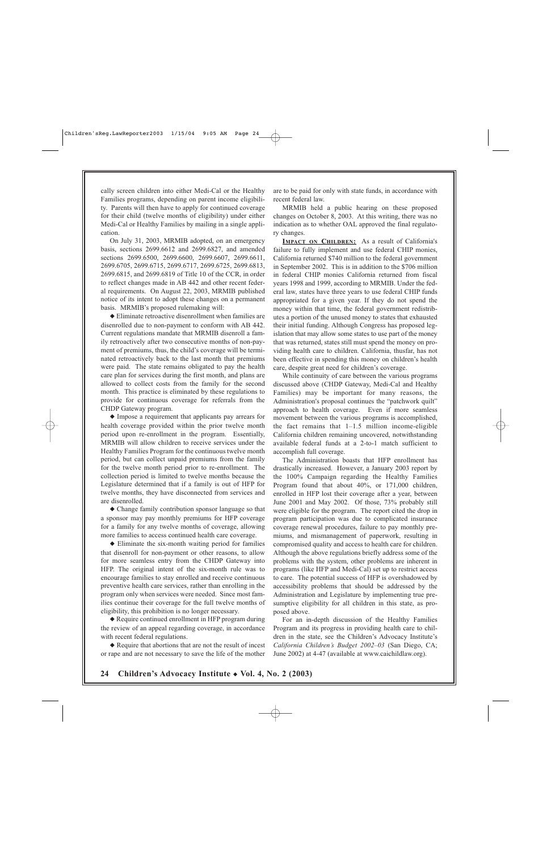cally screen children into either Medi-Cal or the Healthy Families programs, depending on parent income eligibility. Parents will then have to apply for continued coverage for their child (twelve months of eligibility) under either Medi-Cal or Healthy Families by mailing in a single application.

On July 31, 2003, MRMIB adopted, on an emergency basis, sections 2699.6612 and 2699.6827, and amended sections 2699.6500, 2699.6600, 2699.6607, 2699.6611, 2699.6705, 2699.6715, 2699.6717, 2699.6725, 2699.6813, 2699.6815, and 2699.6819 of Title 10 of the CCR, in order to reflect changes made in AB 442 and other recent federal requirements. On August 22, 2003, MRMIB published notice of its intent to adopt these changes on a permanent basis. MRMIB's proposed rulemaking will:

◆ Eliminate retroactive disenrollment when families are disenrolled due to non-payment to conform with AB 442. Current regulations mandate that MRMIB disenroll a family retroactively after two consecutive months of non-payment of premiums, thus, the child's coverage will be terminated retroactively back to the last month that premiums were paid. The state remains obligated to pay the health care plan for services during the first month, and plans are allowed to collect costs from the family for the second month. This practice is eliminated by these regulations to provide for continuous coverage for referrals from the CHDP Gateway program.

◆ Impose a requirement that applicants pay arrears for health coverage provided within the prior twelve month period upon re-enrollment in the program. Essentially, MRMIB will allow children to receive services under the Healthy Families Program for the continuous twelve month period, but can collect unpaid premiums from the family for the twelve month period prior to re-enrollment. The collection period is limited to twelve months because the Legislature determined that if a family is out of HFP for twelve months, they have disconnected from services and are disenrolled.

◆ Change family contribution sponsor language so that a sponsor may pay monthly premiums for HFP coverage for a family for any twelve months of coverage, allowing more families to access continued health care coverage.

◆ Eliminate the six-month waiting period for families that disenroll for non-payment or other reasons, to allow for more seamless entry from the CHDP Gateway into HFP. The original intent of the six-month rule was to encourage families to stay enrolled and receive continuous preventive health care services, rather than enrolling in the program only when services were needed. Since most families continue their coverage for the full twelve months of eligibility, this prohibition is no longer necessary.

◆ Require continued enrollment in HFP program during the review of an appeal regarding coverage, in accordance with recent federal regulations.

◆ Require that abortions that are not the result of incest or rape and are not necessary to save the life of the mother are to be paid for only with state funds, in accordance with recent federal law.

MRMIB held a public hearing on these proposed changes on October 8, 2003. At this writing, there was no indication as to whether OAL approved the final regulatory changes.

**IMPACT ON CHILDREN:** As a result of California's failure to fully implement and use federal CHIP monies, California returned \$740 million to the federal government in September 2002. This is in addition to the \$706 million in federal CHIP monies California returned from fiscal years 1998 and 1999, according to MRMIB. Under the federal law, states have three years to use federal CHIP funds appropriated for a given year. If they do not spend the money within that time, the federal government redistributes a portion of the unused money to states that exhausted their initial funding. Although Congress has proposed legislation that may allow some states to use part of the money that was returned, states still must spend the money on providing health care to children. California, thusfar, has not been effective in spending this money on children's health care, despite great need for children's coverage.

While continuity of care between the various programs discussed above (CHDP Gateway, Medi-Cal and Healthy Families) may be important for many reasons, the Administration's proposal continues the "patchwork quilt" approach to health coverage. Even if more seamless movement between the various programs is accomplished, the fact remains that  $1-1.5$  million income-eligible California children remaining uncovered, notwithstanding available federal funds at a 2-to-1 match sufficient to accomplish full coverage.

The Administration boasts that HFP enrollment has drastically increased. However, a January 2003 report by the 100% Campaign regarding the Healthy Families Program found that about 40%, or 171,000 children, enrolled in HFP lost their coverage after a year, between June 2001 and May 2002. Of those, 73% probably still were eligible for the program. The report cited the drop in program participation was due to complicated insurance coverage renewal procedures, failure to pay monthly premiums, and mismanagement of paperwork, resulting in compromised quality and access to health care for children. Although the above regulations briefly address some of the problems with the system, other problems are inherent in programs (like HFP and Medi-Cal) set up to restrict access to care. The potential success of HFP is overshadowed by accessibility problems that should be addressed by the Administration and Legislature by implementing true presumptive eligibility for all children in this state, as proposed above.

For an in-depth discussion of the Healthy Families Program and its progress in providing health care to children in the state, see the Children's Advocacy Institute's *California Children's Budget 2002–03* (San Diego, CA; June 2002) at 4-47 (available at www.caichildlaw.org).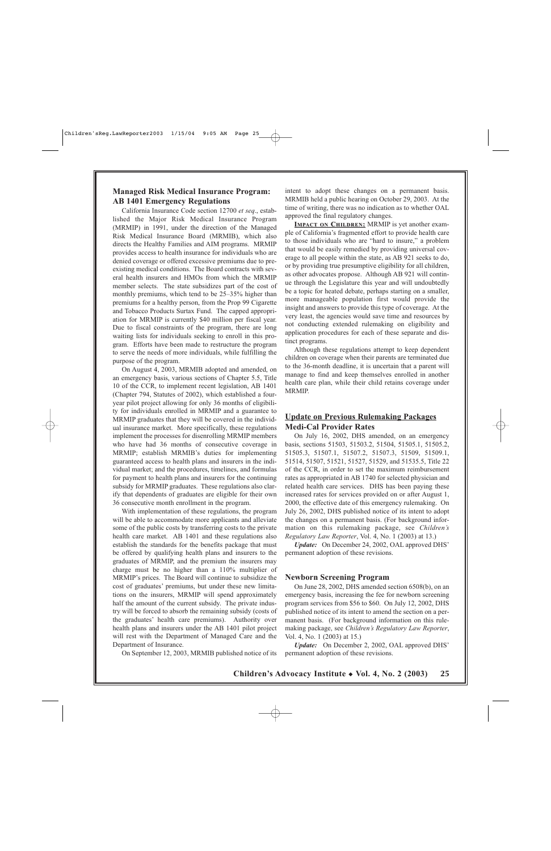#### **Managed Risk Medical Insurance Program: AB 1401 Emergency Regulations**

California Insurance Code section 12700 *et seq*., established the Major Risk Medical Insurance Program (MRMIP) in 1991, under the direction of the Managed Risk Medical Insurance Board (MRMIB), which also directs the Healthy Families and AIM programs. MRMIP provides access to health insurance for individuals who are denied coverage or offered excessive premiums due to preexisting medical conditions. The Board contracts with several health insurers and HMOs from which the MRMIP member selects. The state subsidizes part of the cost of monthly premiums, which tend to be 25–35% higher than premiums for a healthy person, from the Prop 99 Cigarette and Tobacco Products Surtax Fund. The capped appropriation for MRMIP is currently \$40 million per fiscal year. Due to fiscal constraints of the program, there are long waiting lists for individuals seeking to enroll in this program. Efforts have been made to restructure the program to serve the needs of more individuals, while fulfilling the purpose of the program.

On August 4, 2003, MRMIB adopted and amended, on an emergency basis, various sections of Chapter 5.5, Title 10 of the CCR, to implement recent legislation, AB 1401 (Chapter 794, Statutes of 2002), which established a fouryear pilot project allowing for only 36 months of eligibility for individuals enrolled in MRMIP and a guarantee to MRMIP graduates that they will be covered in the individual insurance market. More specifically, these regulations implement the processes for disenrolling MRMIP members who have had 36 months of consecutive coverage in MRMIP; establish MRMIB's duties for implementing guaranteed access to health plans and insurers in the individual market; and the procedures, timelines, and formulas for payment to health plans and insurers for the continuing subsidy for MRMIP graduates. These regulations also clarify that dependents of graduates are eligible for their own 36 consecutive month enrollment in the program.

With implementation of these regulations, the program will be able to accommodate more applicants and alleviate some of the public costs by transferring costs to the private health care market. AB 1401 and these regulations also establish the standards for the benefits package that must be offered by qualifying health plans and insurers to the graduates of MRMIP, and the premium the insurers may charge must be no higher than a 110% multiplier of MRMIP's prices. The Board will continue to subsidize the cost of graduates' premiums, but under these new limitations on the insurers, MRMIP will spend approximately half the amount of the current subsidy. The private industry will be forced to absorb the remaining subsidy (costs of the graduates' health care premiums). Authority over health plans and insurers under the AB 1401 pilot project will rest with the Department of Managed Care and the Department of Insurance.

On September 12, 2003, MRMIB published notice of its

intent to adopt these changes on a permanent basis. MRMIB held a public hearing on October 29, 2003. At the time of writing, there was no indication as to whether OAL approved the final regulatory changes.

**IMPACT ON CHILDREN:** MRMIP is yet another example of California's fragmented effort to provide health care to those individuals who are "hard to insure," a problem that would be easily remedied by providing universal coverage to all people within the state, as AB 921 seeks to do, or by providing true presumptive eligibility for all children, as other advocates propose. Although AB 921 will continue through the Legislature this year and will undoubtedly be a topic for heated debate, perhaps starting on a smaller, more manageable population first would provide the insight and answers to provide this type of coverage. At the very least, the agencies would save time and resources by not conducting extended rulemaking on eligibility and application procedures for each of these separate and distinct programs.

Although these regulations attempt to keep dependent children on coverage when their parents are terminated due to the 36-month deadline, it is uncertain that a parent will manage to find and keep themselves enrolled in another health care plan, while their child retains coverage under MRMIP.

### **Update on Previous Rulemaking Packages Medi-Cal Provider Rates**

On July 16, 2002, DHS amended, on an emergency basis, sections 51503, 51503.2, 51504, 51505.1, 51505.2, 51505.3, 51507.1, 51507.2, 51507.3, 51509, 51509.1, 51514, 51507, 51521, 51527, 51529, and 51535.5, Title 22 of the CCR, in order to set the maximum reimbursement rates as appropriated in AB 1740 for selected physician and related health care services. DHS has been paying these increased rates for services provided on or after August 1, 2000, the effective date of this emergency rulemaking. On July 26, 2002, DHS published notice of its intent to adopt the changes on a permanent basis. (For background information on this rulemaking package, see *Children's Regulatory Law Reporter*, Vol. 4, No. 1 (2003) at 13.)

*Update:* On December 24, 2002, OAL approved DHS' permanent adoption of these revisions.

#### **Newborn Screening Program**

On June 28, 2002, DHS amended section 6508(b), on an emergency basis, increasing the fee for newborn screening program services from \$56 to \$60. On July 12, 2002, DHS published notice of its intent to amend the section on a permanent basis. (For background information on this rulemaking package, see *Children's Regulatory Law Reporter*, Vol. 4, No. 1 (2003) at 15.)

*Update:* On December 2, 2002, OAL approved DHS' permanent adoption of these revisions.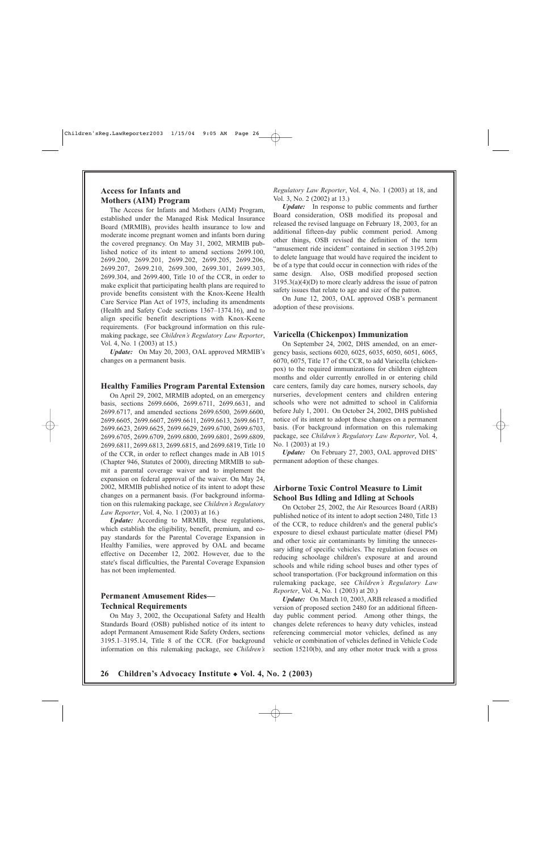## **Access for Infants and Mothers (AIM) Program**

The Access for Infants and Mothers (AIM) Program, established under the Managed Risk Medical Insurance Board (MRMIB), provides health insurance to low and moderate income pregnant women and infants born during the covered pregnancy. On May 31, 2002, MRMIB published notice of its intent to amend sections 2699.100, 2699.200, 2699.201, 2699.202, 2699.205, 2699.206, 2699.207, 2699.210, 2699.300, 2699.301, 2699.303, 2699.304, and 2699.400, Title 10 of the CCR, in order to make explicit that participating health plans are required to provide benefits consistent with the Knox-Keene Health Care Service Plan Act of 1975, including its amendments (Health and Safety Code sections 1367–1374.16), and to align specific benefit descriptions with Knox-Keene requirements. (For background information on this rulemaking package, see *Children's Regulatory Law Reporter*, Vol. 4, No. 1 (2003) at 15.)

*Update:* On May 20, 2003, OAL approved MRMIB's changes on a permanent basis.

#### **Healthy Families Program Parental Extension**

On April 29, 2002, MRMIB adopted, on an emergency basis, sections 2699.6606, 2699.6711, 2699.6631, and 2699.6717, and amended sections 2699.6500, 2699.6600, 2699.6605, 2699.6607, 2699.6611, 2699.6613, 2699.6617, 2699.6623, 2699.6625, 2699.6629, 2699.6700, 2699.6703, 2699.6705, 2699.6709, 2699.6800, 2699.6801, 2699.6809, 2699.6811, 2699.6813, 2699.6815, and 2699.6819, Title 10 of the CCR, in order to reflect changes made in AB 1015 (Chapter 946, Statutes of 2000), directing MRMIB to submit a parental coverage waiver and to implement the expansion on federal approval of the waiver. On May 24, 2002, MRMIB published notice of its intent to adopt these changes on a permanent basis. (For background information on this rulemaking package, see *Children's Regulatory Law Reporter*, Vol. 4, No. 1 (2003) at 16.)

*Update:* According to MRMIB, these regulations, which establish the eligibility, benefit, premium, and copay standards for the Parental Coverage Expansion in Healthy Families, were approved by OAL and became effective on December 12, 2002. However, due to the state's fiscal difficulties, the Parental Coverage Expansion has not been implemented.

#### **Permanent Amusement Rides— Technical Requirements**

On May 3, 2002, the Occupational Safety and Health Standards Board (OSB) published notice of its intent to adopt Permanent Amusement Ride Safety Orders, sections 3195.1–3195.14, Title 8 of the CCR. (For background information on this rulemaking package, see *Children's* *Regulatory Law Reporter*, Vol. 4, No. 1 (2003) at 18, and Vol. 3, No. 2 (2002) at 13.)

*Update:* In response to public comments and further Board consideration, OSB modified its proposal and released the revised language on February 18, 2003, for an additional fifteen-day public comment period. Among other things, OSB revised the definition of the term "amusement ride incident" contained in section 3195.2(b) to delete language that would have required the incident to be of a type that could occur in connection with rides of the same design. Also, OSB modified proposed section 3195.3(a)(4)(D) to more clearly address the issue of patron safety issues that relate to age and size of the patron.

On June 12, 2003, OAL approved OSB's permanent adoption of these provisions.

#### **Varicella (Chickenpox) Immunization**

On September 24, 2002, DHS amended, on an emergency basis, sections 6020, 6025, 6035, 6050, 6051, 6065, 6070, 6075, Title 17 of the CCR, to add Varicella (chickenpox) to the required immunizations for children eighteen months and older currently enrolled in or entering child care centers, family day care homes, nursery schools, day nurseries, development centers and children entering schools who were not admitted to school in California before July 1, 2001. On October 24, 2002, DHS published notice of its intent to adopt these changes on a permanent basis. (For background information on this rulemaking package, see *Children's Regulatory Law Reporter*, Vol. 4, No. 1 (2003) at 19.)

*Update:* On February 27, 2003, OAL approved DHS' permanent adoption of these changes.

### **Airborne Toxic Control Measure to Limit School Bus Idling and Idling at Schools**

On October 25, 2002, the Air Resources Board (ARB) published notice of its intent to adopt section 2480, Title 13 of the CCR, to reduce children's and the general public's exposure to diesel exhaust particulate matter (diesel PM) and other toxic air contaminants by limiting the unnecessary idling of specific vehicles. The regulation focuses on reducing schoolage children's exposure at and around schools and while riding school buses and other types of school transportation. (For background information on this rulemaking package, see *Children's Regulatory Law Reporter*, Vol. 4, No. 1 (2003) at 20.)

*Update:* On March 10, 2003, ARB released a modified version of proposed section 2480 for an additional fifteenday public comment period. Among other things, the changes delete references to heavy duty vehicles, instead referencing commercial motor vehicles, defined as any vehicle or combination of vehicles defined in Vehicle Code section 15210(b), and any other motor truck with a gross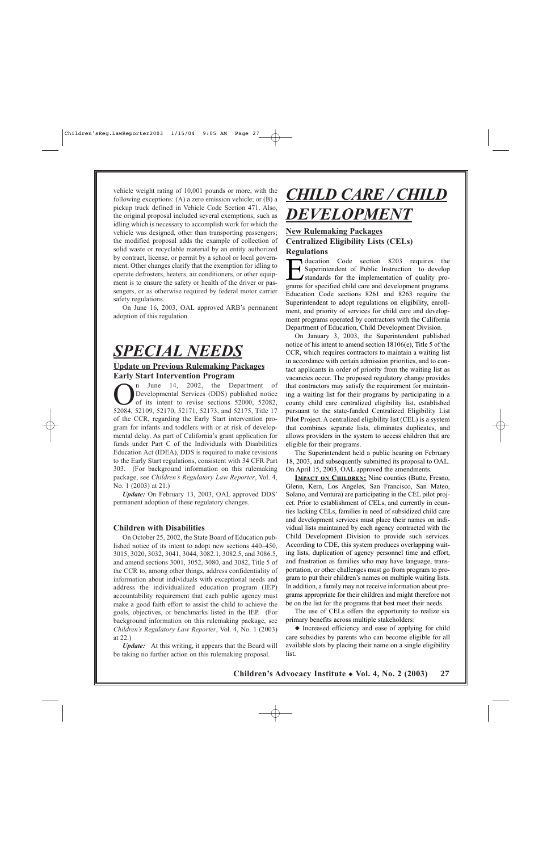vehicle weight rating of 10,001 pounds or more, with the following exceptions: (A) a zero emission vehicle; or (B) a pickup truck defined in Vehicle Code Section 471. Also, the original proposal included several exemptions, such as idling which is necessary to accomplish work for which the vehicle was designed, other than transporting passengers; the modified proposal adds the example of collection of solid waste or recyclable material by an entity authorized by contract, license, or permit by a school or local government. Other changes clarify that the exemption for idling to operate defrosters, heaters, air conditioners, or other equipment is to ensure the safety or health of the driver or passengers, or as otherwise required by federal motor carrier safety regulations.

On June 16, 2003, OAL approved ARB's permanent adoption of this regulation.

## *SPECIAL NEEDS*

### **Update on Previous Rulemaking Packages Early Start Intervention Program**

 $\bigodot$  The 14, 2002, the Department of Developmental Services (DDS) published notice<br>of its intent to revise sections 52000, 52082,<br>52084 52109 52170 52171 52173 and 52175 Title 17 Developmental Services (DDS) published notice of its intent to revise sections 52000, 52082, 52084, 52109, 52170, 52171, 52173, and 52175, Title 17 of the CCR, regarding the Early Start intervention program for infants and toddlers with or at risk of developmental delay. As part of California's grant application for funds under Part C of the Individuals with Disabilities Education Act (IDEA), DDS is required to make revisions to the Early Start regulations, consistent with 34 CFR Part 303. (For background information on this rulemaking package, see *Children's Regulatory Law Reporter*, Vol. 4, No. 1 (2003) at 21.)

*Update:* On February 13, 2003, OAL approved DDS' permanent adoption of these regulatory changes.

#### **Children with Disabilities**

On October 25, 2002, the State Board of Education published notice of its intent to adopt new sections 440–450, 3015, 3020, 3032, 3041, 3044, 3082.1, 3082.5, and 3086.5, and amend sections 3001, 3052, 3080, and 3082, Title 5 of the CCR to, among other things, address confidentiality of information about individuals with exceptional needs and address the individualized education program (IEP) accountability requirement that each public agency must make a good faith effort to assist the child to achieve the goals, objectives, or benchmarks listed in the IEP. (For background information on this rulemaking package, see *Children's Regulatory Law Reporter*, Vol. 4, No. 1 (2003) at 22.)

*Update:* At this writing, it appears that the Board will be taking no further action on this rulemaking proposal.

# *CHILD CARE / CHILD DEVELOPMENT*

## **New Rulemaking Packages Centralized Eligibility Lists (CELs) Regulations**

ducation Code section 8203 requires the Superintendent of Public Instruction to develop Istandards for the implementation of quality programs for specified child care and development programs. Education Code sections 8261 and 8263 require the Superintendent to adopt regulations on eligibility, enrollment, and priority of services for child care and development programs operated by contractors with the California Department of Education, Child Development Division.

On January 3, 2003, the Superintendent published notice of his intent to amend section 18106(e), Title 5 of the CCR, which requires contractors to maintain a waiting list in accordance with certain admission priorities, and to contact applicants in order of priority from the waiting list as vacancies occur. The proposed regulatory change provides that contractors may satisfy the requirement for maintaining a waiting list for their programs by participating in a county child care centralized eligibility list, established pursuant to the state-funded Centralized Eligibility List Pilot Project. A centralized eligibility list (CEL) is a system that combines separate lists, eliminates duplicates, and allows providers in the system to access children that are eligible for their programs.

The Superintendent held a public hearing on February 18, 2003, and subsequently submitted its proposal to OAL. On April 15, 2003, OAL approved the amendments.

**IMPACT ON CHILDREN:** Nine counties (Butte, Fresno, Glenn, Kern, Los Angeles, San Francisco, San Mateo, Solano, and Ventura) are participating in the CEL pilot project. Prior to establishment of CELs, and currently in counties lacking CELs, families in need of subsidized child care and development services must place their names on individual lists maintained by each agency contracted with the Child Development Division to provide such services. According to CDE, this system produces overlapping waiting lists, duplication of agency personnel time and effort, and frustration as families who may have language, transportation, or other challenges must go from program to program to put their children's names on multiple waiting lists. In addition, a family may not receive information about programs appropriate for their children and might therefore not be on the list for the programs that best meet their needs.

The use of CELs offers the opportunity to realize six primary benefits across multiple stakeholders:

◆ Increased efficiency and ease of applying for child care subsidies by parents who can become eligible for all available slots by placing their name on a single eligibility list.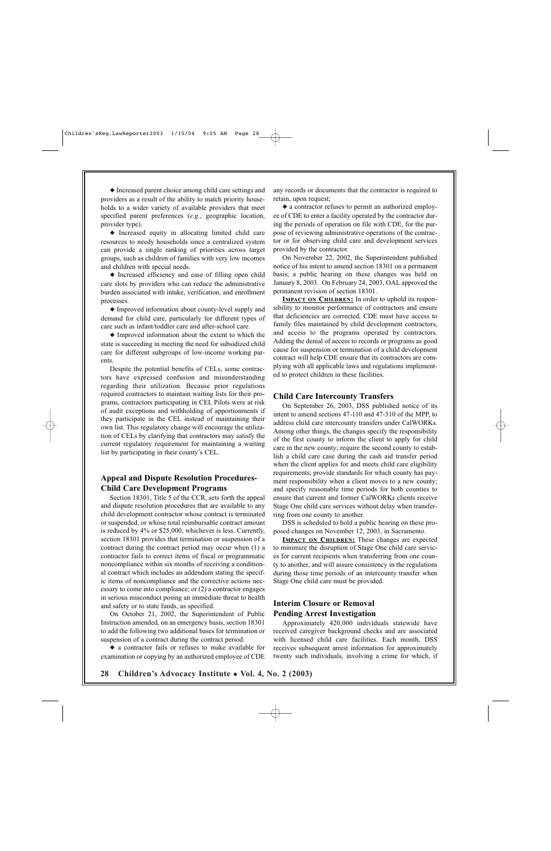◆ Increased parent choice among child care settings and providers as a result of the ability to match priority households to a wider variety of available providers that meet specified parent preferences (*e.g.*, geographic location, provider type).

◆ Increased equity in allocating limited child care resources to needy households since a centralized system can provide a single ranking of priorities across target groups, such as children of families with very low incomes and children with special needs.

◆ Increased efficiency and ease of filling open child care slots by providers who can reduce the administrative burden associated with intake, verification, and enrollment processes.

◆ Improved information about county-level supply and demand for child care, particularly for different types of care such as infant/toddler care and after-school care.

◆ Improved information about the extent to which the state is succeeding in meeting the need for subsidized child care for different subgroups of low-income working parents.

Despite the potential benefits of CELs, some contractors have expressed confusion and misunderstanding regarding their utilization. Because prior regulations required contractors to maintain waiting lists for their programs, contractors participating in CEL Pilots were at risk of audit exceptions and withholding of apportionments if they participate in the CEL instead of maintaining their own list. This regulatory change will encourage the utilization of CELs by clarifying that contractors may satisfy the current regulatory requirement for maintaining a waiting list by participating in their county's CEL.

### **Appeal and Dispute Resolution Procedures-Child Care Development Programs**

Section 18301, Title 5 of the CCR, sets forth the appeal and dispute resolution procedures that are available to any child development contractor whose contract is terminated or suspended, or whose total reimbursable contract amount is reduced by 4% or \$25,000, whichever is less. Currently, section 18301 provides that termination or suspension of a contract during the contract period may occur when (1) a contractor fails to correct items of fiscal or programmatic noncompliance within six months of receiving a conditional contract which includes an addendum stating the specific items of noncompliance and the corrective actions necessary to come into compliance; or (2) a contractor engages in serious misconduct posing an immediate threat to health and safety or to state funds, as specified.

On October 21, 2002, the Superintendent of Public Instruction amended, on an emergency basis, section 18301 to add the following two additional bases for termination or suspension of a contract during the contract period:

◆ a contractor fails or refuses to make available for examination or copying by an authorized employee of CDE any records or documents that the contractor is required to retain, upon request;

◆ a contractor refuses to permit an authorized employee of CDE to enter a facility operated by the contractor during the periods of operation on file with CDE, for the purpose of reviewing administrative operations of the contractor or for observing child care and development services provided by the contractor.

On November 22, 2002, the Superintendent published notice of his intent to amend section 18301 on a permanent basis; a public hearing on these changes was held on January 8, 2003. On February 24, 2003, OAL approved the permanent revision of section 18301.

**IMPACT ON CHILDREN:** In order to uphold its responsibility to monitor performance of contractors and ensure that deficiencies are corrected, CDE must have access to family files maintained by child development contractors, and access to the programs operated by contractors. Adding the denial of access to records or programs as good cause for suspension or termination of a child development contract will help CDE ensure that its contractors are complying with all applicable laws and regulations implemented to protect children in these facilities.

#### **Child Care Intercounty Transfers**

On September 26, 2003, DSS published notice of its intent to amend sections 47-110 and 47-310 of the MPP, to address child care intercounty transfers under CalWORKs. Among other things, the changes specify the responsibility of the first county to inform the client to apply for child care in the new county; require the second county to establish a child care case during the cash aid transfer period when the client applies for and meets child care eligibility requirements; provide standards for which county has payment responsibility when a client moves to a new county; and specify reasonable time periods for both counties to ensure that current and former CalWORKs clients receive Stage One child care services without delay when transferring from one county to another.

DSS is scheduled to hold a public hearing on these proposed changes on November 12, 2003, in Sacramento.

**IMPACT ON CHILDREN:** These changes are expected to minimize the disruption of Stage One child care services for current recipients when transferring from one county to another, and will assure consistency in the regulations during those time periods of an intercounty transfer when Stage One child care must be provided.

## **Interim Closure or Removal Pending Arrest Investigation**

Approximately 420,000 individuals statewide have received caregiver background checks and are associated with licensed child care facilities. Each month, DSS receives subsequent arrest information for approximately twenty such individuals, involving a crime for which, if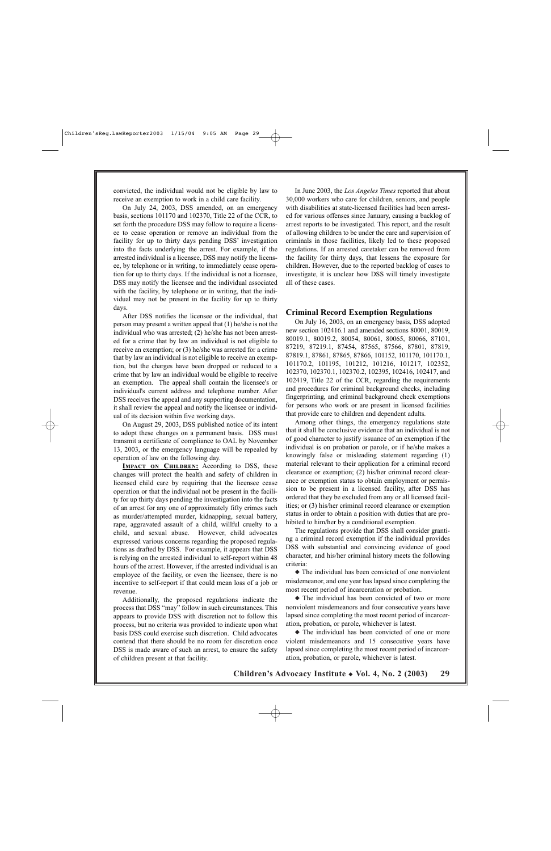convicted, the individual would not be eligible by law to receive an exemption to work in a child care facility.

On July 24, 2003, DSS amended, on an emergency basis, sections 101170 and 102370, Title 22 of the CCR, to set forth the procedure DSS may follow to require a licensee to cease operation or remove an individual from the facility for up to thirty days pending DSS' investigation into the facts underlying the arrest. For example, if the arrested individual is a licensee, DSS may notify the licensee, by telephone or in writing, to immediately cease operation for up to thirty days. If the individual is not a licensee, DSS may notify the licensee and the individual associated with the facility, by telephone or in writing, that the individual may not be present in the facility for up to thirty days.

After DSS notifies the licensee or the individual, that person may present a written appeal that (1) he/she is not the individual who was arrested; (2) he/she has not been arrested for a crime that by law an individual is not eligible to receive an exemption; or (3) he/she was arrested for a crime that by law an individual is not eligible to receive an exemption, but the charges have been dropped or reduced to a crime that by law an individual would be eligible to receive an exemption. The appeal shall contain the licensee's or individual's current address and telephone number. After DSS receives the appeal and any supporting documentation, it shall review the appeal and notify the licensee or individual of its decision within five working days.

On August 29, 2003, DSS published notice of its intent to adopt these changes on a permanent basis. DSS must transmit a certificate of compliance to OAL by November 13, 2003, or the emergency language will be repealed by operation of law on the following day.

**IMPACT ON CHILDREN:** According to DSS, these changes will protect the health and safety of children in licensed child care by requiring that the licensee cease operation or that the individual not be present in the facility for up thirty days pending the investigation into the facts of an arrest for any one of approximately fifty crimes such as murder/attempted murder, kidnapping, sexual battery, rape, aggravated assault of a child, willful cruelty to a child, and sexual abuse. However, child advocates expressed various concerns regarding the proposed regulations as drafted by DSS. For example, it appears that DSS is relying on the arrested individual to self-report within 48 hours of the arrest. However, if the arrested individual is an employee of the facility, or even the licensee, there is no incentive to self-report if that could mean loss of a job or revenue.

Additionally, the proposed regulations indicate the process that DSS "may" follow in such circumstances. This appears to provide DSS with discretion not to follow this process, but no criteria was provided to indicate upon what basis DSS could exercise such discretion. Child advocates contend that there should be no room for discretion once DSS is made aware of such an arrest, to ensure the safety of children present at that facility.

In June 2003, the *Los Angeles Times* reported that about 30,000 workers who care for children, seniors, and people with disabilities at state-licensed facilities had been arrested for various offenses since January, causing a backlog of arrest reports to be investigated. This report, and the result of allowing children to be under the care and supervision of criminals in those facilities, likely led to these proposed regulations. If an arrested caretaker can be removed from the facility for thirty days, that lessens the exposure for children. However, due to the reported backlog of cases to investigate, it is unclear how DSS will timely investigate all of these cases.

#### **Criminal Record Exemption Regulations**

On July 16, 2003, on an emergency basis, DSS adopted new section 102416.1 and amended sections 80001, 80019, 80019.1, 80019.2, 80054, 80061, 80065, 80066, 87101, 87219, 87219.1, 87454, 87565, 87566, 87801, 87819, 87819.1, 87861, 87865, 87866, 101152, 101170, 101170.1, 101170.2, 101195, 101212, 101216, 101217, 102352, 102370, 102370.1, 102370.2, 102395, 102416, 102417, and 102419, Title 22 of the CCR, regarding the requirements and procedures for criminal background checks, including fingerprinting, and criminal background check exemptions for persons who work or are present in licensed facilities that provide care to children and dependent adults.

Among other things, the emergency regulations state that it shall be conclusive evidence that an individual is not of good character to justify issuance of an exemption if the individual is on probation or parole, or if he/she makes a knowingly false or misleading statement regarding (1) material relevant to their application for a criminal record clearance or exemption; (2) his/her criminal record clearance or exemption status to obtain employment or permission to be present in a licensed facility, after DSS has ordered that they be excluded from any or all licensed facilities; or (3) his/her criminal record clearance or exemption status in order to obtain a position with duties that are prohibited to him/her by a conditional exemption.

The regulations provide that DSS shall consider granting a criminal record exemption if the individual provides DSS with substantial and convincing evidence of good character, and his/her criminal history meets the following criteria:

◆ The individual has been convicted of one nonviolent misdemeanor, and one year has lapsed since completing the most recent period of incarceration or probation.

◆ The individual has been convicted of two or more nonviolent misdemeanors and four consecutive years have lapsed since completing the most recent period of incarceration, probation, or parole, whichever is latest.

◆ The individual has been convicted of one or more violent misdemeanors and 15 consecutive years have lapsed since completing the most recent period of incarceration, probation, or parole, whichever is latest.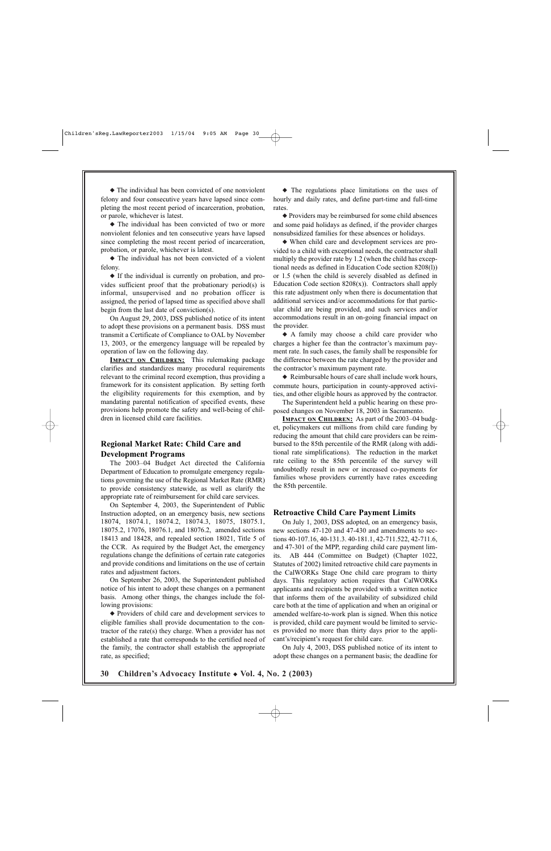◆ The individual has been convicted of one nonviolent felony and four consecutive years have lapsed since completing the most recent period of incarceration, probation, or parole, whichever is latest.

◆ The individual has been convicted of two or more nonviolent felonies and ten consecutive years have lapsed since completing the most recent period of incarceration, probation, or parole, whichever is latest.

◆ The individual has not been convicted of a violent felony.

◆ If the individual is currently on probation, and provides sufficient proof that the probationary period(s) is informal, unsupervised and no probation officer is assigned, the period of lapsed time as specified above shall begin from the last date of conviction(s).

On August 29, 2003, DSS published notice of its intent to adopt these provisions on a permanent basis. DSS must transmit a Certificate of Compliance to OAL by November 13, 2003, or the emergency language will be repealed by operation of law on the following day.

**IMPACT ON CHILDREN:** This rulemaking package clarifies and standardizes many procedural requirements relevant to the criminal record exemption, thus providing a framework for its consistent application. By setting forth the eligibility requirements for this exemption, and by mandating parental notification of specified events, these provisions help promote the safety and well-being of children in licensed child care facilities.

### **Regional Market Rate: Child Care and Development Programs**

The 2003–04 Budget Act directed the California Department of Education to promulgate emergency regulations governing the use of the Regional Market Rate (RMR) to provide consistency statewide, as well as clarify the appropriate rate of reimbursement for child care services.

On September 4, 2003, the Superintendent of Public Instruction adopted, on an emergency basis, new sections 18074, 18074.1, 18074.2, 18074.3, 18075, 18075.1, 18075.2, 17076, 18076.1, and 18076.2, amended sections 18413 and 18428, and repealed section 18021, Title 5 of the CCR. As required by the Budget Act, the emergency regulations change the definitions of certain rate categories and provide conditions and limitations on the use of certain rates and adjustment factors.

On September 26, 2003, the Superintendent published notice of his intent to adopt these changes on a permanent basis. Among other things, the changes include the following provisions:

◆ Providers of child care and development services to eligible families shall provide documentation to the contractor of the rate(s) they charge. When a provider has not established a rate that corresponds to the certified need of the family, the contractor shall establish the appropriate rate, as specified;

◆ The regulations place limitations on the uses of hourly and daily rates, and define part-time and full-time rates.

◆ Providers may be reimbursed for some child absences and some paid holidays as defined, if the provider charges nonsubsidized families for these absences or holidays.

◆ When child care and development services are provided to a child with exceptional needs, the contractor shall multiply the provider rate by 1.2 (when the child has exceptional needs as defined in Education Code section 8208(l)) or 1.5 (when the child is severely disabled as defined in Education Code section  $8208(x)$ ). Contractors shall apply this rate adjustment only when there is documentation that additional services and/or accommodations for that particular child are being provided, and such services and/or accommodations result in an on-going financial impact on the provider.

◆ A family may choose a child care provider who charges a higher fee than the contractor's maximum payment rate. In such cases, the family shall be responsible for the difference between the rate charged by the provider and the contractor's maximum payment rate.

◆ Reimbursable hours of care shall include work hours, commute hours, participation in county-approved activities, and other eligible hours as approved by the contractor.

The Superintendent held a public hearing on these proposed changes on November 18, 2003 in Sacramento.

**IMPACT ON CHILDREN:** As part of the 2003–04 budget, policymakers cut millions from child care funding by reducing the amount that child care providers can be reimbursed to the 85th percentile of the RMR (along with additional rate simplifications). The reduction in the market rate ceiling to the 85th percentile of the survey will undoubtedly result in new or increased co-payments for families whose providers currently have rates exceeding the 85th percentile.

#### **Retroactive Child Care Payment Limits**

On July 1, 2003, DSS adopted, on an emergency basis, new sections 47-120 and 47-430 and amendments to sections 40-107.16, 40-131.3. 40-181.1, 42-711.522, 42-711.6, and 47-301 of the MPP, regarding child care payment limits. AB 444 (Committee on Budget) (Chapter 1022, Statutes of 2002) limited retroactive child care payments in the CalWORKs Stage One child care program to thirty days. This regulatory action requires that CalWORKs applicants and recipients be provided with a written notice that informs them of the availability of subsidized child care both at the time of application and when an original or amended welfare-to-work plan is signed. When this notice is provided, child care payment would be limited to services provided no more than thirty days prior to the applicant's/recipient's request for child care.

On July 4, 2003, DSS published notice of its intent to adopt these changes on a permanent basis; the deadline for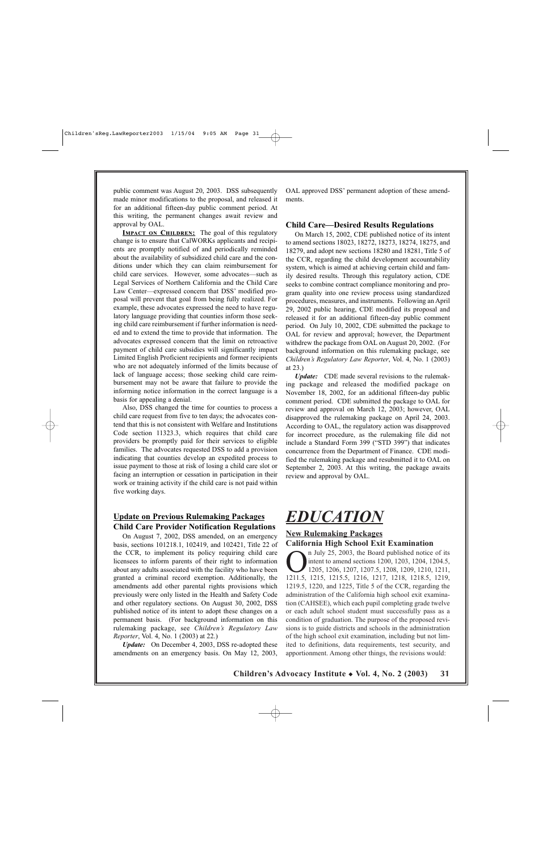public comment was August 20, 2003. DSS subsequently made minor modifications to the proposal, and released it for an additional fifteen-day public comment period. At this writing, the permanent changes await review and approval by OAL.

**IMPACT ON CHILDREN:** The goal of this regulatory change is to ensure that CalWORKs applicants and recipients are promptly notified of and periodically reminded about the availability of subsidized child care and the conditions under which they can claim reimbursement for child care services. However, some advocates—such as Legal Services of Northern California and the Child Care Law Center—expressed concern that DSS' modified proposal will prevent that goal from being fully realized. For example, these advocates expressed the need to have regulatory language providing that counties inform those seeking child care reimbursement if further information is needed and to extend the time to provide that information. The advocates expressed concern that the limit on retroactive payment of child care subsidies will significantly impact Limited English Proficient recipients and former recipients who are not adequately informed of the limits because of lack of language access; those seeking child care reimbursement may not be aware that failure to provide the informing notice information in the correct language is a basis for appealing a denial.

Also, DSS changed the time for counties to process a child care request from five to ten days; the advocates contend that this is not consistent with Welfare and Institutions Code section 11323.3, which requires that child care providers be promptly paid for their services to eligible families. The advocates requested DSS to add a provision indicating that counties develop an expedited process to issue payment to those at risk of losing a child care slot or facing an interruption or cessation in participation in their work or training activity if the child care is not paid within five working days.

#### **Update on Previous Rulemaking Packages Child Care Provider Notification Regulations**

On August 7, 2002, DSS amended, on an emergency basis, sections 101218.1, 102419, and 102421, Title 22 of the CCR, to implement its policy requiring child care licensees to inform parents of their right to information about any adults associated with the facility who have been granted a criminal record exemption. Additionally, the amendments add other parental rights provisions which previously were only listed in the Health and Safety Code and other regulatory sections. On August 30, 2002, DSS published notice of its intent to adopt these changes on a permanent basis. (For background information on this rulemaking package, see *Children's Regulatory Law Reporter*, Vol. 4, No. 1 (2003) at 22.)

*Update:* On December 4, 2003, DSS re-adopted these amendments on an emergency basis. On May 12, 2003, OAL approved DSS' permanent adoption of these amendments.

#### **Child Care—Desired Results Regulations**

On March 15, 2002, CDE published notice of its intent to amend sections 18023, 18272, 18273, 18274, 18275, and 18279, and adopt new sections 18280 and 18281, Title 5 of the CCR, regarding the child development accountability system, which is aimed at achieving certain child and family desired results. Through this regulatory action, CDE seeks to combine contract compliance monitoring and program quality into one review process using standardized procedures, measures, and instruments. Following an April 29, 2002 public hearing, CDE modified its proposal and released it for an additional fifteen-day public comment period. On July 10, 2002, CDE submitted the package to OAL for review and approval; however, the Department withdrew the package from OAL on August 20, 2002. (For background information on this rulemaking package, see *Children's Regulatory Law Reporter*, Vol. 4, No. 1 (2003) at 23.)

*Update:* CDE made several revisions to the rulemaking package and released the modified package on November 18, 2002, for an additional fifteen-day public comment period. CDE submitted the package to OAL for review and approval on March 12, 2003; however, OAL disapproved the rulemaking package on April 24, 2003. According to OAL, the regulatory action was disapproved for incorrect procedure, as the rulemaking file did not include a Standard Form 399 ("STD 399") that indicates concurrence from the Department of Finance. CDE modified the rulemaking package and resubmitted it to OAL on September 2, 2003. At this writing, the package awaits review and approval by OAL.

## *EDUCATION*

#### **New Rulemaking Packages California High School Exit Examination**

I July 25, 2003, the Board published notice of its<br>intent to amend sections 1200, 1203, 1204, 1204.5,<br>1205, 1206, 1207, 1207.5, 1208, 1209, 1210, 1211,<br>1211, 1215, 1215, 5, 1216, 1217, 1218, 1218, 5, 1219 intent to amend sections 1200, 1203, 1204, 1204.5, 1205, 1206, 1207, 1207.5, 1208, 1209, 1210, 1211, 1211.5, 1215, 1215.5, 1216, 1217, 1218, 1218.5, 1219, 1219.5, 1220, and 1225, Title 5 of the CCR, regarding the administration of the California high school exit examination (CAHSEE), which each pupil completing grade twelve or each adult school student must successfully pass as a condition of graduation. The purpose of the proposed revisions is to guide districts and schools in the administration of the high school exit examination, including but not limited to definitions, data requirements, test security, and apportionment. Among other things, the revisions would: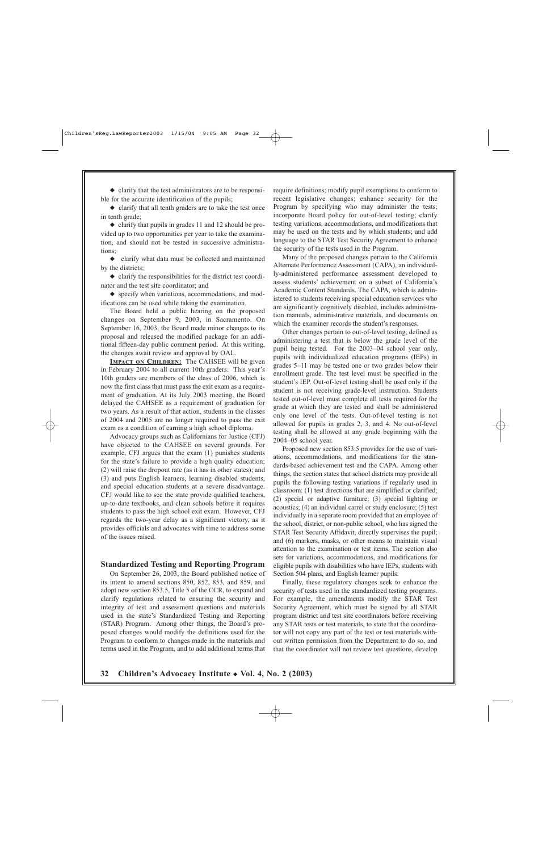◆ clarify that the test administrators are to be responsible for the accurate identification of the pupils;

◆ clarify that all tenth graders are to take the test once in tenth grade;

◆ clarify that pupils in grades 11 and 12 should be provided up to two opportunities per year to take the examination, and should not be tested in successive administrations;

◆ clarify what data must be collected and maintained by the districts;

 $\bullet$  clarify the responsibilities for the district test coordinator and the test site coordinator; and

◆ specify when variations, accommodations, and modifications can be used while taking the examination.

The Board held a public hearing on the proposed changes on September 9, 2003, in Sacramento. On September 16, 2003, the Board made minor changes to its proposal and released the modified package for an additional fifteen-day public comment period. At this writing, the changes await review and approval by OAL.

**IMPACT ON CHILDREN:** The CAHSEE will be given in February 2004 to all current 10th graders. This year's 10th graders are members of the class of 2006, which is now the first class that must pass the exit exam as a requirement of graduation. At its July 2003 meeting, the Board delayed the CAHSEE as a requirement of graduation for two years. As a result of that action, students in the classes of 2004 and 2005 are no longer required to pass the exit exam as a condition of earning a high school diploma.

Advocacy groups such as Californians for Justice (CFJ) have objected to the CAHSEE on several grounds. For example, CFJ argues that the exam (1) punishes students for the state's failure to provide a high quality education; (2) will raise the dropout rate (as it has in other states); and (3) and puts English learners, learning disabled students, and special education students at a severe disadvantage. CFJ would like to see the state provide qualified teachers, up-to-date textbooks, and clean schools before it requires students to pass the high school exit exam. However, CFJ regards the two-year delay as a significant victory, as it provides officials and advocates with time to address some of the issues raised.

#### **Standardized Testing and Reporting Program**

On September 26, 2003, the Board published notice of its intent to amend sections 850, 852, 853, and 859, and adopt new section 853.5, Title 5 of the CCR, to expand and clarify regulations related to ensuring the security and integrity of test and assessment questions and materials used in the state's Standardized Testing and Reporting (STAR) Program. Among other things, the Board's proposed changes would modify the definitions used for the Program to conform to changes made in the materials and terms used in the Program, and to add additional terms that

require definitions; modify pupil exemptions to conform to recent legislative changes; enhance security for the Program by specifying who may administer the tests; incorporate Board policy for out-of-level testing; clarify testing variations, accommodations, and modifications that may be used on the tests and by which students; and add language to the STAR Test Security Agreement to enhance the security of the tests used in the Program.

Many of the proposed changes pertain to the California Alternate Performance Assessment (CAPA), an individually-administered performance assessment developed to assess students' achievement on a subset of California's Academic Content Standards. The CAPA, which is administered to students receiving special education services who are significantly cognitively disabled, includes administration manuals, administrative materials, and documents on which the examiner records the student's responses.

Other changes pertain to out-of-level testing, defined as administering a test that is below the grade level of the pupil being tested. For the 2003–04 school year only, pupils with individualized education programs (IEPs) in grades 5–11 may be tested one or two grades below their enrollment grade. The test level must be specified in the student's IEP. Out-of-level testing shall be used only if the student is not receiving grade-level instruction. Students tested out-of-level must complete all tests required for the grade at which they are tested and shall be administered only one level of the tests. Out-of-level testing is not allowed for pupils in grades 2, 3, and 4. No out-of-level testing shall be allowed at any grade beginning with the 2004–05 school year.

Proposed new section 853.5 provides for the use of variations, accommodations, and modifications for the standards-based achievement test and the CAPA. Among other things, the section states that school districts may provide all pupils the following testing variations if regularly used in classroom: (1) test directions that are simplified or clarified; (2) special or adaptive furniture; (3) special lighting or acoustics; (4) an individual carrel or study enclosure; (5) test individually in a separate room provided that an employee of the school, district, or non-public school, who has signed the STAR Test Security Affidavit, directly supervises the pupil; and (6) markers, masks, or other means to maintain visual attention to the examination or test items. The section also sets for variations, accommodations, and modifications for eligible pupils with disabilities who have IEPs, students with Section 504 plans, and English learner pupils.

Finally, these regulatory changes seek to enhance the security of tests used in the standardized testing programs. For example, the amendments modify the STAR Test Security Agreement, which must be signed by all STAR program district and test site coordinators before receiving any STAR tests or test materials, to state that the coordinator will not copy any part of the test or test materials without written permission from the Department to do so, and that the coordinator will not review test questions, develop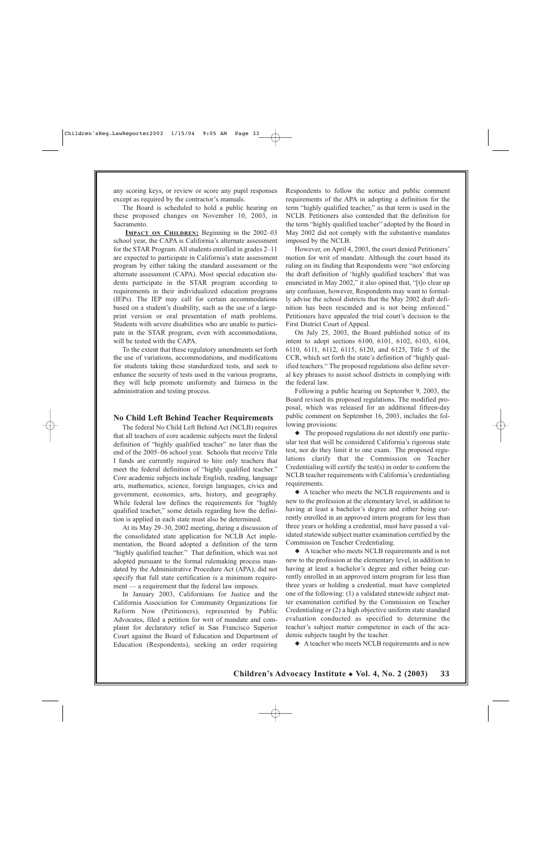any scoring keys, or review or score any pupil responses except as required by the contractor's manuals.

The Board is scheduled to hold a public hearing on these proposed changes on November 10, 2003, in Sacramento.

**IMPACT ON CHILDREN:** Beginning in the 2002–03 school year, the CAPA is California's alternate assessment for the STAR Program. All students enrolled in grades 2–11 are expected to participate in California's state assessment program by either taking the standard assessment or the alternate assessment (CAPA). Most special education students participate in the STAR program according to requirements in their individualized education programs (IEPs). The IEP may call for certain accommodations based on a student's disability, such as the use of a largeprint version or oral presentation of math problems. Students with severe disabilities who are unable to participate in the STAR program, even with accommodations, will be tested with the CAPA.

To the extent that these regulatory amendments set forth the use of variations, accommodations, and modifications for students taking these standardized tests, and seek to enhance the security of tests used in the various programs, they will help promote uniformity and fairness in the administration and testing process.

#### **No Child Left Behind Teacher Requirements**

The federal No Child Left Behind Act (NCLB) requires that all teachers of core academic subjects meet the federal definition of "highly qualified teacher" no later than the end of the 2005–06 school year. Schools that receive Title I funds are currently required to hire only teachers that meet the federal definition of "highly qualified teacher." Core academic subjects include English, reading, language arts, mathematics, science, foreign languages, civics and government, economics, arts, history, and geography. While federal law defines the requirements for "highly qualified teacher," some details regarding how the definition is applied in each state must also be determined.

At its May 29–30, 2002 meeting, during a discussion of the consolidated state application for NCLB Act implementation, the Board adopted a definition of the term "highly qualified teacher." That definition, which was not adopted pursuant to the formal rulemaking process mandated by the Administrative Procedure Act (APA), did not specify that full state certification is a minimum requirement — a requirement that the federal law imposes.

In January 2003, Californians for Justice and the California Association for Community Organizations for Reform Now (Petitioners), represented by Public Advocates, filed a petition for writ of mandate and complaint for declaratory relief in San Francisco Superior Court against the Board of Education and Department of Education (Respondents), seeking an order requiring

Respondents to follow the notice and public comment requirements of the APA in adopting a definition for the term "highly qualified teacher," as that term is used in the NCLB. Petitioners also contended that the definition for the term "highly qualified teacher" adopted by the Board in May 2002 did not comply with the substantive mandates imposed by the NCLB.

However, on April 4, 2003, the court denied Petitioners' motion for writ of mandate. Although the court based its ruling on its finding that Respondents were "not enforcing the draft definition of 'highly qualified teachers' that was enunciated in May 2002," it also opined that, "[t]o clear up any confusion, however, Respondents may want to formally advise the school districts that the May 2002 draft definition has been rescinded and is not being enforced." Petitioners have appealed the trial court's decision to the First District Court of Appeal.

On July 25, 2003, the Board published notice of its intent to adopt sections 6100, 6101, 6102, 6103, 6104, 6110, 6111, 6112, 6115, 6120, and 6125, Title 5 of the CCR, which set forth the state's definition of "highly qualified teachers." The proposed regulations also define several key phrases to assist school districts in complying with the federal law.

Following a public hearing on September 9, 2003, the Board revised its proposed regulations. The modified proposal, which was released for an additional fifteen-day public comment on September 16, 2003, includes the following provisions:

◆ The proposed regulations do not identify one particular test that will be considered California's rigorous state test, nor do they limit it to one exam. The proposed regulations clarify that the Commission on Teacher Credentialing will certify the test(s) in order to conform the NCLB teacher requirements with California's credentialing requirements.

◆ A teacher who meets the NCLB requirements and is new to the profession at the elementary level, in addition to having at least a bachelor's degree and either being currently enrolled in an approved intern program for less than three years or holding a credential, must have passed a validated statewide subject matter examination certified by the Commission on Teacher Credentialing.

◆ A teacher who meets NCLB requirements and is not new to the profession at the elementary level, in addition to having at least a bachelor's degree and either being currently enrolled in an approved intern program for less than three years or holding a credential, must have completed one of the following: (1) a validated statewide subject matter examination certified by the Commission on Teacher Credentialing or (2) a high objective uniform state standard evaluation conducted as specified to determine the teacher's subject matter competence in each of the academic subjects taught by the teacher.

◆ A teacher who meets NCLB requirements and is new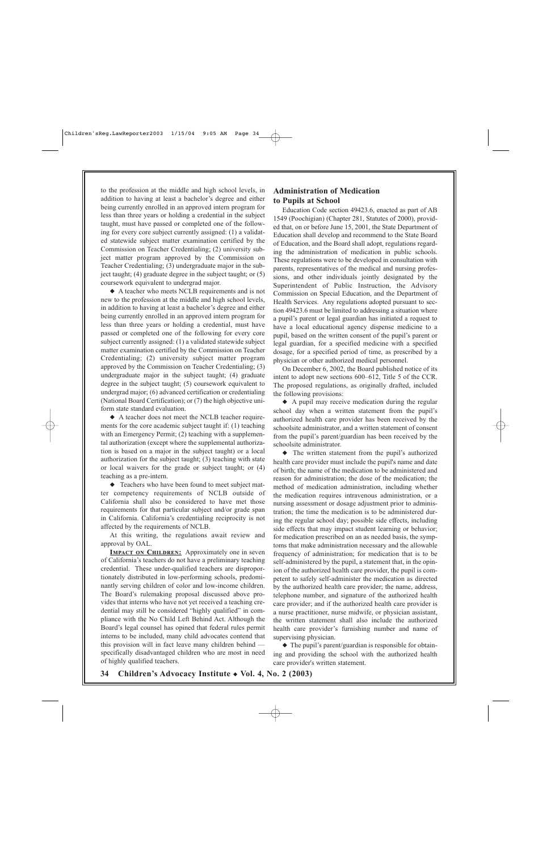to the profession at the middle and high school levels, in addition to having at least a bachelor's degree and either being currently enrolled in an approved intern program for less than three years or holding a credential in the subject taught, must have passed or completed one of the following for every core subject currently assigned: (1) a validated statewide subject matter examination certified by the Commission on Teacher Credentialing; (2) university subject matter program approved by the Commission on Teacher Credentialing; (3) undergraduate major in the subject taught; (4) graduate degree in the subject taught; or (5) coursework equivalent to undergrad major.

◆ A teacher who meets NCLB requirements and is not new to the profession at the middle and high school levels, in addition to having at least a bachelor's degree and either being currently enrolled in an approved intern program for less than three years or holding a credential, must have passed or completed one of the following for every core subject currently assigned: (1) a validated statewide subject matter examination certified by the Commission on Teacher Credentialing; (2) university subject matter program approved by the Commission on Teacher Credentialing; (3) undergraduate major in the subject taught; (4) graduate degree in the subject taught; (5) coursework equivalent to undergrad major; (6) advanced certification or credentialing (National Board Certification); or (7) the high objective uniform state standard evaluation.

◆ A teacher does not meet the NCLB teacher requirements for the core academic subject taught if: (1) teaching with an Emergency Permit; (2) teaching with a supplemental authorization (except where the supplemental authorization is based on a major in the subject taught) or a local authorization for the subject taught; (3) teaching with state or local waivers for the grade or subject taught; or (4) teaching as a pre-intern.

◆ Teachers who have been found to meet subject matter competency requirements of NCLB outside of California shall also be considered to have met those requirements for that particular subject and/or grade span in California. California's credentialing reciprocity is not affected by the requirements of NCLB.

At this writing, the regulations await review and approval by OAL.

**IMPACT ON CHILDREN:** Approximately one in seven of California's teachers do not have a preliminary teaching credential. These under-qualified teachers are disproportionately distributed in low-performing schools, predominantly serving children of color and low-income children. The Board's rulemaking proposal discussed above provides that interns who have not yet received a teaching credential may still be considered "highly qualified" in compliance with the No Child Left Behind Act. Although the Board's legal counsel has opined that federal rules permit interns to be included, many child advocates contend that this provision will in fact leave many children behind specifically disadvantaged children who are most in need of highly qualified teachers.

#### **Administration of Medication to Pupils at School**

Education Code section 49423.6, enacted as part of AB 1549 (Poochigian) (Chapter 281, Statutes of 2000), provided that, on or before June 15, 2001, the State Department of Education shall develop and recommend to the State Board of Education, and the Board shall adopt, regulations regarding the administration of medication in public schools. These regulations were to be developed in consultation with parents, representatives of the medical and nursing professions, and other individuals jointly designated by the Superintendent of Public Instruction, the Advisory Commission on Special Education, and the Department of Health Services. Any regulations adopted pursuant to section 49423.6 must be limited to addressing a situation where a pupil's parent or legal guardian has initiated a request to have a local educational agency dispense medicine to a pupil, based on the written consent of the pupil's parent or legal guardian, for a specified medicine with a specified dosage, for a specified period of time, as prescribed by a physician or other authorized medical personnel.

On December 6, 2002, the Board published notice of its intent to adopt new sections 600–612, Title 5 of the CCR. The proposed regulations, as originally drafted, included the following provisions:

◆ A pupil may receive medication during the regular school day when a written statement from the pupil's authorized health care provider has been received by the schoolsite administrator, and a written statement of consent from the pupil's parent/guardian has been received by the schoolsite administrator.

◆ The written statement from the pupil's authorized health care provider must include the pupil's name and date of birth; the name of the medication to be administered and reason for administration; the dose of the medication; the method of medication administration, including whether the medication requires intravenous administration, or a nursing assessment or dosage adjustment prior to administration; the time the medication is to be administered during the regular school day; possible side effects, including side effects that may impact student learning or behavior; for medication prescribed on an as needed basis, the symptoms that make administration necessary and the allowable frequency of administration; for medication that is to be self-administered by the pupil, a statement that, in the opinion of the authorized health care provider, the pupil is competent to safely self-administer the medication as directed by the authorized health care provider; the name, address, telephone number, and signature of the authorized health care provider; and if the authorized health care provider is a nurse practitioner, nurse midwife, or physician assistant, the written statement shall also include the authorized health care provider's furnishing number and name of supervising physician.

◆ The pupil's parent/guardian is responsible for obtaining and providing the school with the authorized health care provider's written statement.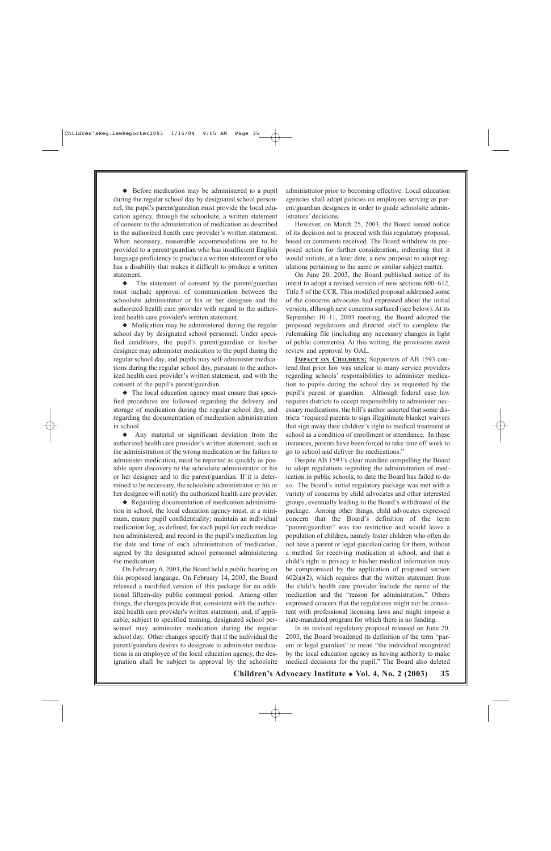◆ Before medication may be administered to a pupil during the regular school day by designated school personnel, the pupil's parent/guardian must provide the local education agency, through the schoolsite, a written statement of consent to the administration of medication as described in the authorized health care provider's written statement. When necessary, reasonable accommodations are to be provided to a parent/guardian who has insufficient English language proficiency to produce a written statement or who has a disability that makes it difficult to produce a written statement.

◆ The statement of consent by the parent/guardian must include approval of communication between the schoolsite administrator or his or her designee and the authorized health care provider with regard to the authorized health care provider's written statement.

◆ Medication may be administered during the regular school day by designated school personnel. Under specified conditions, the pupil's parent/guardian or his/her designee may administer medication to the pupil during the regular school day, and pupils may self-administer medications during the regular school day, pursuant to the authorized health care provider's written statement, and with the consent of the pupil's parent/guardian.

◆ The local education agency must ensure that specified procedures are followed regarding the delivery and storage of medication during the regular school day, and regarding the documentation of medication administration in school.

◆ Any material or significant deviation from the authorized health care provider's written statement, such as the administration of the wrong medication or the failure to administer medication, must be reported as quickly as possible upon discovery to the schoolsite administrator or his or her designee and to the parent/guardian. If it is determined to be necessary, the schoolsite administrator or his or her designee will notify the authorized health care provider.

◆ Regarding documentation of medication administration in school, the local education agency must, at a minimum, ensure pupil confidentiality; maintain an individual medication log, as defined, for each pupil for each medication administered; and record in the pupil's medication log the date and time of each administration of medication, signed by the designated school personnel administering the medication.

On February 6, 2003, the Board held a public hearing on this proposed language. On February 14, 2003, the Board released a modified version of this package for an additional fifteen-day public comment period. Among other things, the changes provide that, consistent with the authorized health care provider's written statement, and, if applicable, subject to specified training, designated school personnel may administer medication during the regular school day. Other changes specify that if the individual the parent/guardian desires to designate to administer medications is an employee of the local education agency, the designation shall be subject to approval by the schoolsite

administrator prior to becoming effective. Local education agencies shall adopt policies on employees serving as parent/guardian designees in order to guide schoolsite administrators' decisions.

However, on March 25, 2003, the Board issued notice of its decision not to proceed with this regulatory proposal, based on comments received. The Board withdrew its proposed action for further consideration, indicating that it would initiate, at a later date, a new proposal to adopt regulations pertaining to the same or similar subject matter.

On June 20, 2003, the Board published notice of its intent to adopt a revised version of new sections 600–612, Title 5 of the CCR. This modified proposal addressed some of the concerns advocates had expressed about the initial version, although new concerns surfaced (see below). At its September 10–11, 2003 meeting, the Board adopted the proposed regulations and directed staff to complete the rulemaking file (including any necessary changes in light of public comments). At this writing, the provisions await review and approval by OAL.

**IMPACT ON CHILDREN:** Supporters of AB 1593 contend that prior law was unclear to many service providers regarding schools' responsibilities to administer medication to pupils during the school day as requested by the pupil's parent or guardian. Although federal case law requires districts to accept responsibility to administer necessary medications, the bill's author asserted that some districts "required parents to sign illegitimate blanket waivers that sign away their children's right to medical treatment at school as a condition of enrollment or attendance. In these instances, parents have been forced to take time off work to go to school and deliver the medications."

Despite AB 1593's clear mandate compelling the Board to adopt regulations regarding the administration of medication in public schools, to date the Board has failed to do so. The Board's initial regulatory package was met with a variety of concerns by child advocates and other interested groups, eventually leading to the Board's withdrawal of the package. Among other things, child advocates expressed concern that the Board's definition of the term "parent/guardian" was too restrictive and would leave a population of children, namely foster children who often do not have a parent or legal guardian caring for them, without a method for receiving medication at school, and that a child's right to privacy to his/her medical information may be compromised by the application of proposed section  $602(a)(2)$ , which requires that the written statement from the child's health care provider include the name of the medication and the "reason for administration." Others expressed concern that the regulations might not be consistent with professional licensing laws and might impose a state-mandated program for which there is no funding.

In its revised regulatory proposal released on June 20, 2003, the Board broadened its definition of the term "parent or legal guardian" to mean "the individual recognized by the local education agency as having authority to make medical decisions for the pupil." The Board also deleted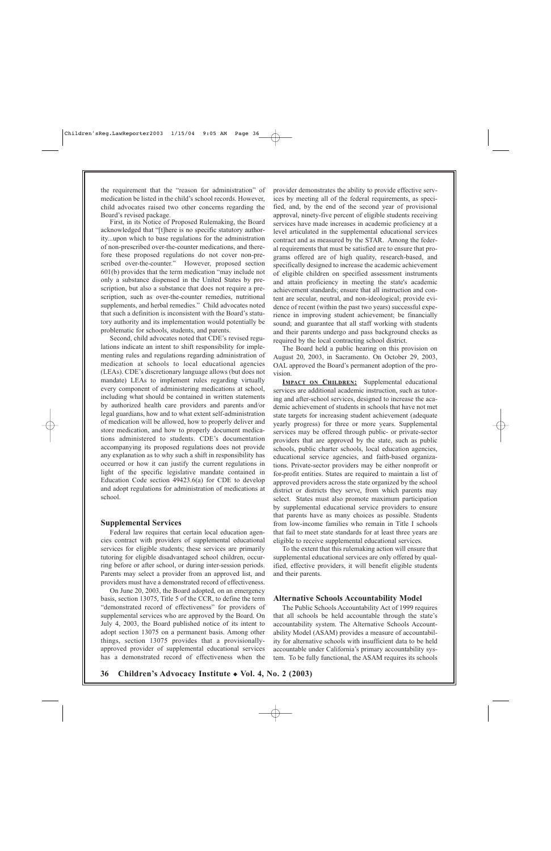the requirement that the "reason for administration" of medication be listed in the child's school records. However, child advocates raised two other concerns regarding the Board's revised package.

First, in its Notice of Proposed Rulemaking, the Board acknowledged that "[t]here is no specific statutory authority...upon which to base regulations for the administration of non-prescribed over-the-counter medications, and therefore these proposed regulations do not cover non-prescribed over-the-counter." However, proposed section 601(b) provides that the term medication "may include not only a substance dispensed in the United States by prescription, but also a substance that does not require a prescription, such as over-the-counter remedies, nutritional supplements, and herbal remedies." Child advocates noted that such a definition is inconsistent with the Board's statutory authority and its implementation would potentially be problematic for schools, students, and parents.

Second, child advocates noted that CDE's revised regulations indicate an intent to shift responsibility for implementing rules and regulations regarding administration of medication at schools to local educational agencies (LEAs). CDE's discretionary language allows (but does not mandate) LEAs to implement rules regarding virtually every component of administering medications at school, including what should be contained in written statements by authorized health care providers and parents and/or legal guardians, how and to what extent self-administration of medication will be allowed, how to properly deliver and store medication, and how to properly document medications administered to students. CDE's documentation accompanying its proposed regulations does not provide any explanation as to why such a shift in responsibility has occurred or how it can justify the current regulations in light of the specific legislative mandate contained in Education Code section 49423.6(a) for CDE to develop and adopt regulations for administration of medications at school.

#### **Supplemental Services**

Federal law requires that certain local education agencies contract with providers of supplemental educational services for eligible students; these services are primarily tutoring for eligible disadvantaged school children, occurring before or after school, or during inter-session periods. Parents may select a provider from an approved list, and providers must have a demonstrated record of effectiveness.

On June 20, 2003, the Board adopted, on an emergency basis, section 13075, Title 5 of the CCR, to define the term "demonstrated record of effectiveness" for providers of supplemental services who are approved by the Board. On July 4, 2003, the Board published notice of its intent to adopt section 13075 on a permanent basis. Among other things, section 13075 provides that a provisionallyapproved provider of supplemental educational services has a demonstrated record of effectiveness when the

provider demonstrates the ability to provide effective services by meeting all of the federal requirements, as specified, and, by the end of the second year of provisional approval, ninety-five percent of eligible students receiving services have made increases in academic proficiency at a level articulated in the supplemental educational services contract and as measured by the STAR. Among the federal requirements that must be satisfied are to ensure that programs offered are of high quality, research-based, and specifically designed to increase the academic achievement of eligible children on specified assessment instruments and attain proficiency in meeting the state's academic achievement standards; ensure that all instruction and content are secular, neutral, and non-ideological; provide evidence of recent (within the past two years) successful experience in improving student achievement; be financially sound; and guarantee that all staff working with students and their parents undergo and pass background checks as required by the local contracting school district.

The Board held a public hearing on this provision on August 20, 2003, in Sacramento. On October 29, 2003, OAL approved the Board's permanent adoption of the provision.

**IMPACT ON CHILDREN:** Supplemental educational services are additional academic instruction, such as tutoring and after-school services, designed to increase the academic achievement of students in schools that have not met state targets for increasing student achievement (adequate yearly progress) for three or more years. Supplemental services may be offered through public- or private-sector providers that are approved by the state, such as public schools, public charter schools, local education agencies, educational service agencies, and faith-based organizations. Private-sector providers may be either nonprofit or for-profit entities. States are required to maintain a list of approved providers across the state organized by the school district or districts they serve, from which parents may select. States must also promote maximum participation by supplemental educational service providers to ensure that parents have as many choices as possible. Students from low-income families who remain in Title I schools that fail to meet state standards for at least three years are eligible to receive supplemental educational services.

To the extent that this rulemaking action will ensure that supplemental educational services are only offered by qualified, effective providers, it will benefit eligible students and their parents.

#### **Alternative Schools Accountability Model**

The Public Schools Accountability Act of 1999 requires that all schools be held accountable through the state's accountability system. The Alternative Schools Accountability Model (ASAM) provides a measure of accountability for alternative schools with insufficient data to be held accountable under California's primary accountability system. To be fully functional, the ASAM requires its schools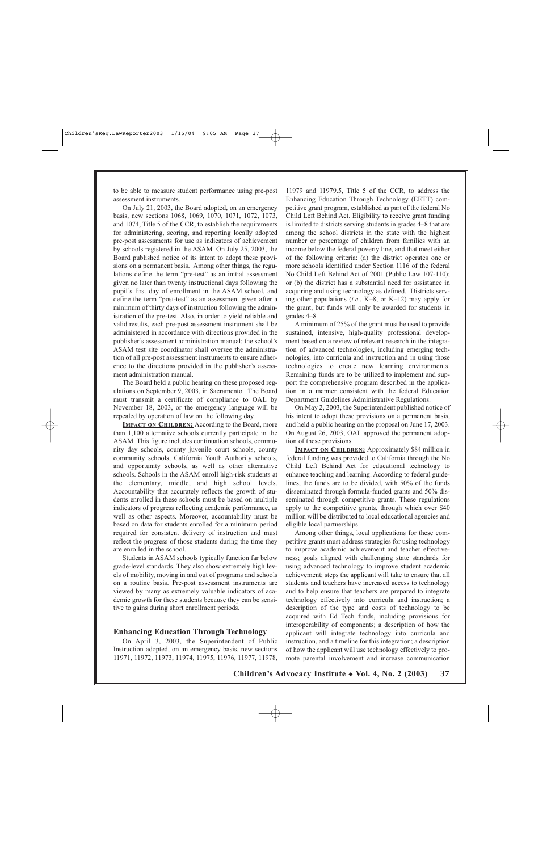to be able to measure student performance using pre-post assessment instruments.

On July 21, 2003, the Board adopted, on an emergency basis, new sections 1068, 1069, 1070, 1071, 1072, 1073, and 1074, Title 5 of the CCR, to establish the requirements for administering, scoring, and reporting locally adopted pre-post assessments for use as indicators of achievement by schools registered in the ASAM. On July 25, 2003, the Board published notice of its intent to adopt these provisions on a permanent basis. Among other things, the regulations define the term "pre-test" as an initial assessment given no later than twenty instructional days following the pupil's first day of enrollment in the ASAM school, and define the term "post-test" as an assessment given after a minimum of thirty days of instruction following the administration of the pre-test. Also, in order to yield reliable and valid results, each pre-post assessment instrument shall be administered in accordance with directions provided in the publisher's assessment administration manual; the school's ASAM test site coordinator shall oversee the administration of all pre-post assessment instruments to ensure adherence to the directions provided in the publisher's assessment administration manual.

The Board held a public hearing on these proposed regulations on September 9, 2003, in Sacramento. The Board must transmit a certificate of compliance to OAL by November 18, 2003, or the emergency language will be repealed by operation of law on the following day.

**IMPACT ON CHILDREN:** According to the Board, more than 1,100 alternative schools currently participate in the ASAM. This figure includes continuation schools, community day schools, county juvenile court schools, county community schools, California Youth Authority schools, and opportunity schools, as well as other alternative schools. Schools in the ASAM enroll high-risk students at the elementary, middle, and high school levels. Accountability that accurately reflects the growth of students enrolled in these schools must be based on multiple indicators of progress reflecting academic performance, as well as other aspects. Moreover, accountability must be based on data for students enrolled for a minimum period required for consistent delivery of instruction and must reflect the progress of those students during the time they are enrolled in the school.

Students in ASAM schools typically function far below grade-level standards. They also show extremely high levels of mobility, moving in and out of programs and schools on a routine basis. Pre-post assessment instruments are viewed by many as extremely valuable indicators of academic growth for these students because they can be sensitive to gains during short enrollment periods.

#### **Enhancing Education Through Technology**

On April 3, 2003, the Superintendent of Public Instruction adopted, on an emergency basis, new sections 11971, 11972, 11973, 11974, 11975, 11976, 11977, 11978,

11979 and 11979.5, Title 5 of the CCR, to address the Enhancing Education Through Technology (EETT) competitive grant program, established as part of the federal No Child Left Behind Act. Eligibility to receive grant funding is limited to districts serving students in grades 4–8 that are among the school districts in the state with the highest number or percentage of children from families with an income below the federal poverty line, and that meet either of the following criteria: (a) the district operates one or more schools identified under Section 1116 of the federal No Child Left Behind Act of 2001 (Public Law 107-110); or (b) the district has a substantial need for assistance in acquiring and using technology as defined. Districts serving other populations (*i.e.*, K–8, or K–12) may apply for the grant, but funds will only be awarded for students in grades 4–8.

A minimum of 25% of the grant must be used to provide sustained, intensive, high-quality professional development based on a review of relevant research in the integration of advanced technologies, including emerging technologies, into curricula and instruction and in using those technologies to create new learning environments. Remaining funds are to be utilized to implement and support the comprehensive program described in the application in a manner consistent with the federal Education Department Guidelines Administrative Regulations.

On May 2, 2003, the Superintendent published notice of his intent to adopt these provisions on a permanent basis, and held a public hearing on the proposal on June 17, 2003. On August 26, 2003, OAL approved the permanent adoption of these provisions.

**IMPACT ON CHILDREN:** Approximately \$84 million in federal funding was provided to California through the No Child Left Behind Act for educational technology to enhance teaching and learning. According to federal guidelines, the funds are to be divided, with 50% of the funds disseminated through formula-funded grants and 50% disseminated through competitive grants. These regulations apply to the competitive grants, through which over \$40 million will be distributed to local educational agencies and eligible local partnerships.

Among other things, local applications for these competitive grants must address strategies for using technology to improve academic achievement and teacher effectiveness; goals aligned with challenging state standards for using advanced technology to improve student academic achievement; steps the applicant will take to ensure that all students and teachers have increased access to technology and to help ensure that teachers are prepared to integrate technology effectively into curricula and instruction; a description of the type and costs of technology to be acquired with Ed Tech funds, including provisions for interoperability of components; a description of how the applicant will integrate technology into curricula and instruction, and a timeline for this integration; a description of how the applicant will use technology effectively to promote parental involvement and increase communication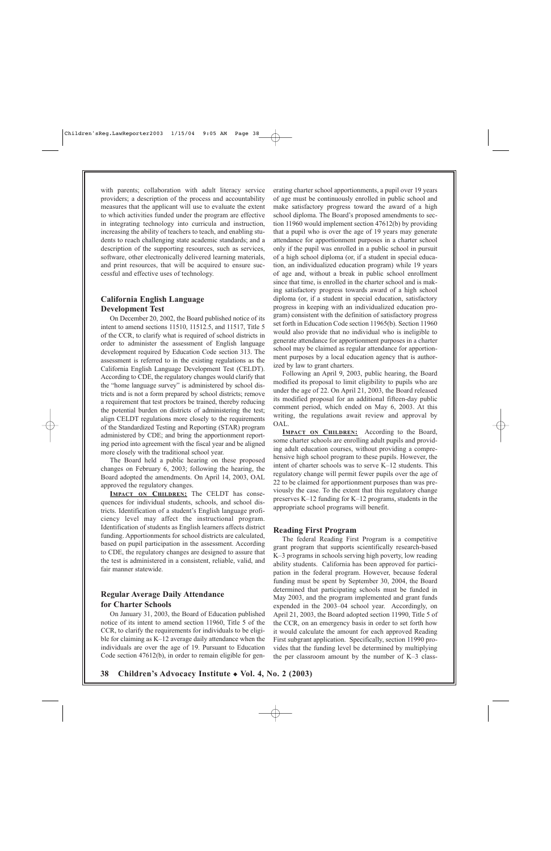with parents; collaboration with adult literacy service providers; a description of the process and accountability measures that the applicant will use to evaluate the extent to which activities funded under the program are effective in integrating technology into curricula and instruction, increasing the ability of teachers to teach, and enabling students to reach challenging state academic standards; and a description of the supporting resources, such as services, software, other electronically delivered learning materials, and print resources, that will be acquired to ensure successful and effective uses of technology.

## **California English Language Development Test**

On December 20, 2002, the Board published notice of its intent to amend sections 11510, 11512.5, and 11517, Title 5 of the CCR, to clarify what is required of school districts in order to administer the assessment of English language development required by Education Code section 313. The assessment is referred to in the existing regulations as the California English Language Development Test (CELDT). According to CDE, the regulatory changes would clarify that the "home language survey" is administered by school districts and is not a form prepared by school districts; remove a requirement that test proctors be trained, thereby reducing the potential burden on districts of administering the test; align CELDT regulations more closely to the requirements of the Standardized Testing and Reporting (STAR) program administered by CDE; and bring the apportionment reporting period into agreement with the fiscal year and be aligned more closely with the traditional school year.

The Board held a public hearing on these proposed changes on February 6, 2003; following the hearing, the Board adopted the amendments. On April 14, 2003, OAL approved the regulatory changes.

**IMPACT ON CHILDREN:** The CELDT has consequences for individual students, schools, and school districts. Identification of a student's English language proficiency level may affect the instructional program. Identification of students as English learners affects district funding. Apportionments for school districts are calculated, based on pupil participation in the assessment. According to CDE, the regulatory changes are designed to assure that the test is administered in a consistent, reliable, valid, and fair manner statewide.

## **Regular Average Daily Attendance for Charter Schools**

On January 31, 2003, the Board of Education published notice of its intent to amend section 11960, Title 5 of the CCR, to clarify the requirements for individuals to be eligible for claiming as K–12 average daily attendance when the individuals are over the age of 19. Pursuant to Education Code section 47612(b), in order to remain eligible for generating charter school apportionments, a pupil over 19 years of age must be continuously enrolled in public school and make satisfactory progress toward the award of a high school diploma. The Board's proposed amendments to section 11960 would implement section 47612(b) by providing that a pupil who is over the age of 19 years may generate attendance for apportionment purposes in a charter school only if the pupil was enrolled in a public school in pursuit of a high school diploma (or, if a student in special education, an individualized education program) while 19 years of age and, without a break in public school enrollment since that time, is enrolled in the charter school and is making satisfactory progress towards award of a high school diploma (or, if a student in special education, satisfactory progress in keeping with an individualized education program) consistent with the definition of satisfactory progress set forth in Education Code section 11965(b). Section 11960 would also provide that no individual who is ineligible to generate attendance for apportionment purposes in a charter school may be claimed as regular attendance for apportionment purposes by a local education agency that is authorized by law to grant charters.

Following an April 9, 2003, public hearing, the Board modified its proposal to limit eligibility to pupils who are under the age of 22. On April 21, 2003, the Board released its modified proposal for an additional fifteen-day public comment period, which ended on May 6, 2003. At this writing, the regulations await review and approval by OAL.

**IMPACT ON CHILDREN:** According to the Board, some charter schools are enrolling adult pupils and providing adult education courses, without providing a comprehensive high school program to these pupils. However, the intent of charter schools was to serve K–12 students. This regulatory change will permit fewer pupils over the age of 22 to be claimed for apportionment purposes than was previously the case. To the extent that this regulatory change preserves K–12 funding for K–12 programs, students in the appropriate school programs will benefit.

#### **Reading First Program**

The federal Reading First Program is a competitive grant program that supports scientifically research-based K–3 programs in schools serving high poverty, low reading ability students. California has been approved for participation in the federal program. However, because federal funding must be spent by September 30, 2004, the Board determined that participating schools must be funded in May 2003, and the program implemented and grant funds expended in the 2003–04 school year. Accordingly, on April 21, 2003, the Board adopted section 11990, Title 5 of the CCR, on an emergency basis in order to set forth how it would calculate the amount for each approved Reading First subgrant application. Specifically, section 11990 provides that the funding level be determined by multiplying the per classroom amount by the number of K–3 class-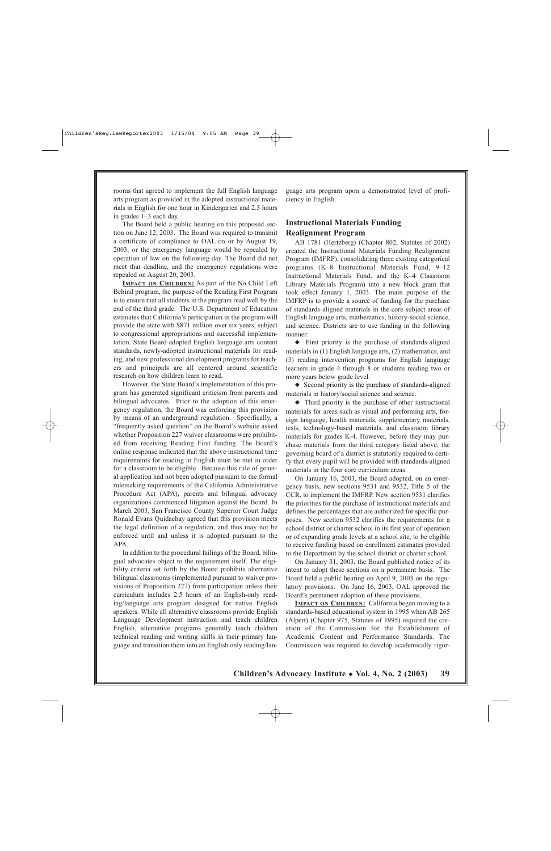rooms that agreed to implement the full English language arts program as provided in the adopted instructional materials in English for one hour in Kindergarten and 2.5 hours in grades 1–3 each day.

The Board held a public hearing on this proposed section on June 12, 2003. The Board was required to transmit a certificate of compliance to OAL on or by August 19, 2003, or the emergency language would be repealed by operation of law on the following day. The Board did not meet that deadline, and the emergency regulations were repealed on August 20, 2003.

**IMPACT ON CHILDREN:** As part of the No Child Left Behind program, the purpose of the Reading First Program is to ensure that all students in the program read well by the end of the third grade. The U.S. Department of Education estimates that California's participation in the program will provide the state with \$871 million over six years, subject to congressional appropriations and successful implementation. State Board-adopted English language arts content standards, newly-adopted instructional materials for reading, and new professional development programs for teachers and principals are all centered around scientific research on how children learn to read.

However, the State Board's implementation of this program has generated significant criticism from parents and bilingual advocates. Prior to the adoption of this emergency regulation, the Board was enforcing this provision by means of an underground regulation. Specifically, a "frequently asked question" on the Board's website asked whether Proposition 227 waiver classrooms were prohibited from receiving Reading First funding. The Board's online response indicated that the above instructional time requirements for reading in English must be met in order for a classroom to be eligible. Because this rule of general application had not been adopted pursuant to the formal rulemaking requirements of the California Administrative Procedure Act (APA), parents and bilingual advocacy organizations commenced litigation against the Board. In March 2003, San Francisco County Superior Court Judge Ronald Evans Quidachay agreed that this provision meets the legal definition of a regulation, and thus may not be enforced until and unless it is adopted pursuant to the APA.

In addition to the procedural failings of the Board, bilingual advocates object to the requirement itself. The eligibility criteria set forth by the Board prohibits alternative bilingual classrooms (implemented pursuant to waiver provisions of Proposition 227) from participation unless their curriculum includes 2.5 hours of an English-only reading/language arts program designed for native English speakers. While all alternative classrooms provide English Language Development instruction and teach children English, alternative programs generally teach children technical reading and writing skills in their primary language and transition them into an English only reading/language arts program upon a demonstrated level of proficiency in English.

### **Instructional Materials Funding Realignment Program**

AB 1781 (Hertzberg) (Chapter 802, Statutes of 2002) created the Instructional Materials Funding Realignment Program (IMFRP), consolidating three existing categorical programs (K–8 Instructional Materials Fund, 9–12 Instructional Materials Fund, and the K–4 Classroom Library Materials Program) into a new block grant that took effect January 1, 2003. The main purpose of the IMFRP is to provide a source of funding for the purchase of standards-aligned materials in the core subject areas of English language arts, mathematics, history-social science, and science. Districts are to use funding in the following manner:

◆ First priority is the purchase of standards-aligned materials in (1) English language arts, (2) mathematics, and (3) reading intervention programs for English language learners in grade 4 through 8 or students reading two or more years below grade level.

◆ Second priority is the purchase of standards-aligned materials in history/social science and science.

◆ Third priority is the purchase of other instructional materials for areas such as visual and performing arts, foreign language, health materials, supplementary materials, tests, technology-based materials, and classroom library materials for grades K-4. However, before they may purchase materials from the third category listed above, the governing board of a district is statutorily required to certify that every pupil will be provided with standards-aligned materials in the four core curriculum areas.

On January 16, 2003, the Board adopted, on an emergency basis, new sections 9531 and 9532, Title 5 of the CCR, to implement the IMFRP. New section 9531 clarifies the priorities for the purchase of instructional materials and defines the percentages that are authorized for specific purposes. New section 9532 clarifies the requirements for a school district or charter school in its first year of operation or of expanding grade levels at a school site, to be eligible to receive funding based on enrollment estimates provided to the Department by the school district or charter school.

On January 31, 2003, the Board published notice of its intent to adopt these sections on a permanent basis. The Board held a public hearing on April 9, 2003 on the regulatory provisions. On June 16, 2003, OAL approved the Board's permanent adoption of these provisions.

**IMPACT ON CHILDREN:** California began moving to a standards-based educational system in 1995 when AB 265 (Alpert) (Chapter 975, Statutes of 1995) required the creation of the Commission for the Establishment of Academic Content and Performance Standards. The Commission was required to develop academically rigor-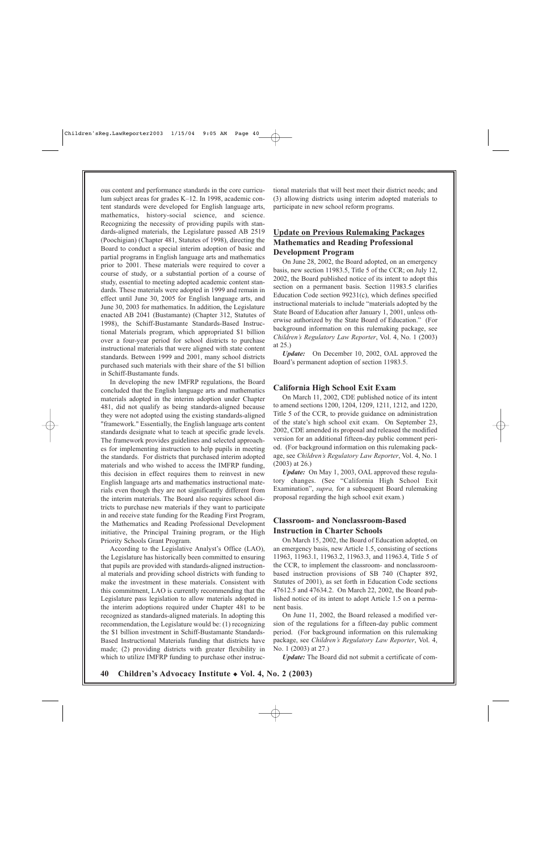ous content and performance standards in the core curriculum subject areas for grades K–12. In 1998, academic content standards were developed for English language arts, mathematics, history-social science, and science. Recognizing the necessity of providing pupils with standards-aligned materials, the Legislature passed AB 2519 (Poochigian) (Chapter 481, Statutes of 1998), directing the Board to conduct a special interim adoption of basic and partial programs in English language arts and mathematics prior to 2001. These materials were required to cover a course of study, or a substantial portion of a course of study, essential to meeting adopted academic content standards. These materials were adopted in 1999 and remain in effect until June 30, 2005 for English language arts, and June 30, 2003 for mathematics. In addition, the Legislature enacted AB 2041 (Bustamante) (Chapter 312, Statutes of 1998), the Schiff-Bustamante Standards-Based Instructional Materials program, which appropriated \$1 billion over a four-year period for school districts to purchase instructional materials that were aligned with state content standards. Between 1999 and 2001, many school districts purchased such materials with their share of the \$1 billion in Schiff-Bustamante funds.

In developing the new IMFRP regulations, the Board concluded that the English language arts and mathematics materials adopted in the interim adoption under Chapter 481, did not qualify as being standards-aligned because they were not adopted using the existing standards-aligned "framework." Essentially, the English language arts content standards designate what to teach at specific grade levels. The framework provides guidelines and selected approaches for implementing instruction to help pupils in meeting the standards. For districts that purchased interim adopted materials and who wished to access the IMFRP funding, this decision in effect requires them to reinvest in new English language arts and mathematics instructional materials even though they are not significantly different from the interim materials. The Board also requires school districts to purchase new materials if they want to participate in and receive state funding for the Reading First Program, the Mathematics and Reading Professional Development initiative, the Principal Training program, or the High Priority Schools Grant Program.

According to the Legislative Analyst's Office (LAO), the Legislature has historically been committed to ensuring that pupils are provided with standards-aligned instructional materials and providing school districts with funding to make the investment in these materials. Consistent with this commitment, LAO is currently recommending that the Legislature pass legislation to allow materials adopted in the interim adoptions required under Chapter 481 to be recognized as standards-aligned materials. In adopting this recommendation, the Legislature would be: (1) recognizing the \$1 billion investment in Schiff-Bustamante Standards-Based Instructional Materials funding that districts have made; (2) providing districts with greater flexibility in which to utilize IMFRP funding to purchase other instructional materials that will best meet their district needs; and (3) allowing districts using interim adopted materials to participate in new school reform programs.

## **Update on Previous Rulemaking Packages Mathematics and Reading Professional Development Program**

On June 28, 2002, the Board adopted, on an emergency basis, new section 11983.5, Title 5 of the CCR; on July 12, 2002, the Board published notice of its intent to adopt this section on a permanent basis. Section 11983.5 clarifies Education Code section 99231(c), which defines specified instructional materials to include "materials adopted by the State Board of Education after January 1, 2001, unless otherwise authorized by the State Board of Education." (For background information on this rulemaking package, see *Children's Regulatory Law Reporter*, Vol. 4, No. 1 (2003) at 25.)

*Update:* On December 10, 2002, OAL approved the Board's permanent adoption of section 11983.5.

#### **California High School Exit Exam**

On March 11, 2002, CDE published notice of its intent to amend sections 1200, 1204, 1209, 1211, 1212, and 1220, Title 5 of the CCR, to provide guidance on administration of the state's high school exit exam. On September 23, 2002, CDE amended its proposal and released the modified version for an additional fifteen-day public comment period. (For background information on this rulemaking package, see *Children's Regulatory Law Reporter*, Vol. 4, No. 1 (2003) at 26.)

*Update:* On May 1, 2003, OAL approved these regulatory changes. (See "California High School Exit Examination", *supra,* for a subsequent Board rulemaking proposal regarding the high school exit exam.)

### **Classroom- and Nonclassroom-Based Instruction in Charter Schools**

On March 15, 2002, the Board of Education adopted, on an emergency basis, new Article 1.5, consisting of sections 11963, 11963.1, 11963.2, 11963.3, and 11963.4, Title 5 of the CCR, to implement the classroom- and nonclassroombased instruction provisions of SB 740 (Chapter 892, Statutes of 2001), as set forth in Education Code sections 47612.5 and 47634.2. On March 22, 2002, the Board published notice of its intent to adopt Article 1.5 on a permanent basis.

On June 11, 2002, the Board released a modified version of the regulations for a fifteen-day public comment period. (For background information on this rulemaking package, see *Children's Regulatory Law Reporter*, Vol. 4, No. 1 (2003) at 27.)

*Update:* The Board did not submit a certificate of com-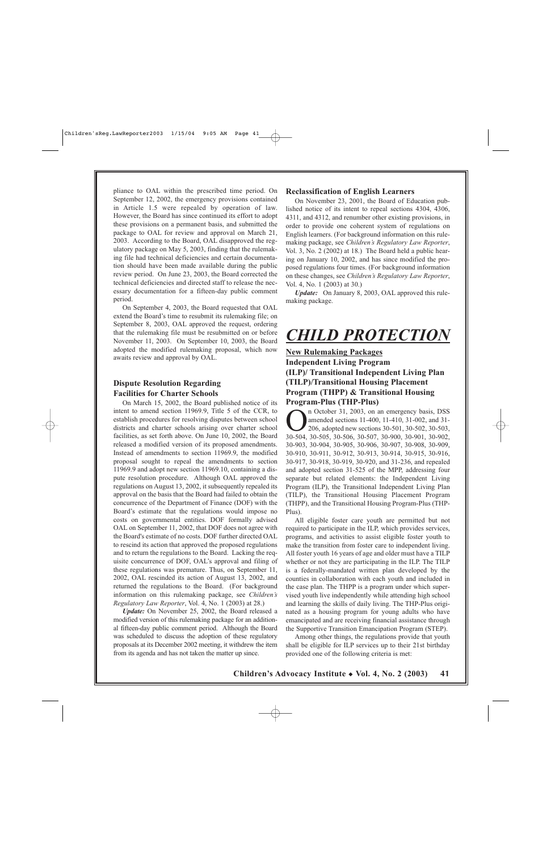pliance to OAL within the prescribed time period. On September 12, 2002, the emergency provisions contained in Article 1.5 were repealed by operation of law. However, the Board has since continued its effort to adopt these provisions on a permanent basis, and submitted the package to OAL for review and approval on March 21, 2003. According to the Board, OAL disapproved the regulatory package on May 5, 2003, finding that the rulemaking file had technical deficiencies and certain documentation should have been made available during the public review period. On June 23, 2003, the Board corrected the technical deficiencies and directed staff to release the necessary documentation for a fifteen-day public comment period.

On September 4, 2003, the Board requested that OAL extend the Board's time to resubmit its rulemaking file; on September 8, 2003, OAL approved the request, ordering that the rulemaking file must be resubmitted on or before November 11, 2003. On September 10, 2003, the Board adopted the modified rulemaking proposal, which now awaits review and approval by OAL.

## **Dispute Resolution Regarding Facilities for Charter Schools**

On March 15, 2002, the Board published notice of its intent to amend section 11969.9, Title 5 of the CCR, to establish procedures for resolving disputes between school districts and charter schools arising over charter school facilities, as set forth above. On June 10, 2002, the Board released a modified version of its proposed amendments. Instead of amendments to section 11969.9, the modified proposal sought to repeal the amendments to section 11969.9 and adopt new section 11969.10, containing a dispute resolution procedure. Although OAL approved the regulations on August 13, 2002, it subsequently repealed its approval on the basis that the Board had failed to obtain the concurrence of the Department of Finance (DOF) with the Board's estimate that the regulations would impose no costs on governmental entities. DOF formally advised OAL on September 11, 2002, that DOF does not agree with the Board's estimate of no costs. DOF further directed OAL to rescind its action that approved the proposed regulations and to return the regulations to the Board. Lacking the requisite concurrence of DOF, OAL's approval and filing of these regulations was premature. Thus, on September 11, 2002, OAL rescinded its action of August 13, 2002, and returned the regulations to the Board. (For background information on this rulemaking package, see *Children's Regulatory Law Reporter*, Vol. 4, No. 1 (2003) at 28.)

*Update:* On November 25, 2002, the Board released a modified version of this rulemaking package for an additional fifteen-day public comment period. Although the Board was scheduled to discuss the adoption of these regulatory proposals at its December 2002 meeting, it withdrew the item from its agenda and has not taken the matter up since.

#### **Reclassification of English Learners**

On November 23, 2001, the Board of Education published notice of its intent to repeal sections 4304, 4306, 4311, and 4312, and renumber other existing provisions, in order to provide one coherent system of regulations on English learners. (For background information on this rulemaking package, see *Children's Regulatory Law Reporter*, Vol. 3, No. 2 (2002) at 18.) The Board held a public hearing on January 10, 2002, and has since modified the proposed regulations four times. (For background information on these changes, see *Children's Regulatory Law Reporter*, Vol. 4, No. 1 (2003) at 30.)

*Update:* On January 8, 2003, OAL approved this rulemaking package.

# *CHILD PROTECTION*

## **New Rulemaking Packages Independent Living Program (ILP)/ Transitional Independent Living Plan (TILP)/Transitional Housing Placement Program (THPP) & Transitional Housing Program-Plus (THP-Plus)**

n October 31, 2003, on an emergency basis, DSS<br>amended sections 11-400, 11-410, 31-002, and 31-<br>206, adopted new sections 30-501, 30-502, 30-503,<br>30-504, 30-505, 30-506, 30-507, 30-900, 30-901, 30-902 amended sections 11-400, 11-410, 31-002, and 31- 206, adopted new sections 30-501, 30-502, 30-503, 30-504, 30-505, 30-506, 30-507, 30-900, 30-901, 30-902, 30-903, 30-904, 30-905, 30-906, 30-907, 30-908, 30-909, 30-910, 30-911, 30-912, 30-913, 30-914, 30-915, 30-916, 30-917, 30-918, 30-919, 30-920, and 31-236, and repealed and adopted section 31-525 of the MPP, addressing four separate but related elements: the Independent Living Program (ILP), the Transitional Independent Living Plan (TILP), the Transitional Housing Placement Program (THPP), and the Transitional Housing Program-Plus (THP-Plus).

All eligible foster care youth are permitted but not required to participate in the ILP, which provides services, programs, and activities to assist eligible foster youth to make the transition from foster care to independent living. All foster youth 16 years of age and older must have a TILP whether or not they are participating in the ILP. The TILP is a federally-mandated written plan developed by the counties in collaboration with each youth and included in the case plan. The THPP is a program under which supervised youth live independently while attending high school and learning the skills of daily living. The THP-Plus originated as a housing program for young adults who have emancipated and are receiving financial assistance through the Supportive Transition Emancipation Program (STEP).

Among other things, the regulations provide that youth shall be eligible for ILP services up to their 21st birthday provided one of the following criteria is met: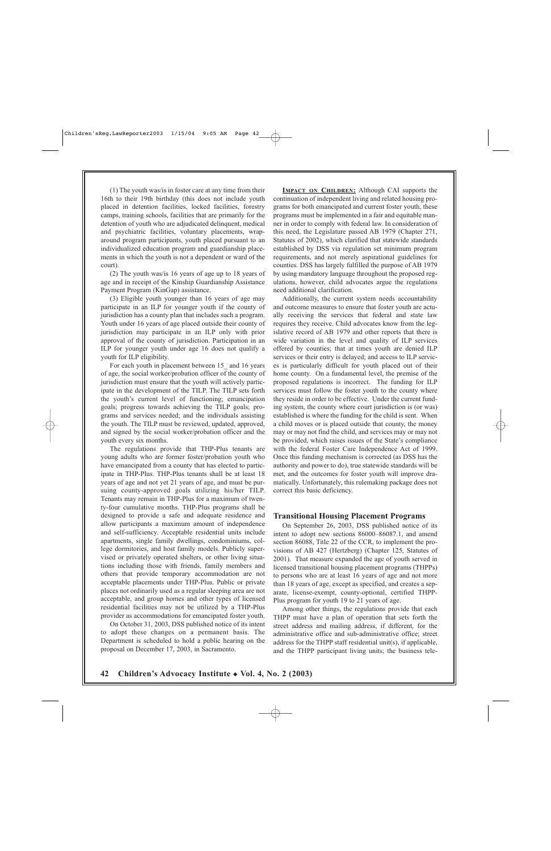(1) The youth was/is in foster care at any time from their 16th to their 19th birthday (this does not include youth placed in detention facilities, locked facilities, forestry camps, training schools, facilities that are primarily for the detention of youth who are adjudicated delinquent, medical and psychiatric facilities, voluntary placements, wraparound program participants, youth placed pursuant to an individualized education program and guardianship placements in which the youth is not a dependent or ward of the court).

(2) The youth was/is 16 years of age up to 18 years of age and in receipt of the Kinship Guardianship Assistance Payment Program (KinGap) assistance.

(3) Eligible youth younger than 16 years of age may participate in an ILP for younger youth if the county of jurisdiction has a county plan that includes such a program. Youth under 16 years of age placed outside their county of jurisdiction may participate in an ILP only with prior approval of the county of jurisdiction. Participation in an ILP for younger youth under age 16 does not qualify a youth for ILP eligibility.

For each youth in placement between 15 and 16 years of age, the social worker/probation officer of the county of jurisdiction must ensure that the youth will actively participate in the development of the TILP. The TILP sets forth the youth's current level of functioning; emancipation goals; progress towards achieving the TILP goals; programs and services needed; and the individuals assisting the youth. The TILP must be reviewed, updated, approved, and signed by the social worker/probation officer and the youth every six months.

The regulations provide that THP-Plus tenants are young adults who are former foster/probation youth who have emancipated from a county that has elected to participate in THP-Plus. THP-Plus tenants shall be at least 18 years of age and not yet 21 years of age, and must be pursuing county-approved goals utilizing his/her TILP. Tenants may remain in THP-Plus for a maximum of twenty-four cumulative months. THP-Plus programs shall be designed to provide a safe and adequate residence and allow participants a maximum amount of independence and self-sufficiency. Acceptable residential units include apartments, single family dwellings, condominiums, college dormitories, and host family models. Publicly supervised or privately operated shelters, or other living situations including those with friends, family members and others that provide temporary accommodation are not acceptable placements under THP-Plus. Public or private places not ordinarily used as a regular sleeping area are not acceptable, and group homes and other types of licensed residential facilities may not be utilized by a THP-Plus provider as accommodations for emancipated foster youth.

On October 31, 2003, DSS published notice of its intent to adopt these changes on a permanent basis. The Department is scheduled to hold a public hearing on the proposal on December 17, 2003, in Sacramento.

**IMPACT ON CHILDREN:** Although CAI supports the continuation of independent living and related housing programs for both emancipated and current foster youth, these programs must be implemented in a fair and equitable manner in order to comply with federal law. In consideration of this need, the Legislature passed AB 1979 (Chapter 271, Statutes of 2002), which clarified that statewide standards established by DSS via regulation set minimum program requirements, and not merely aspirational guidelines for counties. DSS has largely fulfilled the purpose of AB 1979 by using mandatory language throughout the proposed regulations, however, child advocates argue the regulations need additional clarification.

Additionally, the current system needs accountability and outcome measures to ensure that foster youth are actually receiving the services that federal and state law requires they receive. Child advocates know from the legislative record of AB 1979 and other reports that there is wide variation in the level and quality of ILP services offered by counties; that at times youth are denied ILP services or their entry is delayed; and access to ILP services is particularly difficult for youth placed out of their home county. On a fundamental level, the premise of the proposed regulations is incorrect. The funding for ILP services must follow the foster youth to the county where they reside in order to be effective. Under the current funding system, the county where court jurisdiction is (or was) established is where the funding for the child is sent. When a child moves or is placed outside that county, the money may or may not find the child, and services may or may not be provided, which raises issues of the State's compliance with the federal Foster Care Independence Act of 1999. Once this funding mechanism is corrected (as DSS has the authority and power to do), true statewide standards will be met, and the outcomes for foster youth will improve dramatically. Unfortunately, this rulemaking package does not correct this basic deficiency.

#### **Transitional Housing Placement Programs**

On September 26, 2003, DSS published notice of its intent to adopt new sections 86000–86087.1, and amend section 86088, Title 22 of the CCR, to implement the provisions of AB 427 (Hertzberg) (Chapter 125, Statutes of 2001). That measure expanded the age of youth served in licensed transitional housing placement programs (THPPs) to persons who are at least 16 years of age and not more than 18 years of age, except as specified, and creates a separate, license-exempt, county-optional, certified THPP-Plus program for youth 19 to 21 years of age.

Among other things, the regulations provide that each THPP must have a plan of operation that sets forth the street address and mailing address, if different, for the administrative office and sub-administrative office; street address for the THPP staff residential unit(s), if applicable, and the THPP participant living units; the business tele-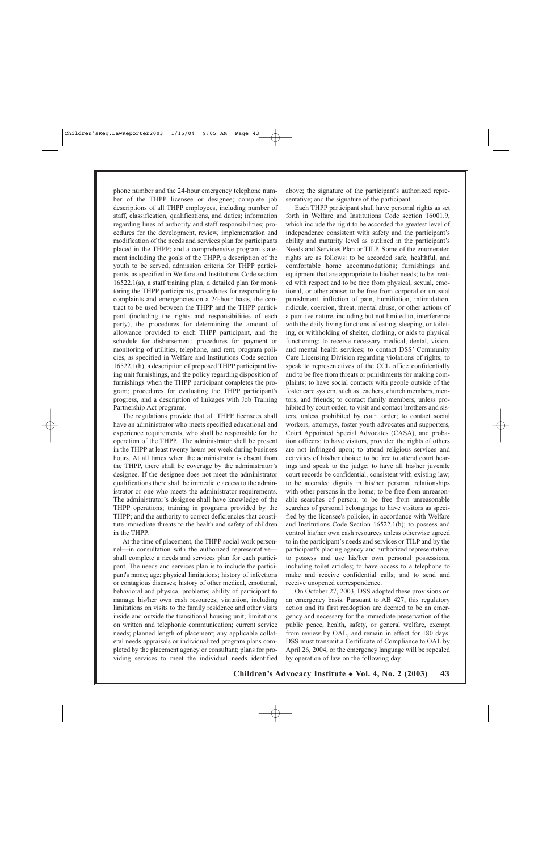phone number and the 24-hour emergency telephone number of the THPP licensee or designee; complete job descriptions of all THPP employees, including number of staff, classification, qualifications, and duties; information regarding lines of authority and staff responsibilities; procedures for the development, review, implementation and modification of the needs and services plan for participants placed in the THPP; and a comprehensive program statement including the goals of the THPP, a description of the youth to be served, admission criteria for THPP participants, as specified in Welfare and Institutions Code section 16522.1(a), a staff training plan, a detailed plan for monitoring the THPP participants, procedures for responding to complaints and emergencies on a 24-hour basis, the contract to be used between the THPP and the THPP participant (including the rights and responsibilities of each party), the procedures for determining the amount of allowance provided to each THPP participant, and the schedule for disbursement; procedures for payment or monitoring of utilities, telephone, and rent, program policies, as specified in Welfare and Institutions Code section 16522.1(h), a description of proposed THPP participant living unit furnishings, and the policy regarding disposition of furnishings when the THPP participant completes the program; procedures for evaluating the THPP participant's progress, and a description of linkages with Job Training Partnership Act programs.

The regulations provide that all THPP licensees shall have an administrator who meets specified educational and experience requirements, who shall be responsible for the operation of the THPP. The administrator shall be present in the THPP at least twenty hours per week during business hours. At all times when the administrator is absent from the THPP, there shall be coverage by the administrator's designee. If the designee does not meet the administrator qualifications there shall be immediate access to the administrator or one who meets the administrator requirements. The administrator's designee shall have knowledge of the THPP operations; training in programs provided by the THPP; and the authority to correct deficiencies that constitute immediate threats to the health and safety of children in the THPP.

At the time of placement, the THPP social work personnel—in consultation with the authorized representative shall complete a needs and services plan for each participant. The needs and services plan is to include the participant's name; age; physical limitations; history of infections or contagious diseases; history of other medical, emotional, behavioral and physical problems; ability of participant to manage his/her own cash resources; visitation, including limitations on visits to the family residence and other visits inside and outside the transitional housing unit; limitations on written and telephonic communication; current service needs; planned length of placement; any applicable collateral needs appraisals or individualized program plans completed by the placement agency or consultant; plans for providing services to meet the individual needs identified

above; the signature of the participant's authorized representative; and the signature of the participant.

Each THPP participant shall have personal rights as set forth in Welfare and Institutions Code section 16001.9, which include the right to be accorded the greatest level of independence consistent with safety and the participant's ability and maturity level as outlined in the participant's Needs and Services Plan or TILP. Some of the enumerated rights are as follows: to be accorded safe, healthful, and comfortable home accommodations; furnishings and equipment that are appropriate to his/her needs; to be treated with respect and to be free from physical, sexual, emotional, or other abuse; to be free from corporal or unusual punishment, infliction of pain, humiliation, intimidation, ridicule, coercion, threat, mental abuse, or other actions of a punitive nature, including but not limited to, interference with the daily living functions of eating, sleeping, or toileting, or withholding of shelter, clothing, or aids to physical functioning; to receive necessary medical, dental, vision, and mental health services; to contact DSS' Community Care Licensing Division regarding violations of rights; to speak to representatives of the CCL office confidentially and to be free from threats or punishments for making complaints; to have social contacts with people outside of the foster care system, such as teachers, church members, mentors, and friends; to contact family members, unless prohibited by court order; to visit and contact brothers and sisters, unless prohibited by court order; to contact social workers, attorneys, foster youth advocates and supporters, Court Appointed Special Advocates (CASA), and probation officers; to have visitors, provided the rights of others are not infringed upon; to attend religious services and activities of his/her choice; to be free to attend court hearings and speak to the judge; to have all his/her juvenile court records be confidential, consistent with existing law; to be accorded dignity in his/her personal relationships with other persons in the home; to be free from unreasonable searches of person; to be free from unreasonable searches of personal belongings; to have visitors as specified by the licensee's policies, in accordance with Welfare and Institutions Code Section 16522.1(h); to possess and control his/her own cash resources unless otherwise agreed to in the participant's needs and services or TILP and by the participant's placing agency and authorized representative; to possess and use his/her own personal possessions, including toilet articles; to have access to a telephone to make and receive confidential calls; and to send and receive unopened correspondence.

On October 27, 2003, DSS adopted these provisions on an emergency basis. Pursuant to AB 427, this regulatory action and its first readoption are deemed to be an emergency and necessary for the immediate preservation of the public peace, health, safety, or general welfare, exempt from review by OAL, and remain in effect for 180 days. DSS must transmit a Certificate of Compliance to OAL by April 26, 2004, or the emergency language will be repealed by operation of law on the following day.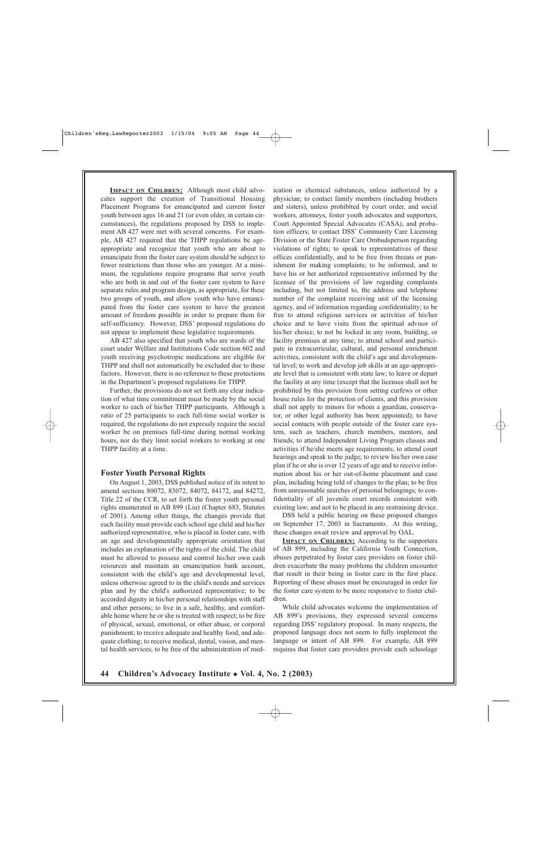**IMPACT ON CHILDREN:** Although most child advocates support the creation of Transitional Housing Placement Programs for emancipated and current foster youth between ages 16 and 21 (or even older, in certain circumstances), the regulations proposed by DSS to implement AB 427 were met with several concerns. For example, AB 427 required that the THPP regulations be ageappropriate and recognize that youth who are about to emancipate from the foster care system should be subject to fewer restrictions than those who are younger. At a minimum, the regulations require programs that serve youth who are both in and out of the foster care system to have separate rules and program design, as appropriate, for these two groups of youth, and allow youth who have emancipated from the foster care system to have the greatest amount of freedom possible in order to prepare them for self-sufficiency. However, DSS' proposed regulations do not appear to implement these legislative requirements.

AB 427 also specified that youth who are wards of the court under Welfare and Institutions Code section 602 and youth receiving psychotropic medications are eligible for THPP and shall not automatically be excluded due to these factors. However, there is no reference to these protections in the Department's proposed regulations for THPP.

Further, the provisions do not set forth any clear indication of what time commitment must be made by the social worker to each of his/her THPP participants. Although a ratio of 25 participants to each full-time social worker is required, the regulations do not expressly require the social worker be on premises full-time during normal working hours, nor do they limit social workers to working at one THPP facility at a time.

#### **Foster Youth Personal Rights**

On August 1, 2003, DSS published notice of its intent to amend sections 80072, 83072, 84072, 84172, and 84272, Title 22 of the CCR, to set forth the foster youth personal rights enumerated in AB 899 (Liu) (Chapter 683, Statutes of 2001). Among other things, the changes provide that each facility must provide each school age child and his/her authorized representative, who is placed in foster care, with an age and developmentally appropriate orientation that includes an explanation of the rights of the child. The child must be allowed to possess and control his/her own cash resources and maintain an emancipation bank account, consistent with the child's age and developmental level, unless otherwise agreed to in the child's needs and services plan and by the child's authorized representative; to be accorded dignity in his/her personal relationships with staff and other persons; to live in a safe, healthy, and comfortable home where he or she is treated with respect; to be free of physical, sexual, emotional, or other abuse, or corporal punishment; to receive adequate and healthy food, and adequate clothing; to receive medical, dental, vision, and mental health services; to be free of the administration of medication or chemical substances, unless authorized by a physician; to contact family members (including brothers and sisters), unless prohibited by court order, and social workers, attorneys, foster youth advocates and supporters, Court Appointed Special Advocates (CASA), and probation officers; to contact DSS' Community Care Licensing Division or the State Foster Care Ombudsperson regarding violations of rights; to speak to representatives of these offices confidentially, and to be free from threats or punishment for making complaints; to be informed, and to have his or her authorized representative informed by the licensee of the provisions of law regarding complaints including, but not limited to, the address and telephone number of the complaint receiving unit of the licensing agency, and of information regarding confidentiality; to be free to attend religious services or activities of his/her choice and to have visits from the spiritual advisor of his/her choice; to not be locked in any room, building, or facility premises at any time; to attend school and participate in extracurricular, cultural, and personal enrichment activities, consistent with the child's age and developmental level; to work and develop job skills at an age-appropriate level that is consistent with state law; to leave or depart the facility at any time (except that the licensee shall not be prohibited by this provision from setting curfews or other house rules for the protection of clients, and this provision shall not apply to minors for whom a guardian, conservator, or other legal authority has been appointed); to have social contacts with people outside of the foster care system, such as teachers, church members, mentors, and friends; to attend Independent Living Program classes and activities if he/she meets age requirements; to attend court hearings and speak to the judge; to review his/her own case plan if he or she is over 12 years of age and to receive information about his or her out-of-home placement and case plan, including being told of changes to the plan; to be free from unreasonable searches of personal belongings; to confidentiality of all juvenile court records consistent with existing law; and not to be placed in any restraining device.

DSS held a public hearing on these proposed changes on September 17, 2003 in Sacramento. At this writing, these changes await review and approval by OAL.

**IMPACT ON CHILDREN:** According to the supporters of AB 899, including the California Youth Connection, abuses perpetrated by foster care providers on foster children exacerbate the many problems the children encounter that result in their being in foster care in the first place. Reporting of these abuses must be encouraged in order for the foster care system to be more responsive to foster children.

While child advocates welcome the implementation of AB 899's provisions, they expressed several concerns regarding DSS' regulatory proposal. In many respects, the proposed language does not seem to fully implement the language or intent of AB 899. For example, AB 899 requires that foster care providers provide each schoolage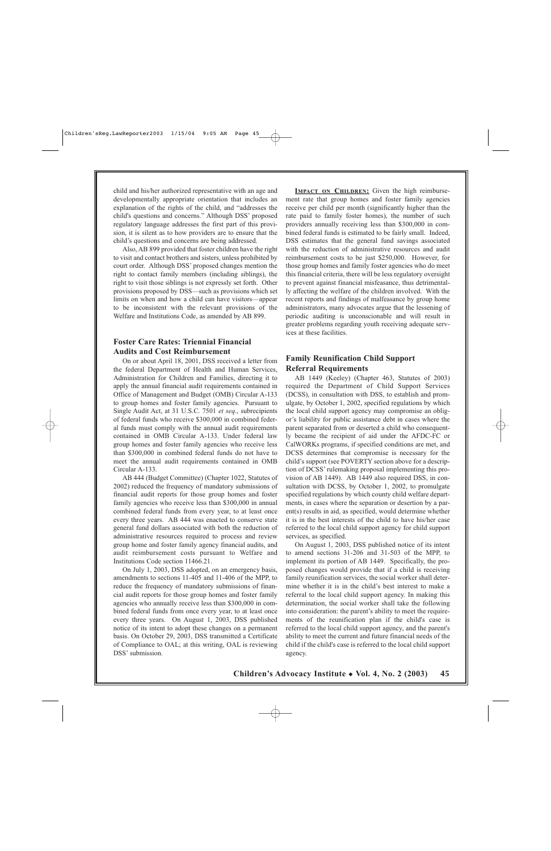child and his/her authorized representative with an age and developmentally appropriate orientation that includes an explanation of the rights of the child, and "addresses the child's questions and concerns." Although DSS' proposed regulatory language addresses the first part of this provision, it is silent as to how providers are to ensure that the child's questions and concerns are being addressed.

Also, AB 899 provided that foster children have the right to visit and contact brothers and sisters, unless prohibited by court order. Although DSS' proposed changes mention the right to contact family members (including siblings), the right to visit those siblings is not expressly set forth. Other provisions proposed by DSS—such as provisions which set limits on when and how a child can have visitors—appear to be inconsistent with the relevant provisions of the Welfare and Institutions Code, as amended by AB 899.

## **Foster Care Rates: Triennial Financial Audits and Cost Reimbursement**

On or about April 18, 2001, DSS received a letter from the federal Department of Health and Human Services, Administration for Children and Families, directing it to apply the annual financial audit requirements contained in Office of Management and Budget (OMB) Circular A-133 to group homes and foster family agencies. Pursuant to Single Audit Act, at 31 U.S.C. 7501 *et seq*., subrecipients of federal funds who receive \$300,000 in combined federal funds must comply with the annual audit requirements contained in OMB Circular A-133. Under federal law group homes and foster family agencies who receive less than \$300,000 in combined federal funds do not have to meet the annual audit requirements contained in OMB Circular A-133.

AB 444 (Budget Committee) (Chapter 1022, Statutes of 2002) reduced the frequency of mandatory submissions of financial audit reports for those group homes and foster family agencies who receive less than \$300,000 in annual combined federal funds from every year, to at least once every three years. AB 444 was enacted to conserve state general fund dollars associated with both the reduction of administrative resources required to process and review group home and foster family agency financial audits, and audit reimbursement costs pursuant to Welfare and Institutions Code section 11466.21.

On July 1, 2003, DSS adopted, on an emergency basis, amendments to sections 11-405 and 11-406 of the MPP, to reduce the frequency of mandatory submissions of financial audit reports for those group homes and foster family agencies who annually receive less than \$300,000 in combined federal funds from once every year, to at least once every three years. On August 1, 2003, DSS published notice of its intent to adopt these changes on a permanent basis. On October 29, 2003, DSS transmitted a Certificate of Compliance to OAL; at this writing, OAL is reviewing DSS' submission.

**IMPACT ON CHILDREN:** Given the high reimbursement rate that group homes and foster family agencies receive per child per month (significantly higher than the rate paid to family foster homes), the number of such providers annually receiving less than \$300,000 in combined federal funds is estimated to be fairly small. Indeed, DSS estimates that the general fund savings associated with the reduction of administrative resources and audit reimbursement costs to be just \$250,000. However, for those group homes and family foster agencies who do meet this financial criteria, there will be less regulatory oversight to prevent against financial misfeasance, thus detrimentally affecting the welfare of the children involved. With the recent reports and findings of malfeasance by group home administrators, many advocates argue that the lessening of periodic auditing is unconscionable and will result in greater problems regarding youth receiving adequate services at these facilities.

## **Family Reunification Child Support Referral Requirements**

AB 1449 (Keeley) (Chapter 463, Statutes of 2003) required the Department of Child Support Services (DCSS), in consultation with DSS, to establish and promulgate, by October 1, 2002, specified regulations by which the local child support agency may compromise an obligor's liability for public assistance debt in cases where the parent separated from or deserted a child who consequently became the recipient of aid under the AFDC-FC or CalWORKs programs, if specified conditions are met, and DCSS determines that compromise is necessary for the child's support (see POVERTY section above for a description of DCSS' rulemaking proposal implementing this provision of AB 1449). AB 1449 also required DSS, in consultation with DCSS, by October 1, 2002, to promulgate specified regulations by which county child welfare departments, in cases where the separation or desertion by a parent(s) results in aid, as specified, would determine whether it is in the best interests of the child to have his/her case referred to the local child support agency for child support services, as specified.

On August 1, 2003, DSS published notice of its intent to amend sections 31-206 and 31-503 of the MPP, to implement its portion of AB 1449. Specifically, the proposed changes would provide that if a child is receiving family reunification services, the social worker shall determine whether it is in the child's best interest to make a referral to the local child support agency. In making this determination, the social worker shall take the following into consideration: the parent's ability to meet the requirements of the reunification plan if the child's case is referred to the local child support agency, and the parent's ability to meet the current and future financial needs of the child if the child's case is referred to the local child support agency.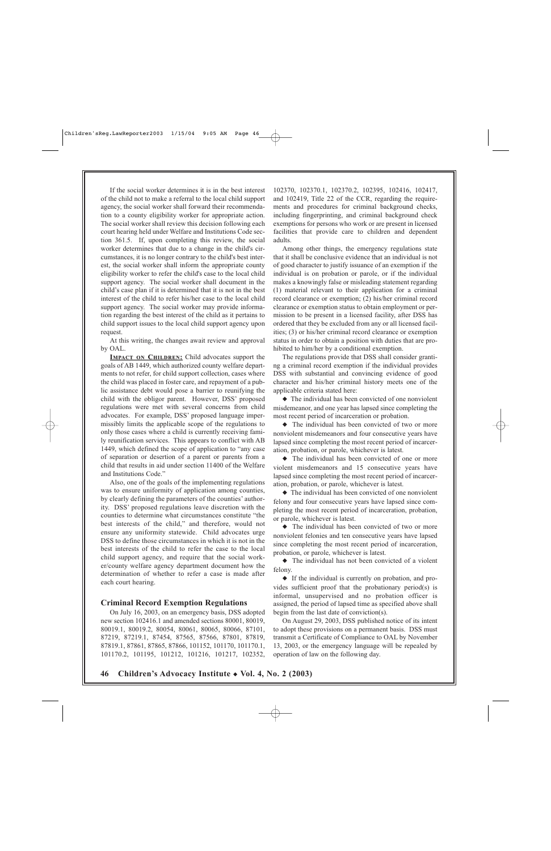If the social worker determines it is in the best interest of the child not to make a referral to the local child support agency, the social worker shall forward their recommendation to a county eligibility worker for appropriate action. The social worker shall review this decision following each court hearing held under Welfare and Institutions Code section 361.5. If, upon completing this review, the social worker determines that due to a change in the child's circumstances, it is no longer contrary to the child's best interest, the social worker shall inform the appropriate county eligibility worker to refer the child's case to the local child support agency. The social worker shall document in the child's case plan if it is determined that it is not in the best interest of the child to refer his/her case to the local child support agency. The social worker may provide information regarding the best interest of the child as it pertains to child support issues to the local child support agency upon request.

At this writing, the changes await review and approval by OAL.

**IMPACT ON CHILDREN:** Child advocates support the goals of AB 1449, which authorized county welfare departments to not refer, for child support collection, cases where the child was placed in foster care, and repayment of a public assistance debt would pose a barrier to reunifying the child with the obligor parent. However, DSS' proposed regulations were met with several concerns from child advocates. For example, DSS' proposed language impermissibly limits the applicable scope of the regulations to only those cases where a child is currently receiving family reunification services. This appears to conflict with AB 1449, which defined the scope of application to "any case of separation or desertion of a parent or parents from a child that results in aid under section 11400 of the Welfare and Institutions Code."

Also, one of the goals of the implementing regulations was to ensure uniformity of application among counties, by clearly defining the parameters of the counties' authority. DSS' proposed regulations leave discretion with the counties to determine what circumstances constitute "the best interests of the child," and therefore, would not ensure any uniformity statewide. Child advocates urge DSS to define those circumstances in which it is not in the best interests of the child to refer the case to the local child support agency, and require that the social worker/county welfare agency department document how the determination of whether to refer a case is made after each court hearing.

#### **Criminal Record Exemption Regulations**

On July 16, 2003, on an emergency basis, DSS adopted new section 102416.1 and amended sections 80001, 80019, 80019.1, 80019.2, 80054, 80061, 80065, 80066, 87101, 87219, 87219.1, 87454, 87565, 87566, 87801, 87819, 87819.1, 87861, 87865, 87866, 101152, 101170, 101170.1, 101170.2, 101195, 101212, 101216, 101217, 102352, 102370, 102370.1, 102370.2, 102395, 102416, 102417, and 102419, Title 22 of the CCR, regarding the requirements and procedures for criminal background checks, including fingerprinting, and criminal background check exemptions for persons who work or are present in licensed facilities that provide care to children and dependent adults.

Among other things, the emergency regulations state that it shall be conclusive evidence that an individual is not of good character to justify issuance of an exemption if the individual is on probation or parole, or if the individual makes a knowingly false or misleading statement regarding (1) material relevant to their application for a criminal record clearance or exemption; (2) his/her criminal record clearance or exemption status to obtain employment or permission to be present in a licensed facility, after DSS has ordered that they be excluded from any or all licensed facilities; (3) or his/her criminal record clearance or exemption status in order to obtain a position with duties that are prohibited to him/her by a conditional exemption.

The regulations provide that DSS shall consider granting a criminal record exemption if the individual provides DSS with substantial and convincing evidence of good character and his/her criminal history meets one of the applicable criteria stated here:

◆ The individual has been convicted of one nonviolent misdemeanor, and one year has lapsed since completing the most recent period of incarceration or probation.

◆ The individual has been convicted of two or more nonviolent misdemeanors and four consecutive years have lapsed since completing the most recent period of incarceration, probation, or parole, whichever is latest.

◆ The individual has been convicted of one or more violent misdemeanors and 15 consecutive years have lapsed since completing the most recent period of incarceration, probation, or parole, whichever is latest.

◆ The individual has been convicted of one nonviolent felony and four consecutive years have lapsed since completing the most recent period of incarceration, probation, or parole, whichever is latest.

◆ The individual has been convicted of two or more nonviolent felonies and ten consecutive years have lapsed since completing the most recent period of incarceration, probation, or parole, whichever is latest.

◆ The individual has not been convicted of a violent felony.

◆ If the individual is currently on probation, and provides sufficient proof that the probationary period(s) is informal, unsupervised and no probation officer is assigned, the period of lapsed time as specified above shall begin from the last date of conviction(s).

On August 29, 2003, DSS published notice of its intent to adopt these provisions on a permanent basis. DSS must transmit a Certificate of Compliance to OAL by November 13, 2003, or the emergency language will be repealed by operation of law on the following day.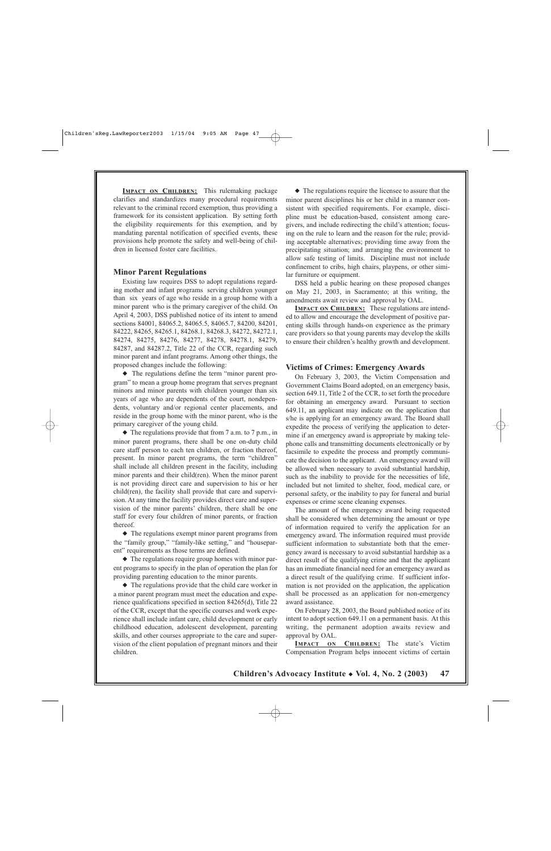**IMPACT ON CHILDREN:** This rulemaking package clarifies and standardizes many procedural requirements relevant to the criminal record exemption, thus providing a framework for its consistent application. By setting forth the eligibility requirements for this exemption, and by mandating parental notification of specified events, these provisions help promote the safety and well-being of children in licensed foster care facilities.

#### **Minor Parent Regulations**

Existing law requires DSS to adopt regulations regarding mother and infant programs serving children younger than six years of age who reside in a group home with a minor parent who is the primary caregiver of the child. On April 4, 2003, DSS published notice of its intent to amend sections 84001, 84065.2, 84065.5, 84065.7, 84200, 84201, 84222, 84265, 84265.1, 84268.1, 84268.3, 84272, 84272.1, 84274, 84275, 84276, 84277, 84278, 84278.1, 84279, 84287, and 84287.2, Title 22 of the CCR, regarding such minor parent and infant programs. Among other things, the proposed changes include the following:

◆ The regulations define the term "minor parent program" to mean a group home program that serves pregnant minors and minor parents with children younger than six years of age who are dependents of the court, nondependents, voluntary and/or regional center placements, and reside in the group home with the minor parent, who is the primary caregiver of the young child.

 $\blacklozenge$  The regulations provide that from 7 a.m. to 7 p.m., in minor parent programs, there shall be one on-duty child care staff person to each ten children, or fraction thereof, present. In minor parent programs, the term "children" shall include all children present in the facility, including minor parents and their child(ren). When the minor parent is not providing direct care and supervision to his or her child(ren), the facility shall provide that care and supervision. At any time the facility provides direct care and supervision of the minor parents' children, there shall be one staff for every four children of minor parents, or fraction thereof.

◆ The regulations exempt minor parent programs from the "family group," "family-like setting," and "houseparent" requirements as those terms are defined.

◆ The regulations require group homes with minor parent programs to specify in the plan of operation the plan for providing parenting education to the minor parents.

◆ The regulations provide that the child care worker in a minor parent program must meet the education and experience qualifications specified in section 84265(d), Title 22 of the CCR, except that the specific courses and work experience shall include infant care, child development or early childhood education, adolescent development, parenting skills, and other courses appropriate to the care and supervision of the client population of pregnant minors and their children.

◆ The regulations require the licensee to assure that the minor parent disciplines his or her child in a manner consistent with specified requirements. For example, discipline must be education-based, consistent among caregivers, and include redirecting the child's attention; focusing on the rule to learn and the reason for the rule; providing acceptable alternatives; providing time away from the precipitating situation; and arranging the environment to allow safe testing of limits. Discipline must not include confinement to cribs, high chairs, playpens, or other similar furniture or equipment.

DSS held a public hearing on these proposed changes on May 21, 2003, in Sacramento; at this writing, the amendments await review and approval by OAL.

**IMPACT ON CHILDREN:** These regulations are intended to allow and encourage the development of positive parenting skills through hands-on experience as the primary care providers so that young parents may develop the skills to ensure their children's healthy growth and development.

#### **Victims of Crimes: Emergency Awards**

On February 3, 2003, the Victim Compensation and Government Claims Board adopted, on an emergency basis, section 649.11, Title 2 of the CCR, to set forth the procedure for obtaining an emergency award. Pursuant to section 649.11, an applicant may indicate on the application that s/he is applying for an emergency award. The Board shall expedite the process of verifying the application to determine if an emergency award is appropriate by making telephone calls and transmitting documents electronically or by facsimile to expedite the process and promptly communicate the decision to the applicant. An emergency award will be allowed when necessary to avoid substantial hardship, such as the inability to provide for the necessities of life, included but not limited to shelter, food, medical care, or personal safety, or the inability to pay for funeral and burial expenses or crime scene cleaning expenses.

The amount of the emergency award being requested shall be considered when determining the amount or type of information required to verify the application for an emergency award. The information required must provide sufficient information to substantiate both that the emergency award is necessary to avoid substantial hardship as a direct result of the qualifying crime and that the applicant has an immediate financial need for an emergency award as a direct result of the qualifying crime. If sufficient information is not provided on the application, the application shall be processed as an application for non-emergency award assistance.

On February 28, 2003, the Board published notice of its intent to adopt section 649.11 on a permanent basis. At this writing, the permanent adoption awaits review and approval by OAL.

**IMPACT ON CHILDREN:** The state's Victim Compensation Program helps innocent victims of certain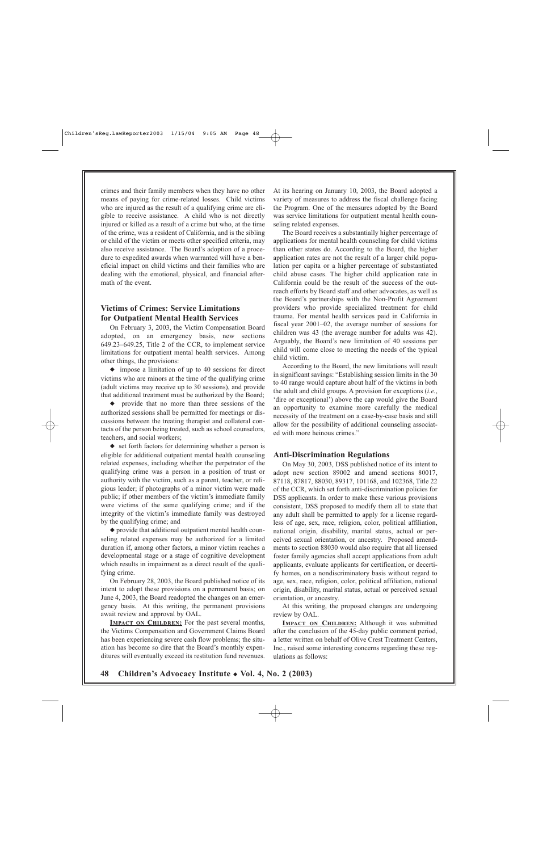crimes and their family members when they have no other means of paying for crime-related losses. Child victims who are injured as the result of a qualifying crime are eligible to receive assistance. A child who is not directly injured or killed as a result of a crime but who, at the time of the crime, was a resident of California, and is the sibling or child of the victim or meets other specified criteria, may also receive assistance. The Board's adoption of a procedure to expedited awards when warranted will have a beneficial impact on child victims and their families who are dealing with the emotional, physical, and financial aftermath of the event.

## **Victims of Crimes: Service Limitations for Outpatient Mental Health Services**

On February 3, 2003, the Victim Compensation Board adopted, on an emergency basis, new sections 649.23–649.25, Title 2 of the CCR, to implement service limitations for outpatient mental health services. Among other things, the provisions:

◆ impose a limitation of up to 40 sessions for direct victims who are minors at the time of the qualifying crime (adult victims may receive up to 30 sessions), and provide that additional treatment must be authorized by the Board;

◆ provide that no more than three sessions of the authorized sessions shall be permitted for meetings or discussions between the treating therapist and collateral contacts of the person being treated, such as school counselors, teachers, and social workers;

◆ set forth factors for determining whether a person is eligible for additional outpatient mental health counseling related expenses, including whether the perpetrator of the qualifying crime was a person in a position of trust or authority with the victim, such as a parent, teacher, or religious leader; if photographs of a minor victim were made public; if other members of the victim's immediate family were victims of the same qualifying crime; and if the integrity of the victim's immediate family was destroyed by the qualifying crime; and

◆ provide that additional outpatient mental health counseling related expenses may be authorized for a limited duration if, among other factors, a minor victim reaches a developmental stage or a stage of cognitive development which results in impairment as a direct result of the qualifying crime.

On February 28, 2003, the Board published notice of its intent to adopt these provisions on a permanent basis; on June 4, 2003, the Board readopted the changes on an emergency basis. At this writing, the permanent provisions await review and approval by OAL.

**IMPACT ON CHILDREN:** For the past several months, the Victims Compensation and Government Claims Board has been experiencing severe cash flow problems; the situation has become so dire that the Board's monthly expenditures will eventually exceed its restitution fund revenues. At its hearing on January 10, 2003, the Board adopted a variety of measures to address the fiscal challenge facing the Program. One of the measures adopted by the Board was service limitations for outpatient mental health counseling related expenses.

The Board receives a substantially higher percentage of applications for mental health counseling for child victims than other states do. According to the Board, the higher application rates are not the result of a larger child population per capita or a higher percentage of substantiated child abuse cases. The higher child application rate in California could be the result of the success of the outreach efforts by Board staff and other advocates, as well as the Board's partnerships with the Non-Profit Agreement providers who provide specialized treatment for child trauma. For mental health services paid in California in fiscal year 2001–02, the average number of sessions for children was 43 (the average number for adults was 42). Arguably, the Board's new limitation of 40 sessions per child will come close to meeting the needs of the typical child victim.

According to the Board, the new limitations will result in significant savings: "Establishing session limits in the 30 to 40 range would capture about half of the victims in both the adult and child groups. A provision for exceptions (*i.e.*, 'dire or exceptional') above the cap would give the Board an opportunity to examine more carefully the medical necessity of the treatment on a case-by-case basis and still allow for the possibility of additional counseling associated with more heinous crimes."

#### **Anti-Discrimination Regulations**

On May 30, 2003, DSS published notice of its intent to adopt new section 89002 and amend sections 80017, 87118, 87817, 88030, 89317, 101168, and 102368, Title 22 of the CCR, which set forth anti-discrimination policies for DSS applicants. In order to make these various provisions consistent, DSS proposed to modify them all to state that any adult shall be permitted to apply for a license regardless of age, sex, race, religion, color, political affiliation, national origin, disability, marital status, actual or perceived sexual orientation, or ancestry. Proposed amendments to section 88030 would also require that all licensed foster family agencies shall accept applications from adult applicants, evaluate applicants for certification, or decertify homes, on a nondiscriminatory basis without regard to age, sex, race, religion, color, political affiliation, national origin, disability, marital status, actual or perceived sexual orientation, or ancestry.

At this writing, the proposed changes are undergoing review by OAL.

**IMPACT ON CHILDREN:** Although it was submitted after the conclusion of the 45-day public comment period, a letter written on behalf of Olive Crest Treatment Centers, Inc., raised some interesting concerns regarding these regulations as follows: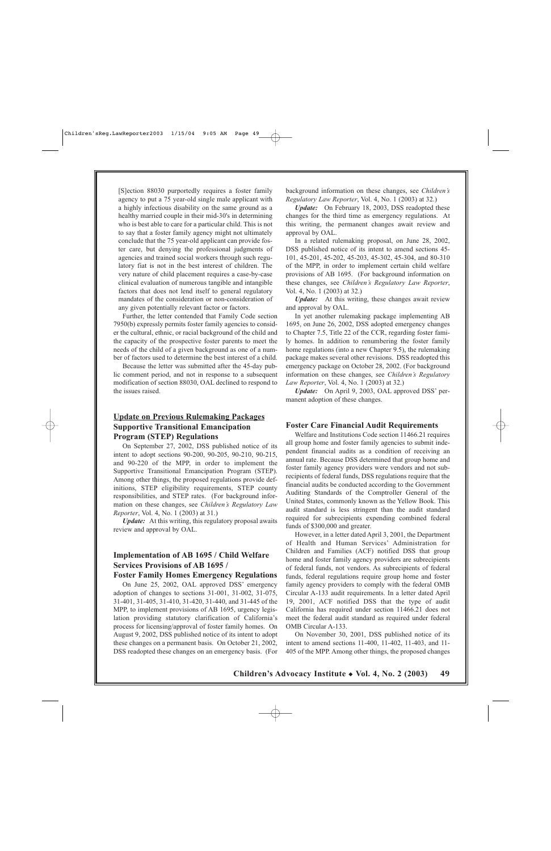[S]ection 88030 purportedly requires a foster family agency to put a 75 year-old single male applicant with a highly infectious disability on the same ground as a healthy married couple in their mid-30's in determining who is best able to care for a particular child. This is not to say that a foster family agency might not ultimately conclude that the 75 year-old applicant can provide foster care, but denying the professional judgments of agencies and trained social workers through such regulatory fiat is not in the best interest of children. The very nature of child placement requires a case-by-case clinical evaluation of numerous tangible and intangible factors that does not lend itself to general regulatory mandates of the consideration or non-consideration of any given potentially relevant factor or factors.

Further, the letter contended that Family Code section 7950(b) expressly permits foster family agencies to consider the cultural, ethnic, or racial background of the child and the capacity of the prospective foster parents to meet the needs of the child of a given background as one of a number of factors used to determine the best interest of a child.

Because the letter was submitted after the 45-day public comment period, and not in response to a subsequent modification of section 88030, OAL declined to respond to the issues raised.

## **Update on Previous Rulemaking Packages Supportive Transitional Emancipation Program (STEP) Regulations**

On September 27, 2002, DSS published notice of its intent to adopt sections 90-200, 90-205, 90-210, 90-215, and 90-220 of the MPP, in order to implement the Supportive Transitional Emancipation Program (STEP). Among other things, the proposed regulations provide definitions, STEP eligibility requirements, STEP county responsibilities, and STEP rates. (For background information on these changes, see *Children's Regulatory Law Reporter*, Vol. 4, No. 1 (2003) at 31.)

*Update:* At this writing, this regulatory proposal awaits review and approval by OAL.

## **Implementation of AB 1695 / Child Welfare Services Provisions of AB 1695 /**

#### **Foster Family Homes Emergency Regulations**

On June 25, 2002, OAL approved DSS' emergency adoption of changes to sections 31-001, 31-002, 31-075, 31-401, 31-405, 31-410, 31-420, 31-440, and 31-445 of the MPP, to implement provisions of AB 1695, urgency legislation providing statutory clarification of California's process for licensing/approval of foster family homes. On August 9, 2002, DSS published notice of its intent to adopt these changes on a permanent basis. On October 21, 2002, DSS readopted these changes on an emergency basis. (For background information on these changes, see *Children's Regulatory Law Reporter*, Vol. 4, No. 1 (2003) at 32.)

*Update:* On February 18, 2003, DSS readopted these changes for the third time as emergency regulations. At this writing, the permanent changes await review and approval by OAL.

In a related rulemaking proposal, on June 28, 2002, DSS published notice of its intent to amend sections 45- 101, 45-201, 45-202, 45-203, 45-302, 45-304, and 80-310 of the MPP, in order to implement certain child welfare provisions of AB 1695. (For background information on these changes, see *Children's Regulatory Law Reporter*, Vol. 4, No. 1 (2003) at 32.)

*Update:* At this writing, these changes await review and approval by OAL.

In yet another rulemaking package implementing AB 1695, on June 26, 2002, DSS adopted emergency changes to Chapter 7.5, Title 22 of the CCR, regarding foster family homes. In addition to renumbering the foster family home regulations (into a new Chapter 9.5), the rulemaking package makes several other revisions. DSS readopted this emergency package on October 28, 2002. (For background information on these changes, see *Children's Regulatory Law Reporter*, Vol. 4, No. 1 (2003) at 32.)

*Update:* On April 9, 2003, OAL approved DSS' permanent adoption of these changes.

#### **Foster Care Financial Audit Requirements**

Welfare and Institutions Code section 11466.21 requires all group home and foster family agencies to submit independent financial audits as a condition of receiving an annual rate. Because DSS determined that group home and foster family agency providers were vendors and not subrecipients of federal funds, DSS regulations require that the financial audits be conducted according to the Government Auditing Standards of the Comptroller General of the United States, commonly known as the Yellow Book. This audit standard is less stringent than the audit standard required for subrecipients expending combined federal funds of \$300,000 and greater.

However, in a letter dated April 3, 2001, the Department of Health and Human Services' Administration for Children and Families (ACF) notified DSS that group home and foster family agency providers are subrecipients of federal funds, not vendors. As subrecipients of federal funds, federal regulations require group home and foster family agency providers to comply with the federal OMB Circular A-133 audit requirements. In a letter dated April 19, 2001, ACF notified DSS that the type of audit California has required under section 11466.21 does not meet the federal audit standard as required under federal OMB Circular A-133.

On November 30, 2001, DSS published notice of its intent to amend sections 11-400, 11-402, 11-403, and 11- 405 of the MPP. Among other things, the proposed changes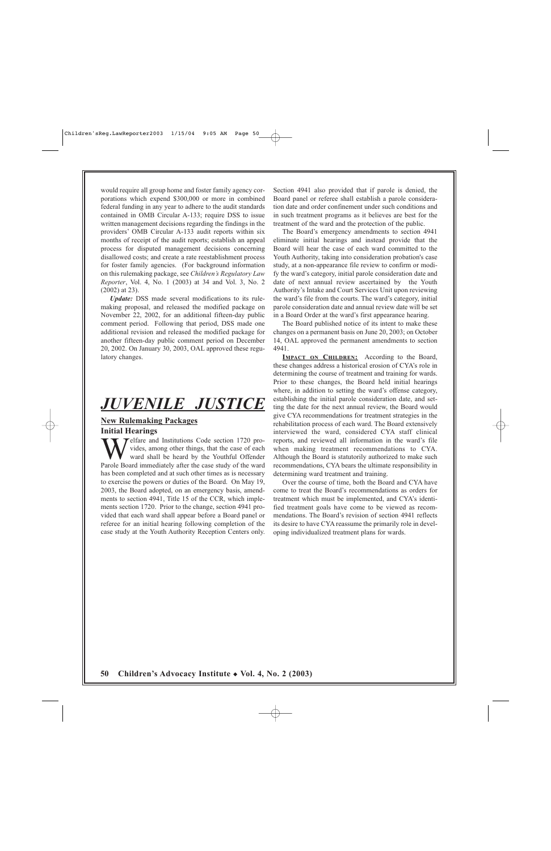would require all group home and foster family agency corporations which expend \$300,000 or more in combined federal funding in any year to adhere to the audit standards contained in OMB Circular A-133; require DSS to issue written management decisions regarding the findings in the providers' OMB Circular A-133 audit reports within six months of receipt of the audit reports; establish an appeal process for disputed management decisions concerning disallowed costs; and create a rate reestablishment process for foster family agencies. (For background information on this rulemaking package, see *Children's Regulatory Law Reporter*, Vol. 4, No. 1 (2003) at 34 and Vol. 3, No. 2 (2002) at 23).

*Update:* DSS made several modifications to its rulemaking proposal, and released the modified package on November 22, 2002, for an additional fifteen-day public comment period. Following that period, DSS made one additional revision and released the modified package for another fifteen-day public comment period on December 20, 2002. On January 30, 2003, OAL approved these regulatory changes.

## *JUVENILE JUSTICE*

#### **New Rulemaking Packages Initial Hearings**

Telfare and Institutions Code section 1720 provides, among other things, that the case of each ward shall be heard by the Youthful Offender Parole Board immediately after the case study of the ward has been completed and at such other times as is necessary to exercise the powers or duties of the Board. On May 19, 2003, the Board adopted, on an emergency basis, amendments to section 4941, Title 15 of the CCR, which implements section 1720. Prior to the change, section 4941 provided that each ward shall appear before a Board panel or referee for an initial hearing following completion of the case study at the Youth Authority Reception Centers only. Section 4941 also provided that if parole is denied, the Board panel or referee shall establish a parole consideration date and order confinement under such conditions and in such treatment programs as it believes are best for the treatment of the ward and the protection of the public.

The Board's emergency amendments to section 4941 eliminate initial hearings and instead provide that the Board will hear the case of each ward committed to the Youth Authority, taking into consideration probation's case study, at a non-appearance file review to confirm or modify the ward's category, initial parole consideration date and date of next annual review ascertained by the Youth Authority's Intake and Court Services Unit upon reviewing the ward's file from the courts. The ward's category, initial parole consideration date and annual review date will be set in a Board Order at the ward's first appearance hearing.

The Board published notice of its intent to make these changes on a permanent basis on June 20, 2003; on October 14, OAL approved the permanent amendments to section 4941.

**IMPACT ON CHILDREN:** According to the Board, these changes address a historical erosion of CYA's role in determining the course of treatment and training for wards. Prior to these changes, the Board held initial hearings where, in addition to setting the ward's offense category, establishing the initial parole consideration date, and setting the date for the next annual review, the Board would give CYA recommendations for treatment strategies in the rehabilitation process of each ward. The Board extensively interviewed the ward, considered CYA staff clinical reports, and reviewed all information in the ward's file when making treatment recommendations to CYA. Although the Board is statutorily authorized to make such recommendations, CYA bears the ultimate responsibility in determining ward treatment and training.

Over the course of time, both the Board and CYA have come to treat the Board's recommendations as orders for treatment which must be implemented, and CYA's identified treatment goals have come to be viewed as recommendations. The Board's revision of section 4941 reflects its desire to have CYA reassume the primarily role in developing individualized treatment plans for wards.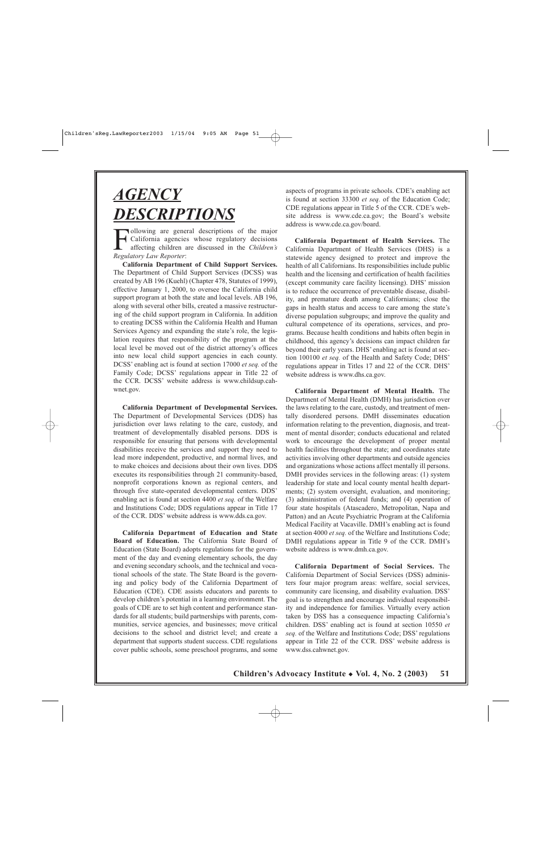# *AGENCY DESCRIPTIONS*

Following are general descriptions of the major<br>California agencies whose regulatory decisions<br>affecting children are discussed in the Children's<br>Regulatory Law Reporter: California agencies whose regulatory decisions affecting children are discussed in the *Children's Regulatory Law Reporter*:

**California Department of Child Support Services.** The Department of Child Support Services (DCSS) was created by AB 196 (Kuehl) (Chapter 478, Statutes of 1999), effective January 1, 2000, to oversee the California child support program at both the state and local levels. AB 196, along with several other bills, created a massive restructuring of the child support program in California. In addition to creating DCSS within the California Health and Human Services Agency and expanding the state's role, the legislation requires that responsibility of the program at the local level be moved out of the district attorney's offices into new local child support agencies in each county. DCSS' enabling act is found at section 17000 *et seq.* of the Family Code; DCSS' regulations appear in Title 22 of the CCR. DCSS' website address is www.childsup.cahwnet.gov.

**California Department of Developmental Services.** The Department of Developmental Services (DDS) has jurisdiction over laws relating to the care, custody, and treatment of developmentally disabled persons. DDS is responsible for ensuring that persons with developmental disabilities receive the services and support they need to lead more independent, productive, and normal lives, and to make choices and decisions about their own lives. DDS executes its responsibilities through 21 community-based, nonprofit corporations known as regional centers, and through five state-operated developmental centers. DDS' enabling act is found at section 4400 *et seq.* of the Welfare and Institutions Code; DDS regulations appear in Title 17 of the CCR. DDS' website address is www.dds.ca.gov.

**California Department of Education and State Board of Education.** The California State Board of Education (State Board) adopts regulations for the government of the day and evening elementary schools, the day and evening secondary schools, and the technical and vocational schools of the state. The State Board is the governing and policy body of the California Department of Education (CDE). CDE assists educators and parents to develop children's potential in a learning environment. The goals of CDE are to set high content and performance standards for all students; build partnerships with parents, communities, service agencies, and businesses; move critical decisions to the school and district level; and create a department that supports student success. CDE regulations cover public schools, some preschool programs, and some

aspects of programs in private schools. CDE's enabling act is found at section 33300 *et seq.* of the Education Code; CDE regulations appear in Title 5 of the CCR. CDE's website address is www.cde.ca.gov; the Board's website address is www.cde.ca.gov/board.

**California Department of Health Services.** The California Department of Health Services (DHS) is a statewide agency designed to protect and improve the health of all Californians. Its responsibilities include public health and the licensing and certification of health facilities (except community care facility licensing). DHS' mission is to reduce the occurrence of preventable disease, disability, and premature death among Californians; close the gaps in health status and access to care among the state's diverse population subgroups; and improve the quality and cultural competence of its operations, services, and programs. Because health conditions and habits often begin in childhood, this agency's decisions can impact children far beyond their early years. DHS' enabling act is found at section 100100 *et seq.* of the Health and Safety Code; DHS' regulations appear in Titles 17 and 22 of the CCR. DHS' website address is www.dhs.ca.gov.

**California Department of Mental Health.** The Department of Mental Health (DMH) has jurisdiction over the laws relating to the care, custody, and treatment of mentally disordered persons. DMH disseminates education information relating to the prevention, diagnosis, and treatment of mental disorder; conducts educational and related work to encourage the development of proper mental health facilities throughout the state; and coordinates state activities involving other departments and outside agencies and organizations whose actions affect mentally ill persons. DMH provides services in the following areas: (1) system leadership for state and local county mental health departments; (2) system oversight, evaluation, and monitoring; (3) administration of federal funds; and (4) operation of four state hospitals (Atascadero, Metropolitan, Napa and Patton) and an Acute Psychiatric Program at the California Medical Facility at Vacaville. DMH's enabling act is found at section 4000 *et seq.* of the Welfare and Institutions Code; DMH regulations appear in Title 9 of the CCR. DMH's website address is www.dmh.ca.gov.

**California Department of Social Services.** The California Department of Social Services (DSS) administers four major program areas: welfare, social services, community care licensing, and disability evaluation. DSS' goal is to strengthen and encourage individual responsibility and independence for families. Virtually every action taken by DSS has a consequence impacting California's children. DSS' enabling act is found at section 10550 *et seq.* of the Welfare and Institutions Code; DSS' regulations appear in Title 22 of the CCR. DSS' website address is www.dss.cahwnet.gov.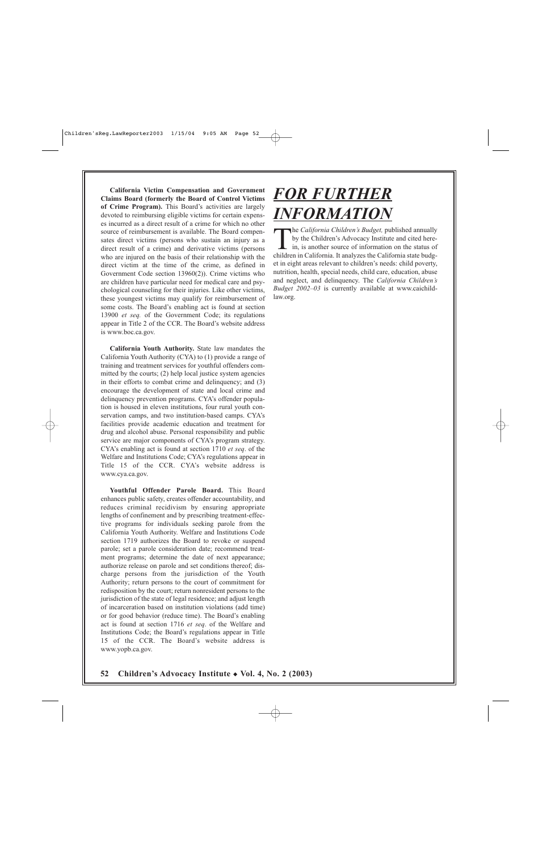**California Victim Compensation and Government Claims Board (formerly the Board of Control Victims of Crime Program).** This Board's activities are largely devoted to reimbursing eligible victims for certain expenses incurred as a direct result of a crime for which no other source of reimbursement is available. The Board compensates direct victims (persons who sustain an injury as a direct result of a crime) and derivative victims (persons who are injured on the basis of their relationship with the direct victim at the time of the crime, as defined in Government Code section 13960(2)). Crime victims who are children have particular need for medical care and psychological counseling for their injuries. Like other victims, these youngest victims may qualify for reimbursement of some costs. The Board's enabling act is found at section 13900 *et seq.* of the Government Code; its regulations appear in Title 2 of the CCR. The Board's website address is www.boc.ca.gov.

**California Youth Authority.** State law mandates the California Youth Authority (CYA) to (1) provide a range of training and treatment services for youthful offenders committed by the courts; (2) help local justice system agencies in their efforts to combat crime and delinquency; and (3) encourage the development of state and local crime and delinquency prevention programs. CYA's offender population is housed in eleven institutions, four rural youth conservation camps, and two institution-based camps. CYA's facilities provide academic education and treatment for drug and alcohol abuse. Personal responsibility and public service are major components of CYA's program strategy. CYA's enabling act is found at section 1710 *et seq*. of the Welfare and Institutions Code; CYA's regulations appear in Title 15 of the CCR. CYA's website address is www.cya.ca.gov.

**Youthful Offender Parole Board.** This Board enhances public safety, creates offender accountability, and reduces criminal recidivism by ensuring appropriate lengths of confinement and by prescribing treatment-effective programs for individuals seeking parole from the California Youth Authority. Welfare and Institutions Code section 1719 authorizes the Board to revoke or suspend parole; set a parole consideration date; recommend treatment programs; determine the date of next appearance; authorize release on parole and set conditions thereof; discharge persons from the jurisdiction of the Youth Authority; return persons to the court of commitment for redisposition by the court; return nonresident persons to the jurisdiction of the state of legal residence; and adjust length of incarceration based on institution violations (add time) or for good behavior (reduce time). The Board's enabling act is found at section 1716 *et seq*. of the Welfare and Institutions Code; the Board's regulations appear in Title 15 of the CCR. The Board's website address is www.yopb.ca.gov.

## **52Children's Advocacy Institute** ◆ **Vol. 4, No. 2 (2003)**

# *FOR FURTHER INFORMATION*

The *California Children's Budget*, published annually<br>by the Children's Advocacy Institute and cited here-<br>in, is another source of information on the status of<br>children in California. It analyzes the California state bud by the Children's Advocacy Institute and cited herein, is another source of information on the status of children in California. It analyzes the California state budget in eight areas relevant to children's needs: child poverty, nutrition, health, special needs, child care, education, abuse and neglect, and delinquency. The *California Children's Budget 2002–03* is currently available at www.caichildlaw.org.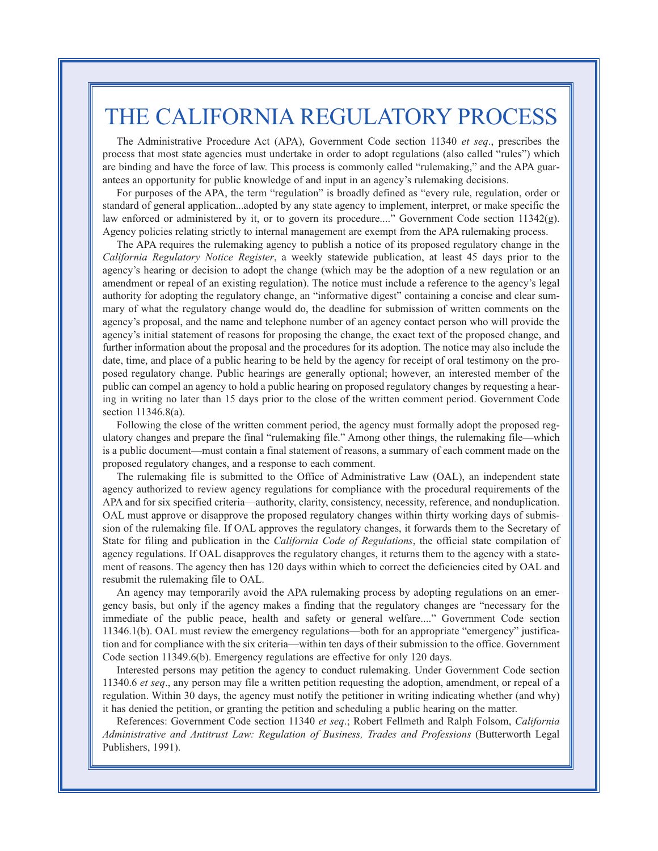## THE CALIFORNIA REGULATORY PROCESS

The Administrative Procedure Act (APA), Government Code section 11340 *et seq*., prescribes the process that most state agencies must undertake in order to adopt regulations (also called "rules") which are binding and have the force of law. This process is commonly called "rulemaking," and the APA guarantees an opportunity for public knowledge of and input in an agency's rulemaking decisions.

For purposes of the APA, the term "regulation" is broadly defined as "every rule, regulation, order or standard of general application...adopted by any state agency to implement, interpret, or make specific the law enforced or administered by it, or to govern its procedure...." Government Code section 11342(g). Agency policies relating strictly to internal management are exempt from the APA rulemaking process.

The APA requires the rulemaking agency to publish a notice of its proposed regulatory change in the *California Regulatory Notice Register*, a weekly statewide publication, at least 45 days prior to the agency's hearing or decision to adopt the change (which may be the adoption of a new regulation or an amendment or repeal of an existing regulation). The notice must include a reference to the agency's legal authority for adopting the regulatory change, an "informative digest" containing a concise and clear summary of what the regulatory change would do, the deadline for submission of written comments on the agency's proposal, and the name and telephone number of an agency contact person who will provide the agency's initial statement of reasons for proposing the change, the exact text of the proposed change, and further information about the proposal and the procedures for its adoption. The notice may also include the date, time, and place of a public hearing to be held by the agency for receipt of oral testimony on the proposed regulatory change. Public hearings are generally optional; however, an interested member of the public can compel an agency to hold a public hearing on proposed regulatory changes by requesting a hearing in writing no later than 15 days prior to the close of the written comment period. Government Code section 11346.8(a).

Following the close of the written comment period, the agency must formally adopt the proposed regulatory changes and prepare the final "rulemaking file." Among other things, the rulemaking file—which is a public document—must contain a final statement of reasons, a summary of each comment made on the proposed regulatory changes, and a response to each comment.

The rulemaking file is submitted to the Office of Administrative Law (OAL), an independent state agency authorized to review agency regulations for compliance with the procedural requirements of the APA and for six specified criteria—authority, clarity, consistency, necessity, reference, and nonduplication. OAL must approve or disapprove the proposed regulatory changes within thirty working days of submission of the rulemaking file. If OAL approves the regulatory changes, it forwards them to the Secretary of State for filing and publication in the *California Code of Regulations*, the official state compilation of agency regulations. If OAL disapproves the regulatory changes, it returns them to the agency with a statement of reasons. The agency then has 120 days within which to correct the deficiencies cited by OAL and resubmit the rulemaking file to OAL.

An agency may temporarily avoid the APA rulemaking process by adopting regulations on an emergency basis, but only if the agency makes a finding that the regulatory changes are "necessary for the immediate of the public peace, health and safety or general welfare...." Government Code section 11346.1(b). OAL must review the emergency regulations—both for an appropriate "emergency" justification and for compliance with the six criteria—within ten days of their submission to the office. Government Code section 11349.6(b). Emergency regulations are effective for only 120 days.

Interested persons may petition the agency to conduct rulemaking. Under Government Code section 11340.6 *et seq*., any person may file a written petition requesting the adoption, amendment, or repeal of a regulation. Within 30 days, the agency must notify the petitioner in writing indicating whether (and why) it has denied the petition, or granting the petition and scheduling a public hearing on the matter.

References: Government Code section 11340 *et seq*.; Robert Fellmeth and Ralph Folsom, *California Administrative and Antitrust Law: Regulation of Business, Trades and Professions* (Butterworth Legal Publishers, 1991).